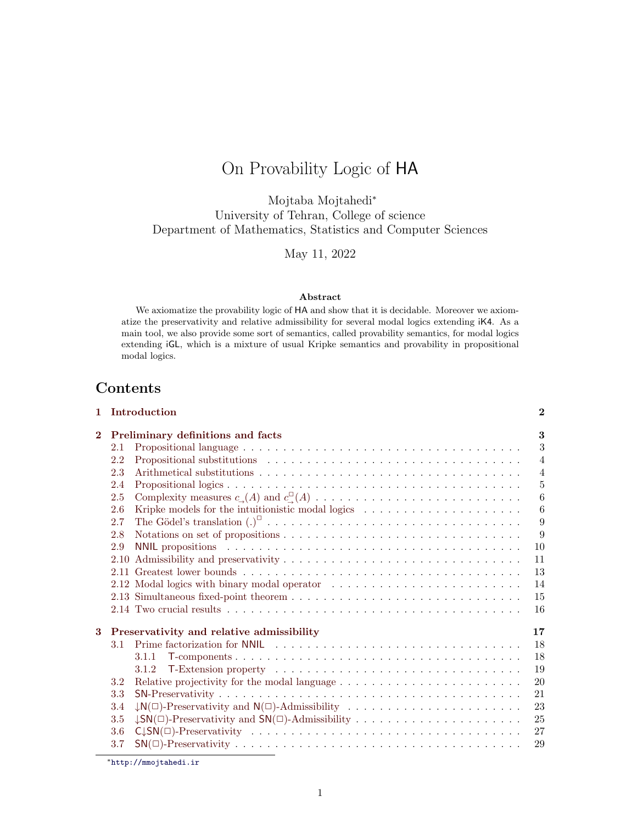# On Provability Logic of HA

Mojtaba Mojtahedi<sup>∗</sup> University of Tehran, College of science Department of Mathematics, Statistics and Computer Sciences

May 11, 2022

#### Abstract

We axiomatize the provability logic of HA and show that it is decidable. Moreover we axiomatize the preservativity and relative admissibility for several modal logics extending iK4. As a main tool, we also provide some sort of semantics, called provability semantics, for modal logics extending iGL, which is a mixture of usual Kripke semantics and provability in propositional modal logics.

# Contents

|              | 1 Introduction                                                                                       | $\mathbf{2}$   |
|--------------|------------------------------------------------------------------------------------------------------|----------------|
| $\mathbf{2}$ | <b>Preliminary definitions and facts</b>                                                             | 3              |
|              | 2.1                                                                                                  | 3              |
|              | 2.2                                                                                                  | $\overline{4}$ |
|              | 2.3                                                                                                  | $\overline{4}$ |
|              | 2.4                                                                                                  | $\overline{5}$ |
|              | 2.5                                                                                                  | 6              |
|              | Kripke models for the intuitionistic modal logics $\dots \dots \dots \dots \dots \dots \dots$<br>2.6 | 6              |
|              | 2.7                                                                                                  | 9              |
|              | 2.8                                                                                                  | 9              |
|              | 2.9                                                                                                  | 10             |
|              | 2.10                                                                                                 | 11             |
|              | 2.11                                                                                                 | 13             |
|              |                                                                                                      | 14             |
|              |                                                                                                      | 15             |
|              |                                                                                                      | 16             |
| 3            | Preservativity and relative admissibility                                                            | 17             |
|              | 3.1                                                                                                  | 18             |
|              | 3.1.1                                                                                                | 18             |
|              | 3.1.2                                                                                                | 19             |
|              | 3.2                                                                                                  | 20             |
|              | 3.3                                                                                                  | 21             |
|              | $\downarrow N(\Box)$ -Preservativity and $N(\Box)$ -Admissibility<br>3.4                             | 23             |
|              | 3.5                                                                                                  | 25             |
|              | 3.6                                                                                                  | 27             |
|              | 3.7                                                                                                  | 29             |

<sup>∗</sup><http://mmojtahedi.ir>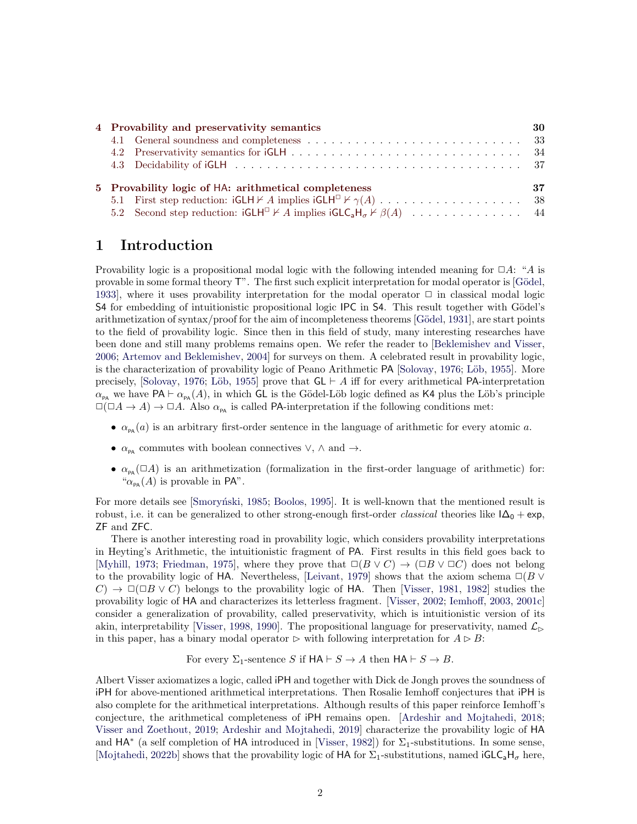|                                                            | 4 Provability and preservativity semantics                                                                                                     | 30 |  |  |  |  |
|------------------------------------------------------------|------------------------------------------------------------------------------------------------------------------------------------------------|----|--|--|--|--|
|                                                            |                                                                                                                                                |    |  |  |  |  |
|                                                            |                                                                                                                                                |    |  |  |  |  |
|                                                            |                                                                                                                                                |    |  |  |  |  |
| 37<br>5 Provability logic of HA: arithmetical completeness |                                                                                                                                                |    |  |  |  |  |
|                                                            | 5.1 First step reduction: $iGLH \nvdash A$ implies $iGLH^{\square} \nvdash \gamma(A) \dots \dots \dots \dots \dots \dots \dots \dots \dots$ 38 |    |  |  |  |  |
|                                                            | 5.2 Second step reduction: $iGLH^{\square} \nvdash A$ implies $iGLC_aH_{\sigma} \nvdash \beta(A) \dots \dots \dots \dots \dots \dots$ 44       |    |  |  |  |  |

# <span id="page-1-0"></span>1 Introduction

Provability logic is a propositional modal logic with the following intended meaning for  $\Box A$ : "A is provable in some formal theory  $\mathsf{T}$ ". The first such explicit interpretation for modal operator is [Gödel, [1933\]](#page-45-0), where it uses provability interpretation for the modal operator  $\Box$  in classical modal logic S4 for embedding of intuitionistic propositional logic IPC in S4. This result together with Gödel's arithmetization of syntax/proof for the aim of incompleteness theorems [Gödel, [1931\]](#page-45-1), are start points to the field of provability logic. Since then in this field of study, many interesting researches have been done and still many problems remains open. We refer the reader to [\[Beklemishev and Visser,](#page-45-2) [2006;](#page-45-2) [Artemov and Beklemishev,](#page-45-3) [2004\]](#page-45-3) for surveys on them. A celebrated result in provability logic, is the characterization of provability logic of Peano Arithmetic PA [\[Solovay,](#page-46-0) [1976;](#page-46-0) Löb, [1955\]](#page-46-1). More precisely, [\[Solovay,](#page-46-0) [1976;](#page-46-0) Löb, [1955\]](#page-46-1) prove that  $GL \vdash A$  iff for every arithmetical PA-interpretation  $\alpha_{\text{PA}}$  we have PA  $\vdash \alpha_{\text{PA}}(A)$ , in which GL is the Gödel-Löb logic defined as K4 plus the Löb's principle  $\Box(\Box A \to A) \to \Box A$ . Also  $\alpha_{\text{pa}}$  is called PA-interpretation if the following conditions met:

- $\alpha_{\text{PA}}(a)$  is an arbitrary first-order sentence in the language of arithmetic for every atomic a.
- $\alpha_{\text{pa}}$  commutes with boolean connectives  $\vee$ ,  $\wedge$  and  $\rightarrow$ .
- $\alpha_{\text{pa}}(\Box A)$  is an arithmetization (formalization in the first-order language of arithmetic) for:  $\alpha_{\text{pa}}(A)$  is provable in PA".

For more details see [Smorynski, [1985;](#page-46-2) [Boolos,](#page-45-4) [1995\]](#page-45-4). It is well-known that the mentioned result is robust, i.e. it can be generalized to other strong-enough first-order *classical* theories like  $I\Delta_0 + \exp$ , ZF and ZFC.

There is another interesting road in provability logic, which considers provability interpretations in Heyting's Arithmetic, the intuitionistic fragment of PA. First results in this field goes back to [\[Myhill,](#page-46-3) [1973;](#page-46-3) [Friedman,](#page-45-5) [1975\]](#page-45-5), where they prove that  $\Box(B \lor C) \to (\Box B \lor \Box C)$  does not belong to the provability logic of HA. Nevertheless, [\[Leivant,](#page-46-4) [1979\]](#page-46-4) shows that the axiom schema  $\Box(B \vee$  $(C) \rightarrow \Box(\Box B \lor C)$  belongs to the provability logic of HA. Then [\[Visser,](#page-47-0) [1981,](#page-47-0) [1982\]](#page-47-1) studies the provability logic of HA and characterizes its letterless fragment. [\[Visser,](#page-47-2) [2002;](#page-47-2) [Iemhoff,](#page-46-5) [2003,](#page-46-5) [2001c\]](#page-46-6) consider a generalization of provability, called preservativity, which is intuitionistic version of its akin, interpretability [\[Visser,](#page-47-3) [1998,](#page-47-3) [1990\]](#page-47-4). The propositional language for preservativity, named  $\mathcal{L}_{\triangleright}$ in this paper, has a binary modal operator  $\triangleright$  with following interpretation for  $A \triangleright B$ :

For every  $\Sigma_1$ -sentence S if  $HA \vdash S \to A$  then  $HA \vdash S \to B$ .

Albert Visser axiomatizes a logic, called iPH and together with Dick de Jongh proves the soundness of iPH for above-mentioned arithmetical interpretations. Then Rosalie Iemhoff conjectures that iPH is also complete for the arithmetical interpretations. Although results of this paper reinforce Iemhoff's conjecture, the arithmetical completeness of iPH remains open. [\[Ardeshir and Mojtahedi,](#page-45-6) [2018;](#page-45-6) [Visser and Zoethout,](#page-47-5) [2019;](#page-47-5) [Ardeshir and Mojtahedi,](#page-45-7) [2019\]](#page-45-7) characterize the provability logic of HA and  $HA^*$  (a self completion of HA introduced in [\[Visser,](#page-47-1) [1982\]](#page-47-1)) for  $\Sigma_1$ -substitutions. In some sense, [\[Mojtahedi,](#page-46-7) [2022b\]](#page-46-7) shows that the provability logic of HA for  $\Sigma_1$ -substitutions, named  $GLC_aH_\sigma$  here,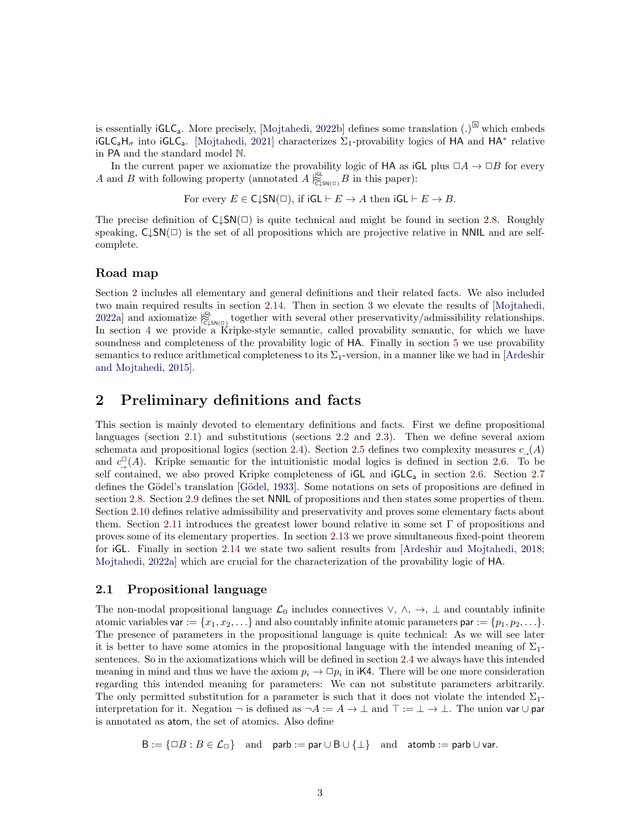is essentially  $iGLC_a$ . More precisely, [\[Mojtahedi,](#page-46-7) [2022b\]](#page-46-7) defines some translation  $(.)^{\boxplus}$  which embeds  $iGLC_aH_\sigma$  into  $iGLC_a$ . [\[Mojtahedi,](#page-46-8) [2021\]](#page-46-8) characterizes  $\Sigma_1$ -provability logics of HA and HA<sup>\*</sup> relative in PA and the standard model N.

In the current paper we axiomatize the provability logic of HA as  $\mathsf{iGL}$  plus  $\Box A \to \Box B$  for every A and B with following property (annotated  $A \vert_{\widetilde{C}_\phi^{\text{LSN}(\Box)}}^{\mathfrak{gl}} B$  in this paper):

For every 
$$
E \in C\downarrow SN(\square)
$$
, if  $iGL \vdash E \rightarrow A$  then  $iGL \vdash E \rightarrow B$ .

The precise definition of  $C\downarrow SN(\square)$  is quite technical and might be found in section [2.8.](#page-8-1) Roughly speaking,  $C\downarrow SN(\square)$  is the set of all propositions which are projective relative in NNIL and are selfcomplete.

#### Road map

Section [2](#page-2-0) includes all elementary and general definitions and their related facts. We also included two main required results in section [2.14.](#page-15-0) Then in section [3](#page-16-0) we elevate the results of [\[Mojtahedi,](#page-46-9) [2022a\]](#page-46-9) and axiomatize  $\frac{dG}{C_{\text{LSN(D)}}}$  together with several other preservativity/admissibility relationships. In section [4](#page-29-0) we provide a Kripke-style semantic, called provability semantic, for which we have soundness and completeness of the provability logic of HA. Finally in section [5](#page-36-1) we use provability semantics to reduce arithmetical completeness to its  $\Sigma_1$ -version, in a manner like we had in [\[Ardeshir](#page-45-8) [and Mojtahedi,](#page-45-8) [2015\]](#page-45-8).

# <span id="page-2-0"></span>2 Preliminary definitions and facts

This section is mainly devoted to elementary definitions and facts. First we define propositional languages (section [2.1\)](#page-2-1) and substitutions (sections [2.2](#page-3-0) and [2.3\)](#page-3-1). Then we define several axiom schemata and propositional logics (section [2.4\)](#page-4-0). Section [2.5](#page-5-0) defines two complexity measures  $c_{\text{A}}(A)$ and  $c^{\mathbb{Z}}_{\rightarrow}(A)$ . Kripke semantic for the intuitionistic modal logics is defined in section [2.6.](#page-5-1) To be self contained, we also proved Kripke completeness of iGL and iGLC<sub>a</sub> in section [2.6.](#page-5-1) Section [2.7](#page-8-0) defines the Gödel's translation [Gödel, [1933\]](#page-45-0). Some notations on sets of propositions are defined in section [2.8.](#page-8-1) Section [2.9](#page-9-0) defines the set NNIL of propositions and then states some properties of them. Section [2.10](#page-10-0) defines relative admissibility and preservativity and proves some elementary facts about them. Section [2.11](#page-12-0) introduces the greatest lower bound relative in some set  $\Gamma$  of propositions and proves some of its elementary properties. In section [2.13](#page-14-0) we prove simultaneous fixed-point theorem for iGL. Finally in section [2.14](#page-15-0) we state two salient results from [\[Ardeshir and Mojtahedi,](#page-45-6) [2018;](#page-45-6) [Mojtahedi,](#page-46-9) [2022a\]](#page-46-9) which are crucial for the characterization of the provability logic of HA.

#### <span id="page-2-1"></span>2.1 Propositional language

The non-modal propositional language  $\mathcal{L}_0$  includes connectives  $\vee, \wedge, \rightarrow, \perp$  and countably infinite atomic variables var :=  $\{x_1, x_2, \ldots\}$  and also countably infinite atomic parameters par :=  $\{p_1, p_2, \ldots\}$ . The presence of parameters in the propositional language is quite technical: As we will see later it is better to have some atomics in the propositional language with the intended meaning of  $\Sigma_1$ sentences. So in the axiomatizations which will be defined in section [2.4](#page-4-0) we always have this intended meaning in mind and thus we have the axiom  $p_i \to \Box p_i$  in iK4. There will be one more consideration regarding this intended meaning for parameters: We can not substitute parameters arbitrarily. The only permitted substitution for a parameter is such that it does not violate the intended  $\Sigma_1$ interpretation for it. Negation  $\neg$  is defined as  $\neg A := A \rightarrow \bot$  and  $\top := \bot \rightarrow \bot$ . The union var  $\cup$  par is annotated as atom, the set of atomics. Also define

 $B := \{\Box B : B \in \mathcal{L}_{\Box}\}$  and parb := par  $\cup$  B  $\cup$   $\{\bot\}$  and atomb := parb  $\cup$  var.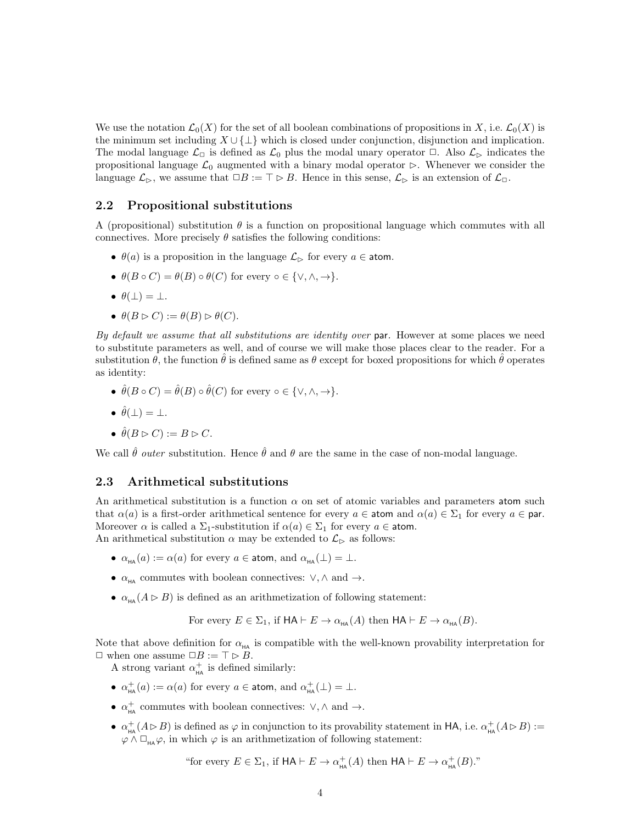We use the notation  $\mathcal{L}_0(X)$  for the set of all boolean combinations of propositions in X, i.e.  $\mathcal{L}_0(X)$  is the minimum set including  $X \cup \{\perp\}$  which is closed under conjunction, disjunction and implication. The modal language  $\mathcal{L}_{\Box}$  is defined as  $\mathcal{L}_0$  plus the modal unary operator  $\Box$ . Also  $\mathcal{L}_{\triangleright}$  indicates the propositional language  $\mathcal{L}_0$  augmented with a binary modal operator  $\triangleright$ . Whenever we consider the language  $\mathcal{L}_{\triangleright}$ , we assume that  $\Box B := \top \triangleright B$ . Hence in this sense,  $\mathcal{L}_{\triangleright}$  is an extension of  $\mathcal{L}_{\square}$ .

#### <span id="page-3-0"></span>2.2 Propositional substitutions

A (propositional) substitution  $\theta$  is a function on propositional language which commutes with all connectives. More precisely  $\theta$  satisfies the following conditions:

- $\theta(a)$  is a proposition in the language  $\mathcal{L}_{\triangleright}$  for every  $a \in \text{atom}$ .
- $\theta(B \circ C) = \theta(B) \circ \theta(C)$  for every  $\circ \in \{\vee, \wedge, \to\}.$
- $\theta(\perp) = \perp$ .
- $\theta(B \triangleright C) := \theta(B) \triangleright \theta(C).$

By default we assume that all substitutions are identity over  $\mathsf{par}$ . However at some places we need to substitute parameters as well, and of course we will make those places clear to the reader. For a substitution  $\theta$ , the function  $\hat{\theta}$  is defined same as  $\theta$  except for boxed propositions for which  $\hat{\theta}$  operates as identity:

• 
$$
\hat{\theta}(B \circ C) = \hat{\theta}(B) \circ \hat{\theta}(C)
$$
 for every  $\circ \in \{\vee, \wedge, \to\}.$ 

$$
\bullet \ \hat{\theta}(\bot) = \bot.
$$

• 
$$
\hat{\theta}(B \triangleright C) := B \triangleright C.
$$

We call  $\hat{\theta}$  outer substitution. Hence  $\hat{\theta}$  and  $\theta$  are the same in the case of non-modal language.

#### <span id="page-3-1"></span>2.3 Arithmetical substitutions

An arithmetical substitution is a function  $\alpha$  on set of atomic variables and parameters atom such that  $\alpha(a)$  is a first-order arithmetical sentence for every  $a \in \text{atom}$  and  $\alpha(a) \in \Sigma_1$  for every  $a \in \text{par}$ . Moreover  $\alpha$  is called a  $\Sigma_1$ -substitution if  $\alpha(a) \in \Sigma_1$  for every  $a \in \text{atom}$ . An arithmetical substitution  $\alpha$  may be extended to  $\mathcal{L}_{\triangleright}$  as follows:

- $\alpha_{HA}(a) := \alpha(a)$  for every  $a \in \text{atom}, \text{ and } \alpha_{HA}(\perp) = \perp$ .
- $\alpha_{\text{HA}}$  commutes with boolean connectives:  $\vee, \wedge$  and  $\rightarrow$ .
- $\alpha_{\text{HA}}(A \triangleright B)$  is defined as an arithmetization of following statement:

For every 
$$
E \in \Sigma_1
$$
, if  $HA \vdash E \to \alpha_{HA}(A)$  then  $HA \vdash E \to \alpha_{HA}(B)$ .

Note that above definition for  $\alpha_{H\!A}$  is compatible with the well-known provability interpretation for  $\Box$  when one assume  $\Box B := \top \triangleright B$ .

A strong variant  $\alpha_{\text{HA}}^+$  is defined similarly:

- $\alpha_{HA}^{+}(a) := \alpha(a)$  for every  $a \in \text{atom}$ , and  $\alpha_{HA}^{+}(\perp) = \perp$ .
- $\alpha_{\text{HA}}^+$  commutes with boolean connectives:  $\vee, \wedge$  and  $\rightarrow$ .
- $\alpha_{HA}^+(A \triangleright B)$  is defined as  $\varphi$  in conjunction to its provability statement in HA, i.e.  $\alpha_{HA}^+(A \triangleright B) :=$  $\varphi \wedge \Box_{HA} \varphi$ , in which  $\varphi$  is an arithmetization of following statement:

"for every 
$$
E \in \Sigma_1
$$
, if  $HA \vdash E \to \alpha^+_{HA}(A)$  then  $HA \vdash E \to \alpha^+_{HA}(B)$ ."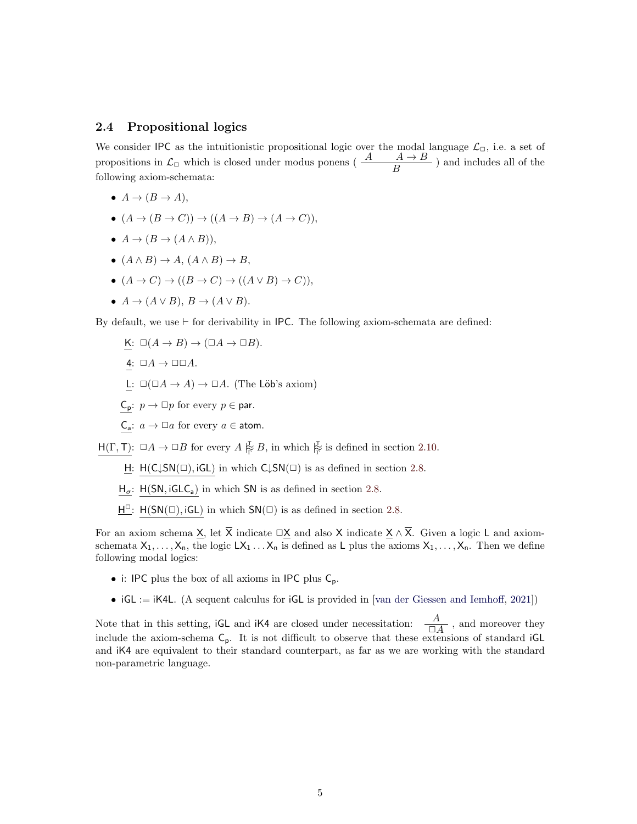#### <span id="page-4-0"></span>2.4 Propositional logics

We consider IPC as the intuitionistic propositional logic over the modal language  $\mathcal{L}_{\Box}$ , i.e. a set of propositions in  $\mathcal{L}_{\Box}$  which is closed under modus ponens ( $\frac{A}{B}$ ) and includes all of the following axiom-schemata:

- $A \rightarrow (B \rightarrow A)$ ,
- $(A \to (B \to C)) \to ((A \to B) \to (A \to C)),$
- $A \rightarrow (B \rightarrow (A \land B)).$
- $(A \wedge B) \rightarrow A$ ,  $(A \wedge B) \rightarrow B$ ,
- $(A \to C) \to ((B \to C) \to ((A \lor B) \to C)),$
- $A \rightarrow (A \vee B), B \rightarrow (A \vee B).$

By default, we use  $\vdash$  for derivability in IPC. The following axiom-schemata are defined:

- K:  $\square(A \to B) \to (\square A \to \square B)$ .
- 4:  $\Box A \rightarrow \Box \Box A$ .
- L:  $\square(\square A \rightarrow A) \rightarrow \square A$ . (The Löb's axiom)
- $C_p: p \to \Box p$  for every  $p \in$  par.
- $C_a: a \to \Box a$  for every  $a \in \text{atom}$ .

 $H(\Gamma, T): \Box A \to \Box B$  for every  $A \not\stackrel{\tau}{\not\vdash} B$ , in which  $\not\stackrel{\tau}{\not\vdash}$  is defined in section [2.10.](#page-10-0)

- H:  $H(C\downarrow SN(\square), iGL)$  in which  $C\downarrow SN(\square)$  is as defined in section [2.8.](#page-8-1)
- $H_{\sigma}$ : H(SN, iGLC<sub>a</sub>) in which SN is as defined in section [2.8.](#page-8-1)
- $\underline{H}^{\square}$ :  $H(SN(\square), iGL)$  in which  $SN(\square)$  is as defined in section [2.8.](#page-8-1)

For an axiom schema X, let  $\overline{X}$  indicate  $\Box X$  and also X indicate  $X \wedge \overline{X}$ . Given a logic L and axiomschemata  $X_1, \ldots, X_n$ , the logic  $LX_1 \ldots X_n$  is defined as L plus the axioms  $X_1, \ldots, X_n$ . Then we define following modal logics:

- i: IPC plus the box of all axioms in IPC plus  $C_p$ .
- $iGL := iK4L$ . (A sequent calculus for  $iGL$  is provided in [\[van der Giessen and Iemhoff,](#page-46-10) [2021\]](#page-46-10))

Note that in this setting, iGL and iK4 are closed under necessitation:  $\frac{A}{\Box A}$ , and moreover they include the axiom-schema  $C_p$ . It is not difficult to observe that these extensions of standard iGL and iK4 are equivalent to their standard counterpart, as far as we are working with the standard non-parametric language.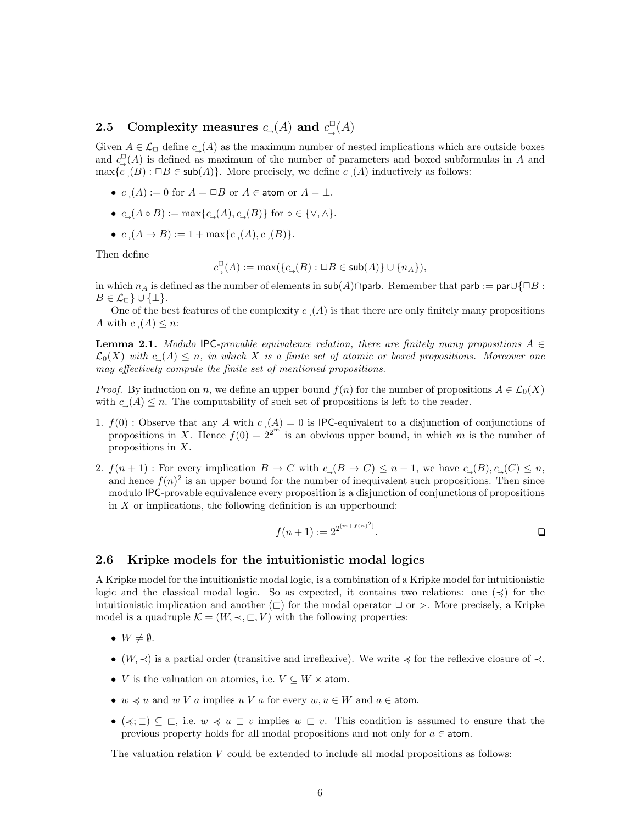# <span id="page-5-0"></span>2.5 Complexity measures  $c_-(A)$  and  $c_-(A)$

Given  $A \in \mathcal{L}_{\Box}$  define  $c_{\Box}(A)$  as the maximum number of nested implications which are outside boxes and  $c^{\square}_{\rightarrow}(A)$  is defined as maximum of the number of parameters and boxed subformulas in A and  $\max\{c,(B): \Box B \in sub(A)\}\.$  More precisely, we define  $c_-(A)$  inductively as follows:

- $c(A) := 0$  for  $A = \Box B$  or  $A \in \text{atom}$  or  $A = \bot$ .
- $c \ (A \circ B) := \max\{c \ (A), c \ (B)\}\$ for ∘ ∈  $\{\vee, \wedge\}.$
- $c_{\rightarrow}(A \rightarrow B) := 1 + \max\{c_{\rightarrow}(A), c_{\rightarrow}(B)\}.$

Then define

$$
c^{\square}_{\rightarrow}(A):=\max(\{c_{\rightarrow}(B):\square B\in \mathsf{sub}(A)\}\cup \{n_A\}),
$$

in which  $n_A$  is defined as the number of elements in sub(A)∩parb. Remember that parb := par∪{□B :  $B \in \mathcal{L}_{\Box} \} \cup \{\bot\}.$ 

One of the best features of the complexity  $c<sub>+</sub>(A)$  is that there are only finitely many propositions A with  $c_-(A) \leq n$ :

<span id="page-5-2"></span>**Lemma 2.1.** Modulo IPC-provable equivalence relation, there are finitely many propositions  $A \in$  $\mathcal{L}_0(X)$  with  $c,(A) \leq n$ , in which X is a finite set of atomic or boxed propositions. Moreover one may effectively compute the finite set of mentioned propositions.

*Proof.* By induction on n, we define an upper bound  $f(n)$  for the number of propositions  $A \in \mathcal{L}_0(X)$ with  $c_-(A) \leq n$ . The computability of such set of propositions is left to the reader.

- 1.  $f(0)$ : Observe that any A with  $c<sub>→</sub>(A) = 0$  is IPC-equivalent to a disjunction of conjunctions of propositions in X. Hence  $f(0) = 2^{2^{m}}$  is an obvious upper bound, in which m is the number of propositions in X.
- 2.  $f(n+1)$ : For every implication  $B \to C$  with  $c_{\rightarrow}(B \to C) \leq n+1$ , we have  $c_{\rightarrow}(B), c_{\rightarrow}(C) \leq n$ , and hence  $f(n)^2$  is an upper bound for the number of inequivalent such propositions. Then since modulo IPC-provable equivalence every proposition is a disjunction of conjunctions of propositions in  $X$  or implications, the following definition is an upperbound:

$$
f(n+1) := 2^{2^{[m+f(n)^2]}}.
$$

### <span id="page-5-1"></span>2.6 Kripke models for the intuitionistic modal logics

A Kripke model for the intuitionistic modal logic, is a combination of a Kripke model for intuitionistic logic and the classical modal logic. So as expected, it contains two relations: one  $(\preccurlyeq)$  for the intuitionistic implication and another  $(\sqsubset)$  for the modal operator  $\Box$  or  $\triangleright$ . More precisely, a Kripke model is a quadruple  $\mathcal{K} = (W, \prec, \sqsubset, V)$  with the following properties:

- $W \neq \emptyset$ .
- (W,  $\prec$ ) is a partial order (transitive and irreflexive). We write  $\preccurlyeq$  for the reflexive closure of  $\prec$ .
- *V* is the valuation on atomics, i.e.  $V \subseteq W \times$  atom.
- $w \preccurlyeq u$  and  $w V a$  implies  $u V a$  for every  $w, u \in W$  and  $a \in \text{atom}$ .
- $(\preccurlyeq; \sqsubset) \subseteq \sqsubset$ , i.e.  $w \preccurlyeq u \sqsubset v$  implies  $w \sqsubset v$ . This condition is assumed to ensure that the previous property holds for all modal propositions and not only for  $a \in \text{atom}$ .

The valuation relation  $V$  could be extended to include all modal propositions as follows: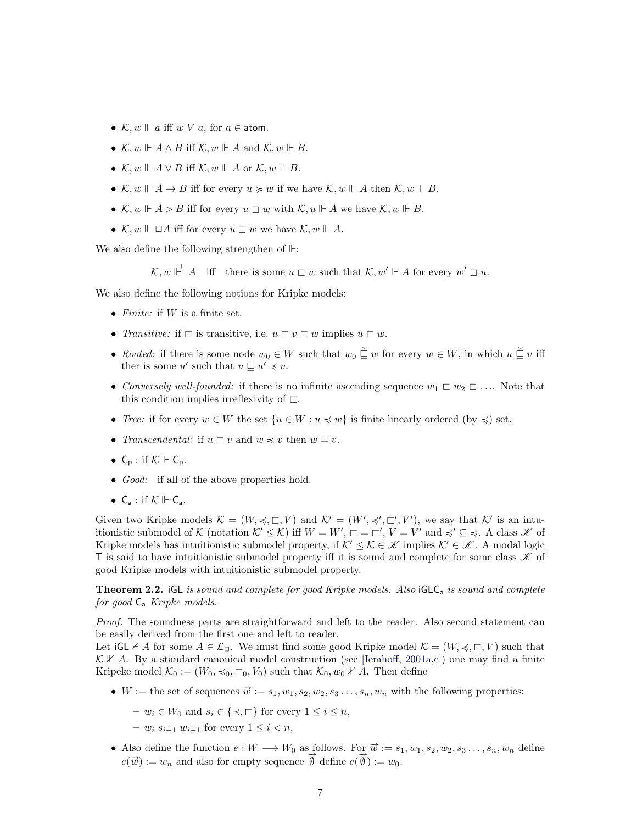- $\mathcal{K}, w \Vdash a$  iff w V a, for  $a \in \text{atom}$ .
- $\mathcal{K}, w \Vdash A \wedge B$  iff  $\mathcal{K}, w \Vdash A$  and  $\mathcal{K}, w \Vdash B$ .
- $\mathcal{K}, w \Vdash A \vee B$  iff  $\mathcal{K}, w \Vdash A$  or  $\mathcal{K}, w \Vdash B$ .
- $\mathcal{K}, w \Vdash A \to B$  iff for every  $u \succcurlyeq w$  if we have  $\mathcal{K}, w \Vdash A$  then  $\mathcal{K}, w \Vdash B$ .
- $\mathcal{K}, w \Vdash A \triangleright B$  iff for every  $u \sqsupset w$  with  $\mathcal{K}, u \Vdash A$  we have  $\mathcal{K}, w \Vdash B$ .
- $\mathcal{K}, w \Vdash \Box A$  iff for every  $u \sqsupset w$  we have  $\mathcal{K}, w \Vdash A$ .

We also define the following strengthen of  $\mathbb{H}$ :

 $\mathcal{K}, w \Vdash^+ A$  iff there is some  $u \sqsubset w$  such that  $\mathcal{K}, w' \Vdash A$  for every  $w' \sqsupset u$ .

We also define the following notions for Kripke models:

- Finite: if  $W$  is a finite set.
- Transitive: if  $\sqsubset$  is transitive, i.e.  $u \sqsubset v \sqsubset w$  implies  $u \sqsubset w$ .
- Rooted: if there is some node  $w_0 \in W$  such that  $w_0 \subseteq w$  for every  $w \in W$ , in which  $u \subseteq v$  iff ther is some u' such that  $u \sqsubseteq u' \preccurlyeq v$ .
- Conversely well-founded: if there is no infinite ascending sequence  $w_1 \sqsubset w_2 \sqsubset \ldots$ . Note that this condition implies irreflexivity of  $\Box$ .
- Tree: if for every  $w \in W$  the set  $\{u \in W : u \preccurlyeq w\}$  is finite linearly ordered (by  $\preccurlyeq$ ) set.
- Transcendental: if  $u \sqsubset v$  and  $w \preccurlyeq v$  then  $w = v$ .
- $C_p$ : if  $K \Vdash C_p$ .
- *Good:* if all of the above properties hold.
- $C_a$ : if  $K \Vdash C_a$ .

Given two Kripke models  $\mathcal{K} = (W, \preccurlyeq, \sqsubset, V)$  and  $\mathcal{K}' = (W', \preccurlyeq', \sqsubset', V')$ , we say that  $\mathcal{K}'$  is an intuitionistic submodel of K (notation  $\mathcal{K}' \leq \mathcal{K}$ ) iff  $W = W'$ ,  $\Box = \Box'$ ,  $V = V'$  and  $\preccurlyeq' \subseteq \preccurlyeq$ . A class  $\mathcal{K}$  of Kripke models has intuitionistic submodel property, if  $K' \leq K \in \mathcal{K}$  implies  $K' \in \mathcal{K}$ . A modal logic T is said to have intuitionistic submodel property iff it is sound and complete for some class  $\mathscr K$  of good Kripke models with intuitionistic submodel property.

<span id="page-6-0"></span>**Theorem 2.2.** iGL is sound and complete for good Kripke models. Also iGLC<sub>a</sub> is sound and complete for good  $C_a$  Kripke models.

Proof. The soundness parts are straightforward and left to the reader. Also second statement can be easily derived from the first one and left to reader.

Let  $G \cup \nvdash A$  for some  $A \in \mathcal{L}_{\Box}$ . We must find some good Kripke model  $\mathcal{K} = (W, \preccurlyeq, \Box, V)$  such that  $\mathcal{K} \not\vdash A$ . By a standard canonical model construction (see [\[Iemhoff,](#page-46-11) [2001a,](#page-46-11)[c\]](#page-46-6)) one may find a finite Kripeke model  $\mathcal{K}_0 := (W_0, \preccurlyeq_0, \sqsubset_0, V_0)$  such that  $\mathcal{K}_0, w_0 \nVdash A$ . Then define

- W := the set of sequences  $\vec{w} := s_1, w_1, s_2, w_2, s_3 \dots, s_n, w_n$  with the following properties:
	- $w_i \in W_0$  and  $s_i \in \{\prec, \sqsubset\}$  for every  $1 \leq i \leq n$ ,
	- $w_i s_{i+1} w_{i+1}$  for every  $1 \le i \le n$ ,
- Also define the function  $e: W \longrightarrow W_0$  as follows. For  $\vec{w} := s_1, w_1, s_2, w_2, s_3 \dots, s_n, w_n$  define Also define the function  $e: W \longrightarrow W_0$  as follows. For  $w := s_1$ <br>  $e(\vec{w}) := w_n$  and also for empty sequence  $\vec{\emptyset}$  define  $e(\vec{\emptyset}) := w_0$ .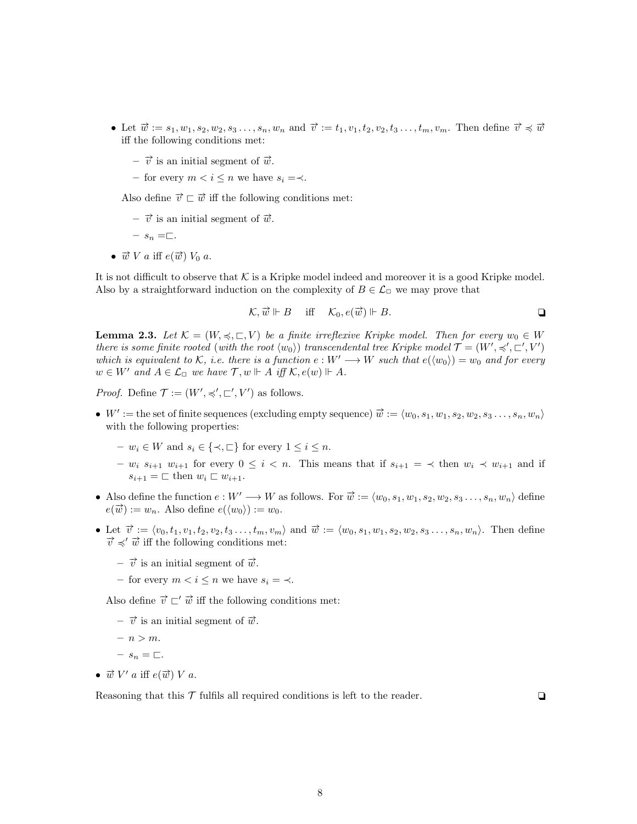- Let  $\vec{w} := s_1, w_1, s_2, w_2, s_3 \dots, s_n, w_n$  and  $\vec{v} := t_1, v_1, t_2, v_2, t_3 \dots, t_m, v_m$ . Then define  $\vec{v} \preccurlyeq \vec{w}$ iff the following conditions met:
	- $\vec{v}$  is an initial segment of  $\vec{w}$ .
	- for every  $m < i \leq n$  we have  $s_i = \prec$ .

Also define  $\vec{v} \sqsubset \vec{w}$  iff the following conditions met:

 $- \vec{v}$  is an initial segment of  $\vec{w}$ .

$$
- s_n = \sqsubset.
$$

•  $\vec{w}$  V a iff  $e(\vec{w})$  V<sub>0</sub> a.

It is not difficult to observe that  $K$  is a Kripke model indeed and moreover it is a good Kripke model. Also by a straightforward induction on the complexity of  $B \in \mathcal{L}_{\Box}$  we may prove that

$$
\mathcal{K}, \vec{w} \Vdash B \quad \text{iff} \quad \mathcal{K}_0, e(\vec{w}) \Vdash B.
$$

<span id="page-7-0"></span>**Lemma 2.3.** Let  $\mathcal{K} = (W, \preccurlyeq, \sqsubset, V)$  be a finite irreflexive Kripke model. Then for every  $w_0 \in W$ there is some finite rooted (with the root  $\langle w_0 \rangle$ ) transcendental tree Kripke model  $\mathcal{T} = (W', \preccurlyeq', \sqsubset', V')$ which is equivalent to K, i.e. there is a function  $e: W' \longrightarrow W$  such that  $e(\langle w_0 \rangle) = w_0$  and for every  $w \in W'$  and  $A \in \mathcal{L}_{\Box}$  we have  $\mathcal{T}, w \Vdash A$  iff  $\mathcal{K}, e(w) \Vdash A$ .

*Proof.* Define  $\mathcal{T} := (W', \preccurlyeq', \sqsubset', V')$  as follows.

- $W' :=$  the set of finite sequences (excluding empty sequence)  $\vec{w} := \langle w_0, s_1, w_1, s_2, w_2, s_3 \dots, s_n, w_n \rangle$ with the following properties:
	- $w_i \in W$  and  $s_i \in \{\prec, \sqsubset\}$  for every  $1 \leq i \leq n$ .
	- $w_i s_{i+1} w_{i+1}$  for every 0 ≤ i < n. This means that if  $s_{i+1} = \langle s_i \rangle$  then  $w_i \langle w_{i+1} \rangle$  and if  $s_{i+1} = \square$  then  $w_i \square w_{i+1}$ .
- Also define the function  $e : W' \longrightarrow W$  as follows. For  $\vec{w} := \langle w_0, s_1, w_1, s_2, w_2, s_3 \dots, s_n, w_n \rangle$  define  $e(\vec{w}) := w_n$ . Also define  $e(w_0) := w_0$ .
- Let  $\vec{v} := \langle v_0, t_1, v_1, t_2, v_2, t_3, \ldots, t_m, v_m \rangle$  and  $\vec{w} := \langle w_0, s_1, w_1, s_2, w_2, s_3, \ldots, s_n, w_n \rangle$ . Then define  $\vec{v} \preccurlyeq' \vec{w}$  iff the following conditions met:
	- $\vec{v}$  is an initial segment of  $\vec{w}$ .
	- for every  $m < i \leq n$  we have  $s_i = \prec$ .

Also define  $\vec{v} \sqsubset' \vec{w}$  iff the following conditions met:

- $\vec{v}$  is an initial segment of  $\vec{w}$ .
- $n > m$ .
- $s_n = \square$ .
- $\vec{w}$  V' a iff  $e(\vec{w})$  V a.

Reasoning that this  $\mathcal T$  fulfils all required conditions is left to the reader.  $\Box$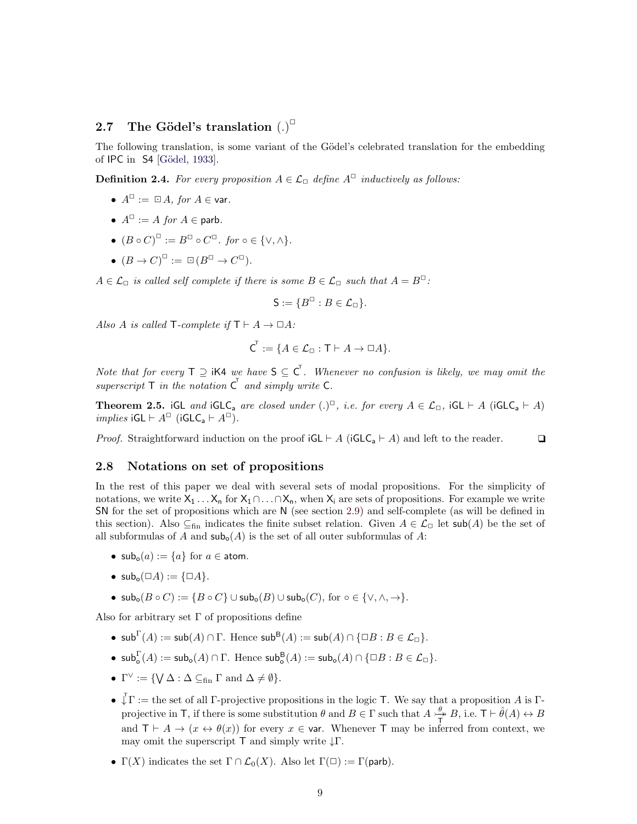# <span id="page-8-0"></span>2.7 The Gödel's translation  $(.)^{\square}$

The following translation, is some variant of the Gödel's celebrated translation for the embedding of IPC in S4 [Gödel, [1933\]](#page-45-0).

**Definition 2.4.** For every proposition  $A \in \mathcal{L}_{\Box}$  define  $A^{\Box}$  inductively as follows:

- $A^{\square} := \square A$ , for  $A \in \text{var}$ .
- $A^{\square}$  := A for  $A \in$  parb.
- $(B \circ C)^{\square} := B^{\square} \circ C^{\square}$ . for  $\circ \in \{\vee, \wedge\}$ .
- $(B \to C)^{\square} := \square (B^{\square} \to C^{\square}).$

 $A \in \mathcal{L}_{\Box}$  is called self complete if there is some  $B \in \mathcal{L}_{\Box}$  such that  $A = B^{\Box}$ :

$$
S:=\{B^{\square}:B\in\mathcal{L}_{\square}\}.
$$

Also A is called T-complete if  $T \vdash A \rightarrow \Box A$ :

$$
C^{\mathsf{T}} := \{ A \in \mathcal{L}_{\Box} : \mathsf{T} \vdash A \to \Box A \}.
$$

Note that for every  $\mathsf{T} \supseteq \mathsf{i} \mathsf{K}4$  we have  $\mathsf{S} \subseteq \mathsf{C}^{\mathsf{T}}$ . Whenever no confusion is likely, we may omit the superscript  $\mathsf T$  in the notation  $\mathsf C^{\mathsf T}$  and simply write  $\mathsf C$ .

<span id="page-8-2"></span>**Theorem 2.5.** iGL and iGLC<sub>a</sub> are closed under  $(.)^{\square}$ , i.e. for every  $A \in \mathcal{L}_{\square}$ , iGL  $\vdash A$  (iGLC<sub>a</sub>  $\vdash A$ ) implies  $iGL \vdash A^{\square}$  ( $iGLC_a \vdash A^{\square}$ ).

*Proof.* Straightforward induction on the proof  $iGL \vdash A$  ( $iGLC_a \vdash A$ ) and left to the reader.  $\Box$ 

#### <span id="page-8-1"></span>2.8 Notations on set of propositions

In the rest of this paper we deal with several sets of modal propositions. For the simplicity of notations, we write  $X_1 \ldots X_n$  for  $X_1 \cap \ldots \cap X_n$ , when  $X_i$  are sets of propositions. For example we write SN for the set of propositions which are N (see section [2.9\)](#page-9-0) and self-complete (as will be defined in this section). Also  $\subseteq$ <sub>fin</sub> indicates the finite subset relation. Given  $A \in \mathcal{L}_{\Box}$  let sub(A) be the set of all subformulas of A and  $\mathsf{sub}_o(A)$  is the set of all outer subformulas of A:

- $\mathsf{sub}_{\alpha}(a) := \{a\}$  for  $a \in \mathsf{atom}.$
- $\mathsf{sub}_{\alpha}(\Box A) := {\Box A}.$
- $\mathsf{sub}_o(B \circ C) := \{ B \circ C \} \cup \mathsf{sub}_o(B) \cup \mathsf{sub}_o(C), \text{ for } o \in \{ \vee, \wedge, \to \}.$

Also for arbitrary set  $\Gamma$  of propositions define

- sub<sup> $\Gamma(A) := \mathsf{sub}(A) \cap \Gamma$ . Hence  $\mathsf{sub}^B(A) := \mathsf{sub}(A) \cap \{\Box B : B \in \mathcal{L}_{\Box}\}.$ </sup>
- $\mathsf{sub}^{\Gamma}_{\mathsf{o}}(A) := \mathsf{sub}_{\mathsf{o}}(A) \cap \Gamma$ . Hence  $\mathsf{sub}^{\mathsf{B}}_{\mathsf{o}}(A) := \mathsf{sub}_{\mathsf{o}}(A) \cap \{\Box B : B \in \mathcal{L}_{\Box}\}.$
- $\Gamma^{\vee} := \{ \bigvee \Delta : \Delta \subseteq_{\text{fin}} \Gamma \text{ and } \Delta \neq \emptyset \}.$
- $\overline{\downarrow} \Gamma :=$  the set of all  $\Gamma$ -projective propositions in the logic T. We say that a proposition A is  $\Gamma$ projective in T, if there is some substitution  $\theta$  and  $B \in \Gamma$  such that  $A \stackrel{\theta}{\longrightarrow}$  $\frac{\theta}{T}$  B, i.e.  $\mathsf{T} \vdash \hat{\theta}(A) \leftrightarrow B$ and  $T \vdash A \rightarrow (x \leftrightarrow \theta(x))$  for every  $x \in \text{var}$ . Whenever T may be inferred from context, we may omit the superscript  $\mathsf T$  and simply write  $\downarrow \Gamma$ .
- $\Gamma(X)$  indicates the set  $\Gamma \cap \mathcal{L}_0(X)$ . Also let  $\Gamma(\square) := \Gamma(\text{parb})$ .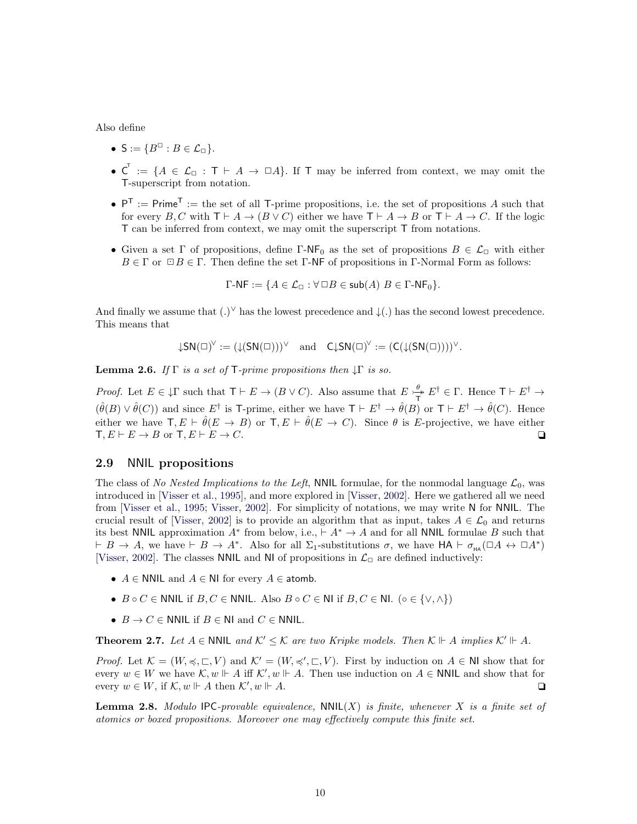Also define

- $S := \{ B^{\Box} : B \in \mathcal{L}_{\Box} \}.$
- $\mathsf{C}^{\mathsf{T}} := \{A \in \mathcal{L}_{\Box} : \mathsf{T} \vdash A \rightarrow \Box A\}.$  If T may be inferred from context, we may omit the T-superscript from notation.
- $P^T := Prime^T = \text{the set of all } T\text{-prime propositions, i.e. the set of propositions } A \text{ such that }$ for every B, C with  $\mathsf{T} \vdash A \to (B \lor C)$  either we have  $\mathsf{T} \vdash A \to B$  or  $\mathsf{T} \vdash A \to C$ . If the logic T can be inferred from context, we may omit the superscript T from notations.
- Given a set Γ of propositions, define Γ-NF<sub>0</sub> as the set of propositions  $B \in \mathcal{L}_{\Box}$  with either  $B \in \Gamma$  or  $\Box B \in \Gamma$ . Then define the set Γ-NF of propositions in Γ-Normal Form as follows:

 $\Gamma$ -NF := { $A \in \mathcal{L}_{\Gamma}$  :  $\forall \Box B \in \mathsf{sub}(A)$   $B \in \Gamma$ -NF<sub>0</sub>}.

And finally we assume that  $(.)^{\vee}$  has the lowest precedence and  $\downarrow$  (.) has the second lowest precedence. This means that

$$
{\downarrow} SN(\square)^{\vee} := ({\downarrow} (SN(\square)))^{\vee} \quad \text{and} \quad C {\downarrow} SN(\square)^{\vee} := (C({\downarrow} (SN(\square))))^{\vee}.
$$

**Lemma 2.6.** If  $\Gamma$  is a set of  $\mathsf{T}\text{-prime propositions}$  then  $\mathsf{L}\Gamma$  is so.

*Proof.* Let  $E \in \mathcal{F}$  such that  $\mathsf{T} \vdash E \to (B \lor C)$ . Also assume that  $E \to^{\theta}_{\mathbb{Z}'} E^{\dagger} \in \Gamma$ . Hence  $\mathsf{T} \vdash E^{\dagger} \to$ T  $(\hat{\theta}(B) \vee \hat{\theta}(C))$  and since E<sup>†</sup> is T-prime, either we have  $\mathsf{T} \vdash E^{\dagger} \rightarrow \hat{\theta}(B)$  or  $\mathsf{T} \vdash E^{\dagger} \rightarrow \hat{\theta}(C)$ . Hence either we have  $\mathsf{T}, E \vdash \hat{\theta}(E \to B)$  or  $\mathsf{T}, E \vdash \hat{\theta}(E \to C)$ . Since  $\theta$  is E-projective, we have either  $\mathsf{T}, E \vdash E \to B$  or  $\mathsf{T}, E \vdash E \to C$ .

#### <span id="page-9-0"></span>2.9 NNIL propositions

The class of No Nested Implications to the Left, NNIL formulae, for the nonmodal language  $\mathcal{L}_0$ , was introduced in [\[Visser et al.,](#page-47-6) [1995\]](#page-47-6), and more explored in [\[Visser,](#page-47-2) [2002\]](#page-47-2). Here we gathered all we need from [\[Visser et al.,](#page-47-6) [1995;](#page-47-6) [Visser,](#page-47-2) [2002\]](#page-47-2). For simplicity of notations, we may write N for NNIL. The crucial result of [\[Visser,](#page-47-2) [2002\]](#page-47-2) is to provide an algorithm that as input, takes  $A \in \mathcal{L}_0$  and returns its best NNIL approximation  $A^*$  from below, i.e.,  $\vdash A^* \to A$  and for all NNIL formulae B such that  $\vdash B \to A$ , we have  $\vdash B \to A^*$ . Also for all  $\Sigma_1$ -substitutions  $\sigma$ , we have  $HA \vdash \sigma_{HA}(\Box A \leftrightarrow \Box A^*)$ [\[Visser,](#page-47-2) [2002\]](#page-47-2). The classes NNIL and NI of propositions in  $\mathcal{L}_{\Box}$  are defined inductively:

- $A \in \mathsf{NNIL}$  and  $A \in \mathsf{NI}$  for every  $A \in \mathsf{atomb}$ .
- $B \circ C \in \textsf{NNIL}$  if  $B, C \in \textsf{NNIL}$ . Also  $B \circ C \in \textsf{NI}$  if  $B, C \in \textsf{NL}$ . ( $\circ \in \{\vee, \wedge\}\$ )
- $B \to C \in \mathbb{N}$ NIL if  $B \in \mathbb{N}$ I and  $C \in \mathbb{N}$ NIL.

<span id="page-9-1"></span>**Theorem 2.7.** Let  $A \in \text{NNIL}$  and  $K' \leq K$  are two Kripke models. Then  $K \Vdash A$  implies  $K' \Vdash A$ .

*Proof.* Let  $\mathcal{K} = (W, \preccurlyeq, \sqsubset, V)$  and  $\mathcal{K}' = (W, \preccurlyeq', \sqsubset, V)$ . First by induction on  $A \in \mathbb{N}$  show that for every  $w \in W$  we have  $\mathcal{K}, w \Vdash A$  iff  $\mathcal{K}', w \Vdash A$ . Then use induction on  $A \in \mathsf{NNIL}$  and show that for every  $w \in W$ , if  $\mathcal{K}, w \Vdash A$  then  $\mathcal{K}', w \Vdash A$ .

<span id="page-9-2"></span>**Lemma 2.8.** Modulo IPC-provable equivalence,  $NNIL(X)$  is finite, whenever X is a finite set of atomics or boxed propositions. Moreover one may effectively compute this finite set.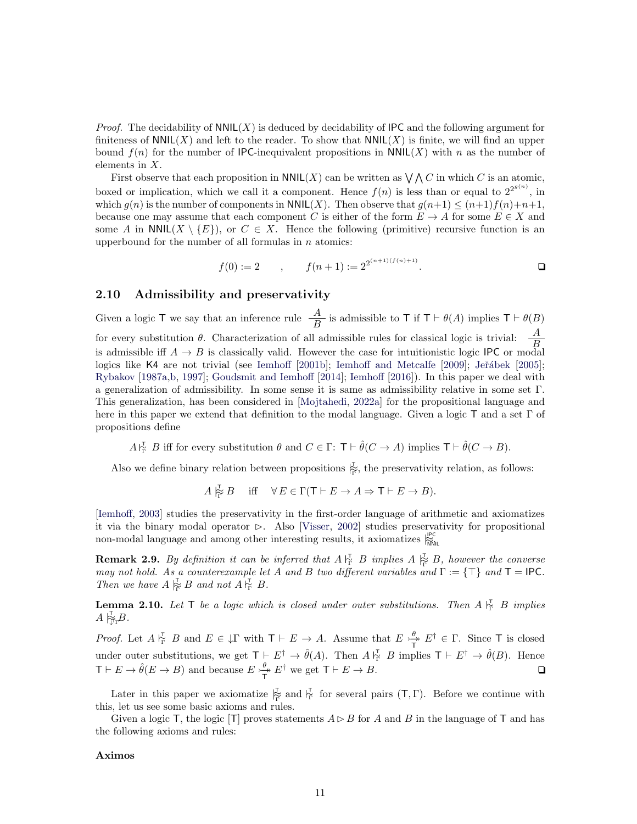*Proof.* The decidability of  $NNIL(X)$  is deduced by decidability of IPC and the following argument for finiteness of  $NNIL(X)$  and left to the reader. To show that  $NNIL(X)$  is finite, we will find an upper bound  $f(n)$  for the number of IPC-inequivalent propositions in NNIL(X) with n as the number of elements in X.

First observe that each proposition in  $NNIL(X)$  can be written as  $\bigvee \bigwedge C$  in which C is an atomic, boxed or implication, which we call it a component. Hence  $f(n)$  is less than or equal to  $2^{2^{g(n)}}$ , in which  $g(n)$  is the number of components in  $\text{NNIL}(X)$ . Then observe that  $g(n+1) \leq (n+1)f(n)+n+1$ , because one may assume that each component C is either of the form  $E \to A$  for some  $E \in X$  and some A in  $NNIL(X \setminus \{E\})$ , or  $C \in X$ . Hence the following (primitive) recursive function is an upperbound for the number of all formulas in  $n$  atomics:

$$
f(0) := 2 \qquad , \qquad f(n+1) := 2^{2^{(n+1)(f(n)+1)}}.
$$

## <span id="page-10-0"></span>2.10 Admissibility and preservativity

Given a logic T we say that an inference rule  $\frac{A}{B}$  is admissible to T if  $T \vdash \theta(A)$  implies  $T \vdash \theta(B)$ for every substitution  $\theta$ . Characterization of all admissible rules for classical logic is trivial:  $\frac{A}{B}$ is admissible iff  $A \rightarrow B$  is classically valid. However the case for intuitionistic logic IPC or modal logics like K4 are not trivial (see [Iemhoff](#page-46-12) [\[2001b\]](#page-46-12); [Iemhoff and Metcalfe](#page-46-13) [\[2009\]](#page-46-13); Jeřábek [\[2005\]](#page-46-14); [Rybakov](#page-46-15) [\[1987a,](#page-46-15)[b,](#page-46-16) [1997\]](#page-46-17); [Goudsmit and Iemhoff](#page-46-18) [\[2014\]](#page-46-18); [Iemhoff](#page-46-19) [\[2016\]](#page-46-19)). In this paper we deal with a generalization of admissibility. In some sense it is same as admissibility relative in some set Γ. This generalization, has been considered in [\[Mojtahedi,](#page-46-9) [2022a\]](#page-46-9) for the propositional language and here in this paper we extend that definition to the modal language. Given a logic  $\mathsf T$  and a set  $\Gamma$  of propositions define

 $A\substack{\Gamma \subset \Gamma \ \Gamma}$  B iff for every substitution  $\theta$  and  $C \in \Gamma: \mathsf{T} \vdash \hat{\theta}(C \to A)$  implies  $\mathsf{T} \vdash \hat{\theta}(C \to B)$ .

Also we define binary relation between propositions  $\overline{\mathbb{F}}$ , the preservativity relation, as follows:

 $A \vert_{\widetilde{\Gamma}} B$  iff  $\forall E \in \Gamma(\mathsf{T} \vdash E \to A \Rightarrow \mathsf{T} \vdash E \to B).$ 

[\[Iemhoff,](#page-46-5) [2003\]](#page-46-5) studies the preservativity in the first-order language of arithmetic and axiomatizes it via the binary modal operator  $\triangleright$ . Also [\[Visser,](#page-47-2) [2002\]](#page-47-2) studies preservativity for propositional non-modal language and among other interesting results, it axiomatizes  $\frac{P}{N}$ 

**Remark 2.9.** By definition it can be inferred that  $A \nightharpoonup_{\Gamma}^{\mathcal{T}} B$  implies  $A \nightharpoonup_{\Gamma}^{\mathcal{T}} B$ , however the converse may not hold. As a counterexample let A and B two different variables and  $\Gamma := \{\top\}$  and  $\mathsf{T} = \mathsf{IPC}$ . Then we have  $A \rvert_{\widetilde{\Gamma}}^{\mathsf{T}} B$  and not  $A \rvert_{\Gamma}^{\mathsf{T}} B$ .

<span id="page-10-1"></span>**Lemma 2.10.** Let T be a logic which is closed under outer substitutions. Then  $A \nightharpoonup^{\mathsf{T}}_{\mathsf{T}} B$  implies  $A \nvert_{\widetilde{\mathbb{T}}_{\Gamma}}^{\mathsf{T}} B.$ 

*Proof.* Let  $A \vDash_{\Gamma}^{\mathcal{T}} B$  and  $E \in \mathcal{T}$  with  $\mathcal{T} \vdash E \rightarrow A$ . Assume that  $E \vDash_{\Gamma}^{\theta}$  $\frac{\theta}{T}$   $E^{\dagger} \in \Gamma$ . Since T is closed under outer substitutions, we get  $\mathsf{T} \vdash E^{\dagger} \rightarrow \hat{\theta}(A)$ . Then  $A \, \mathsf{L}_{\Gamma}^{\mathsf{T}} \, B$  implies  $\mathsf{T} \vdash E^{\dagger} \rightarrow \hat{\theta}(B)$ . Hence  $\mathsf{T} \vdash E \to \hat{\theta}(E \to B)$  and because  $E \to \to^{\theta}$  $\frac{\theta}{T} E^{\dagger}$  we get  $T \vdash E \to B$ .

Later in this paper we axiomatize  $\frac{1}{\Gamma}$  and  $\frac{1}{\Gamma}$  for several pairs  $(T, \Gamma)$ . Before we continue with this, let us see some basic axioms and rules.

Given a logic T, the logic  $[T]$  proves statements  $A \triangleright B$  for A and B in the language of T and has the following axioms and rules:

#### Aximos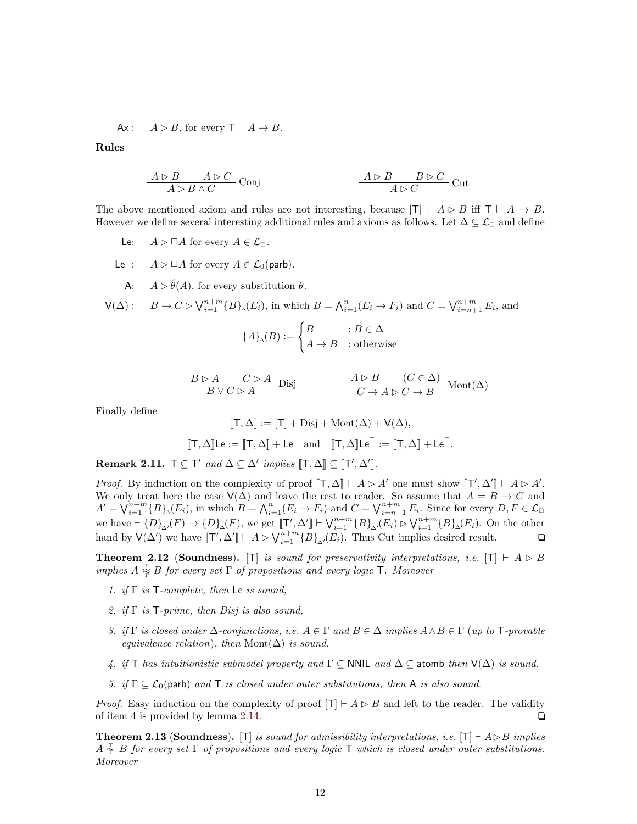Ax:  $A \triangleright B$ , for every  $\mathsf{T} \vdash A \to B$ .

Rules

$$
\cfrac{A \rhd B \qquad A \rhd C}{A \rhd B \wedge C} \text{Conj} \qquad \cfrac{A \rhd B \qquad B \rhd C}{A \rhd C} \text{Cut}
$$

The above mentioned axiom and rules are not interesting, because  $[T] \vdash A \rhd B$  iff  $T \vdash A \rightarrow B$ . However we define several interesting additional rules and axioms as follows. Let  $\Delta \subseteq \mathcal{L}_{\Box}$  and define

- Le:  $A \triangleright \square A$  for every  $A \in \mathcal{L}_{\square}$ .
- Le<sup> $\overline{\phantom{a}}$ </sup>:  $A \triangleright \Box A$  for every  $A \in \mathcal{L}_0(\text{parb})$ .
	- A:  $A \rhd \hat{\theta}(A)$ , for every substitution  $\theta$ .

$$
\mathsf{V}(\Delta): \quad B \to C \rhd \bigvee_{i=1}^{n+m} \{B\}_{\Delta}(E_i), \text{ in which } B = \bigwedge_{i=1}^n (E_i \to F_i) \text{ and } C = \bigvee_{i=n+1}^{n+m} E_i, \text{ and }
$$
\n
$$
\{A\} \cdot (D) \qquad \begin{cases} B & \text{if } B \subseteq \Delta \end{cases}
$$

$$
\{A\}_{\Delta}(B) := \begin{cases} B & : B \in \Delta \\ A \to B & : \text{otherwise} \end{cases}
$$

$$
\frac{B \triangleright A \qquad C \triangleright A}{B \vee C \triangleright A} \text{ Disj} \qquad \qquad \frac{A \triangleright B \qquad (C \in \Delta)}{C \to A \triangleright C \to B} \text{ Mont}(\Delta)
$$

.

Finally define

$$
[\![T, \Delta]\!] := [\![T] + \text{Disj} + \text{Mont}(\Delta) + \text{V}(\Delta),
$$

$$
[\![T, \Delta]\!] \text{Le} := [\![T, \Delta]\!] + \text{Le} \quad \text{and} \quad [\![T, \Delta]\!] \text{Le}^- := [\![T, \Delta]\!] + \text{Le}^-
$$

<span id="page-11-0"></span>Remark 2.11.  $\mathsf{T} \subseteq \mathsf{T}'$  and  $\Delta \subseteq \Delta'$  implies  $[\![\mathsf{T}, \Delta]\!] \subseteq [\![\mathsf{T}', \Delta']\!]$ .

*Proof.* By induction on the complexity of proof  $[[T, \Delta]] \vdash A \triangleright A'$  one must show  $[[T', \Delta'] \vdash A \triangleright A'.$ We only treat here the case  $\mathsf{V}(\Delta)$  and leave the rest to reader. So assume that  $A = B \to C$  and  $A' = \bigvee_{i=1}^{n+m} {B_{\Delta}(E_i)}$ , in which  $B = \bigwedge_{i=1}^{n} (E_i \to F_i)$  and  $C = \bigvee_{i=n+1}^{n+m} E_i$ . Since for every  $D, F \in \mathcal{L}_{\Box}$ we have  $\vdash \{D\}_{\Delta}(F) \to \{D\}_{\Delta}(F)$ , we get  $[\![\mathsf{T}', \Delta']\!] \vdash \bigvee_{i=1}^{n+m} \{B\}_{\Delta}(E_i) \rhd \bigvee_{i=1}^{n+m} \{B\}_{\Delta}(E_i)$ . On the other hand by  $\mathsf{V}(\Delta')$  we have  $[\![\mathsf{T}', \Delta']\!] \vdash A \rhd \bigvee_{i=1}^{n+m} \{B\}_{\Delta'}(E_i)$ . Thus Cut implies desired result.  $\Box$ 

<span id="page-11-1"></span>**Theorem 2.12 (Soundness).** [T] is sound for preservativity interpretations, i.e.  $[T] \vdash A \triangleright B$ implies  $A \succeq_{\widetilde{\Gamma}} B$  for every set  $\Gamma$  of propositions and every logic  $\mathsf T$ . Moreover

- 1. if  $\Gamma$  is  $\mathsf{T}\text{-complete}$ , then Le is sound,
- 2. if  $\Gamma$  is  $\mathsf{T}\text{-prime}$ , then Disj is also sound,
- 3. if  $\Gamma$  is closed under  $\Delta$ -conjunctions, i.e.  $A \in \Gamma$  and  $B \in \Delta$  implies  $A \wedge B \in \Gamma$  (up to  $\top$ -provable equivalence relation), then Mont $(\Delta)$  is sound.
- 4. if T has intuitionistic submodel property and  $\Gamma \subseteq$  NNIL and  $\Delta \subseteq$  atomb then  $V(\Delta)$  is sound.
- 5. if  $\Gamma \subseteq \mathcal{L}_0$ (parb) and  $\top$  is closed under outer substitutions, then A is also sound.

*Proof.* Easy induction on the complexity of proof  $[T] \vdash A \triangleright B$  and left to the reader. The validity of item 4 is provided by lemma [2.14.](#page-12-1)  $\Box$ 

<span id="page-11-2"></span>**Theorem 2.13 (Soundness).** [T] is sound for admissibility interpretations, i.e. [T]  $\vdash A \triangleright B$  implies  $A\substack{*\tau* \\ <sub>\tau</sub>}$  B for every set  $\Gamma$  of propositions and every logic  $\Gamma$  which is closed under outer substitutions. Moreover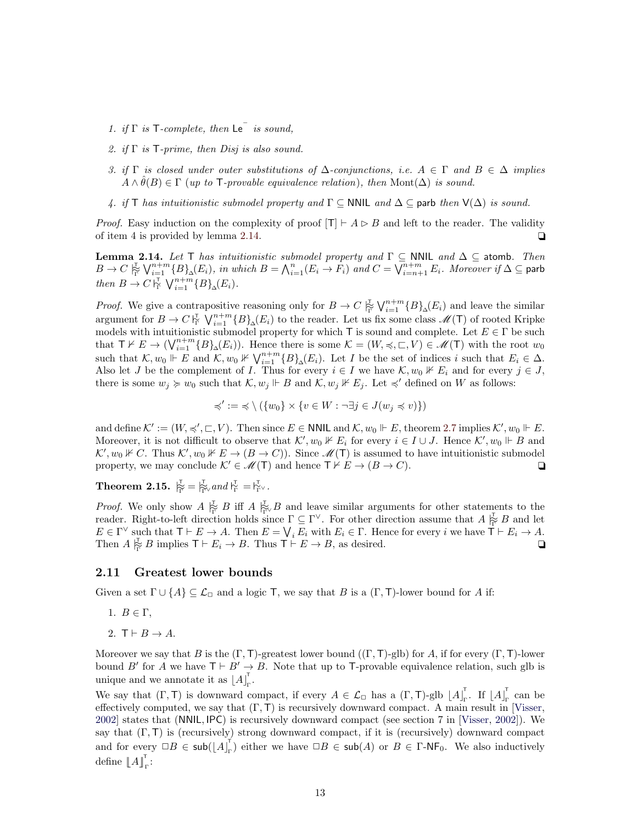- 1. if  $\Gamma$  is  $\mathsf{T}\text{-complete}$ , then  $\mathsf{Le}^{\mathsf{T}}$  is sound,
- 2. if  $\Gamma$  is  $\mathsf{T}\text{-prime}$ , then Disj is also sound.
- 3. if  $\Gamma$  is closed under outer substitutions of  $\Delta$ -conjunctions, i.e.  $A \in \Gamma$  and  $B \in \Delta$  implies  $A \wedge \hat{\theta}(B) \in \Gamma$  (up to T-provable equivalence relation), then Mont( $\Delta$ ) is sound.
- 4. if T has intuitionistic submodel property and  $\Gamma \subset \text{NNIL}$  and  $\Delta \subset \text{parb}$  then  $\mathsf{V}(\Delta)$  is sound.

*Proof.* Easy induction on the complexity of proof  $|T| \vdash A \triangleright B$  and left to the reader. The validity of item 4 is provided by lemma [2.14.](#page-12-1)  $\Box$ 

<span id="page-12-1"></span>**Lemma 2.14.** Let T has intuitionistic submodel property and  $\Gamma \subseteq$  NNIL and  $\Delta \subseteq$  atomb. Then  $B\to C\mathop{\mathbb{R}}\limits^{\mathbb{T}}\bigvee_{i=1}^{n+m}\{B\}_\Delta(E_i),$  in which  $B=\bigwedge_{i=1}^n(E_i\to F_i)$  and  $C=\bigvee_{i=n+1}^{n+m}E_i.$  Moreover if  $\Delta\subseteq$  parb then  $B \to C \, \overline{\mathcal{C}} \, \bigvee_{i=1}^{n+m} \{B\}_{\Delta}(E_i)$ .

*Proof.* We give a contrapositive reasoning only for  $B \to C \rvert_{\Gamma}^{\Gamma} \bigvee_{i=1}^{n+m} \{B\}_{\Delta}(E_i)$  and leave the similar argument for  $B \to C \gamma_{\Gamma}^{\Gamma} \setminus V_{i=1}^{n+m} \{B\}_{\Delta}(E_i)$  to the reader. Let us fix some class  $\mathscr{M}(\mathsf{T})$  of rooted Kripke models with intuitionistic submodel property for which T is sound and complete. Let  $E \in \Gamma$  be such that  $\mathsf{T} \nvdash E \to (\bigvee_{i=1}^{n+m} \{B\}_{\Delta}(E_i)).$  Hence there is some  $\mathcal{K} = (W, \preccurlyeq, \sqsubset, V) \in \mathcal{M}(\mathsf{T})$  with the root  $w_0$ such that  $\mathcal{K}, w_0 \Vdash E$  and  $\mathcal{K}, w_0 \nVdash \bigvee_{i=1}^{n+m} {\{B\}}_{\Delta}(E_i)$ . Let I be the set of indices i such that  $E_i \in \Delta$ . Also let J be the complement of I. Thus for every  $i \in I$  we have  $\mathcal{K}, w_0 \nVdash E_i$  and for every  $j \in J$ , there is some  $w_j \succcurlyeq w_0$  such that  $\mathcal{K}, w_j \Vdash B$  and  $\mathcal{K}, w_j \nvDash E_j$ . Let  $\preccurlyeq'$  defined on W as follows:

$$
\preccurlyeq' := \preccurlyeq \setminus (\{w_0\} \times \{v \in W : \neg \exists j \in J(w_j \preccurlyeq v)\})
$$

and define  $K' := (W, \preccurlyeq', \sqsubset, V)$ . Then since  $E \in \mathsf{NNIL}$  and  $\mathcal{K}, w_0 \Vdash E$ , theorem [2.7](#page-9-1) implies  $\mathcal{K}', w_0 \Vdash E$ . Moreover, it is not difficult to observe that  $\mathcal{K}', w_0 \nVdash E_i$  for every  $i \in I \cup J$ . Hence  $\mathcal{K}', w_0 \Vdash B$  and  $\mathcal{K}', w_0 \nVdash C$ . Thus  $\mathcal{K}', w_0 \nVdash E \to (B \to C)$ . Since  $\mathcal{M}(T)$  is assumed to have intuitionistic submodel property, we may conclude  $\mathcal{K}' \in \mathcal{M}(T)$  and hence  $T \nvdash E \rightarrow (B \rightarrow C)$ .

<span id="page-12-2"></span>Theorem 2.15.  $\overline{\overline{F}}_{\overline{\Gamma}} = \overline{\overline{F}}_{\overline{\Gamma}}$  and  $\overline{F}_{\overline{\Gamma}} = \overline{F}_{\overline{\Gamma}}$ .

*Proof.* We only show  $A \not\models_{\Gamma}^{\mathcal{I}} B$  iff  $A \not\models_{\Gamma}^{\mathcal{I}} B$  and leave similar arguments for other statements to the reader. Right-to-left direction holds since  $\Gamma \subseteq \Gamma^{\vee}$ . For other direction assume that  $A \not\stackrel{\tau}{\mid}_{\Gamma} B$  and let  $E \in \Gamma^{\vee}$  such that  $\mathsf{T} \vdash E \to A$ . Then  $E = \bigvee_i E_i$  with  $E_i \in \Gamma$ . Hence for every i we have  $\mathsf{T} \vdash E_i \to A$ . Then  $A \stackrel{\mathsf{T}}{\underset{\mathsf{P}}{\rightleftharpoons}} B$  implies  $\mathsf{T} \vdash E_i \to B$ . Thus  $\mathsf{T} \vdash E \to B$ , as desired.

#### <span id="page-12-0"></span>2.11 Greatest lower bounds

Given a set  $\Gamma \cup \{A\} \subseteq \mathcal{L}_{\Box}$  and a logic T, we say that B is a  $(\Gamma, \mathsf{T})$ -lower bound for A if:

- 1.  $B \in \Gamma$ ,
- 2.  $T \vdash B \rightarrow A$ .

Moreover we say that B is the  $(\Gamma, \mathsf{T})$ -greatest lower bound  $((\Gamma, \mathsf{T})$ -glb) for A, if for every  $(\Gamma, \mathsf{T})$ -lower bound B' for A we have  $T \vdash B' \rightarrow B$ . Note that up to T-provable equivalence relation, such glb is unique and we annotate it as  $[A]_r^T$ .<br><sub>Γ</sub>'

We say that  $(\Gamma, \mathsf{T})$  is downward compact, if every  $A \in \mathcal{L}_{\Box}$  has a  $(\Gamma, \mathsf{T})$ -glb  $\left[A\right]_{\Gamma}^{\mathsf{T}}$  $_{\Gamma}^{\mathsf{T}}$ . If  $\left\lfloor A \right\rfloor_{\Gamma}^{\mathsf{T}}$ Γ can be effectively computed, we say that  $(\Gamma, \Gamma)$  is recursively downward compact. A main result in [\[Visser,](#page-47-2) [2002\]](#page-47-2) states that (NNIL, IPC) is recursively downward compact (see section 7 in [\[Visser,](#page-47-2) [2002\]](#page-47-2)). We say that  $(\Gamma, \mathsf{T})$  is (recursively) strong downward compact, if it is (recursively) downward compact and for every  $\Box B \in \mathsf{sub}(\vert A \vert_{\mathsf{m}}^{\mathsf{T}}$  $\Gamma_{\Gamma}$ ) either we have  $\Box B \in \mathsf{sub}(A)$  or  $B \in \Gamma$ -NF<sub>0</sub>. We also inductively define  $\llbracket A \rrbracket_{\Gamma}^{\mathsf{T}}$ :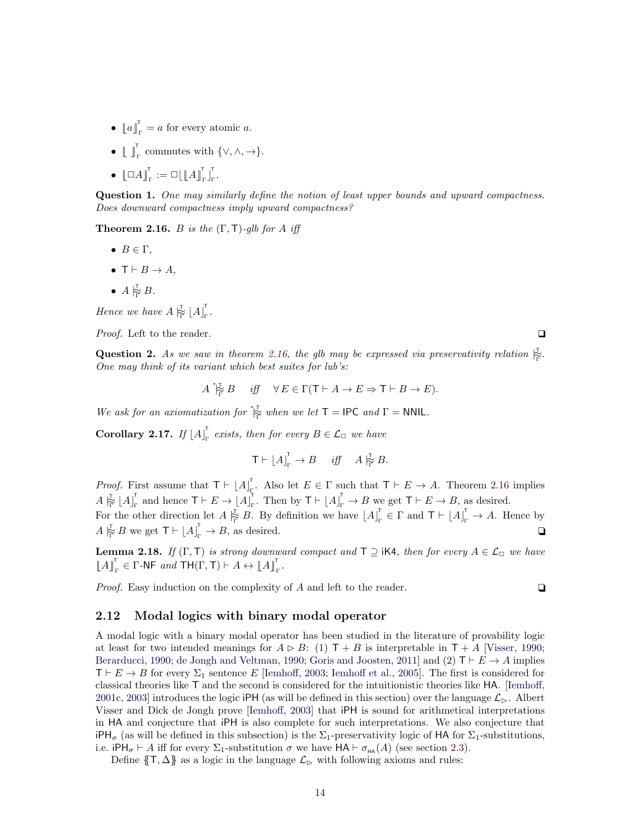- $\llbracket a \rrbracket_{\Gamma}^{\mathsf{T}} = a$  for every atomic a.
- $\mathbb{L} \mathbb{I}_{\Gamma}^{\mathsf{T}}$  commutes with  $\{\vee, \wedge, \rightarrow\}.$
- $\bullet$   $\llbracket \Box A \rrbracket_{\Gamma}^{\mathsf{T}} := \Box \llbracket \llbracket A \rrbracket_{\Gamma}^{\mathsf{T}} \rrbracket_{\Gamma}^{\mathsf{T}}$ .<br><sub>Γ</sub>'

Question 1. One may similarly define the notion of least upper bounds and upward compactness. Does downward compactness imply upward compactness?

<span id="page-13-1"></span>**Theorem 2.16.** B is the  $(\Gamma, \mathsf{T})$ -glb for A iff

- $B \in \Gamma$ .
- $T \vdash B \rightarrow A$ .
- $A \underset{\Gamma}{\not\succsim} B$ .

Hence we have  $A \vert_{\widetilde{\Gamma}}^{\mathsf{T}} \lfloor A \rfloor_{\Gamma}^{\mathsf{T}}$ .<br><sub>Γ</sub>'

*Proof.* Left to the reader.  $\Box$ 

Question 2. As we saw in theorem [2.16,](#page-13-1) the glb may be expressed via preservativity relation  $\mathbb{R}^7$ . One may think of its variant which best suites for lub's:

$$
A \stackrel{\ast\tau}{\underset{\Gamma}{\mapsto}} B \quad \text{iff} \quad \forall \, E \in \Gamma(\mathsf{T} \vdash A \to E \Rightarrow \mathsf{T} \vdash B \to E).
$$

We ask for an axiomatization for  $\stackrel{*}{\not\vdash}$  when we let  $\mathsf{T} = \mathsf{IPC}$  and  $\mathsf{\Gamma} = \mathsf{NNIL}$ .

<span id="page-13-2"></span>Corollary 2.17. If  $|A|_r^T$  $\Gamma_{\Gamma}$  exists, then for every  $B \in \mathcal{L}_{\square}$  we have

$$
\mathsf{T}\vdash \lfloor A\rfloor_{\Gamma}^{\mathsf{T}}\to B\quad\textit{iff}\quad A\overset{\mathsf{T}}{\not\cong} B.
$$

*Proof.* First assume that  $T \vdash |A|$ <sup>1</sup>. Also let  $E \in \Gamma$  such that  $\mathsf{T} \vdash E \to A$ . Theorem [2.16](#page-13-1) implies  $A \stackrel{\intercal}{\approx} \left[A\right]_{\!\scriptscriptstyle\Gamma}^{\!\!\top}$  $_{\Gamma}^{\mathsf{T}}$  and hence  $\mathsf{T}\vdash E\to\left\lfloor A\right\rfloor _{\Gamma}^{\mathsf{T}}$ <sup>T</sup><sub>r</sub>. Then by  $T \vdash \lfloor A \rfloor_{r}^{T} \rightarrow B$  we get  $T \vdash E \rightarrow B$ , as desired.

For the other direction let  $A \not\stackrel{\tau}{\mid}_{\Gamma} B$ . By definition we have  $\lfloor A \rfloor_{\Gamma}$  $\Gamma_{\Gamma}^{\mathsf{T}} \in \Gamma$  and  $\mathsf{T} \vdash \lfloor A \rfloor_{\Gamma}^{\mathsf{T}} \to A$ . Hence by  $A \vert_{\Gamma}^{\mathcal{I}} B$  we get  $\mathsf{T} \vdash \lfloor A \rfloor_{\Gamma}^{\mathcal{I}} \to B$ , as desired.

<span id="page-13-3"></span>**Lemma 2.18.** If  $(\Gamma, \mathsf{T})$  is strong downward compact and  $\mathsf{T} \supseteq \mathsf{i} \mathsf{K} \mathsf{4}$ , then for every  $A \in \mathcal{L}_{\Box}$  we have  $\llbracket A \rrbracket_{\Gamma}^{\mathsf{T}} \in \Gamma$ -NF and  $\mathsf{TH}(\Gamma, \mathsf{T}) \vdash A \leftrightarrow \llbracket A \rrbracket_{\Gamma}^{\mathsf{T}}$ .

Proof. Easy induction on the complexity of A and left to the reader.

$$
\Box
$$

#### <span id="page-13-0"></span>2.12 Modal logics with binary modal operator

A modal logic with a binary modal operator has been studied in the literature of provability logic at least for two intended meanings for  $A \triangleright B$ : (1)  $T + B$  is interpretable in  $T + A$  [\[Visser,](#page-47-4) [1990;](#page-47-4) [Berarducci,](#page-45-9) [1990;](#page-45-10) [de Jongh and Veltman,](#page-45-10) 1990; [Goris and Joosten,](#page-46-20) [2011\]](#page-46-20) and (2)  $\mathsf{T} \vdash E \to A$  implies  $T \vdash E \rightarrow B$  for every  $\Sigma_1$  sentence E [\[Iemhoff,](#page-46-5) [2003;](#page-46-5) [Iemhoff et al.,](#page-46-21) [2005\]](#page-46-21). The first is considered for classical theories like T and the second is considered for the intuitionistic theories like HA. [\[Iemhoff,](#page-46-6) [2001c,](#page-46-6) [2003\]](#page-46-5) introduces the logic iPH (as will be defined in this section) over the language  $\mathcal{L}_{\triangleright}$ . Albert Visser and Dick de Jongh prove [\[Iemhoff,](#page-46-5) [2003\]](#page-46-5) that iPH is sound for arithmetical interpretations in HA and conjecture that iPH is also complete for such interpretations. We also conjecture that  $iPH_{\sigma}$  (as will be defined in this subsection) is the  $\Sigma_1$ -preservativity logic of HA for  $\Sigma_1$ -substitutions, i.e. iPH<sub> $\sigma$ </sub>  $\vdash$  A iff for every  $\Sigma_1$ -substitution  $\sigma$  we have HA  $\vdash$   $\sigma_{HA}(A)$  (see section [2.3\)](#page-3-1).

Define  $\{T, \Delta\}$  as a logic in the language  $\mathcal{L}_{\triangleright}$  with following axioms and rules: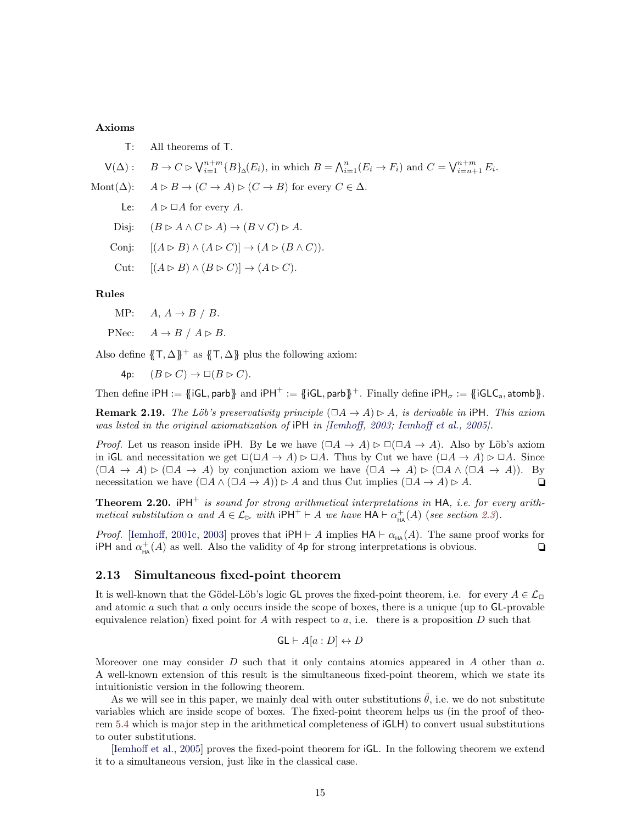#### Axioms

T: All theorems of T.

$$
\mathsf{V}(\Delta): \quad B \to C \rhd \bigvee_{i=1}^{n+m} \{B\}_{\Delta}(E_i), \text{ in which } B = \bigwedge_{i=1}^n (E_i \to F_i) \text{ and } C = \bigvee_{i=n+1}^{n+m} E_i.
$$

- Mont( $\Delta$ ):  $A \triangleright B \rightarrow (C \rightarrow A) \triangleright (C \rightarrow B)$  for every  $C \in \Delta$ .
	- Le:  $A \triangleright \square A$  for every A.
	- Disj:  $(B \triangleright A \wedge C \triangleright A) \rightarrow (B \vee C) \triangleright A$ .
	- Conj:  $[(A \triangleright B) \wedge (A \triangleright C)] \rightarrow (A \triangleright (B \wedge C)).$
	- Cut:  $[(A \triangleright B) \wedge (B \triangleright C)] \rightarrow (A \triangleright C).$

#### Rules

- MP:  $A, A \rightarrow B / B$ .
- PNec:  $A \rightarrow B / A \rhd B$ .

Also define  $\{\mathsf{T}, \Delta\}$ <sup>+</sup> as  $\{\mathsf{T}, \Delta\}$  plus the following axiom:

4p:  $(B \triangleright C) \rightarrow \Box (B \triangleright C)$ .

Then define iPH :=  $\{iGL, \text{parb}\}$  and iPH<sup>+</sup> :=  $\{iGL, \text{parb}\}$ <sup>+</sup>. Finally define  $iPH_{\sigma} := \{iGLC_{a}, \text{atomb}\}$ .

**Remark 2.19.** The Löb's preservativity principle  $(\Box A \rightarrow A) \triangleright A$ , is derivable in iPH. This axiom was listed in the original axiomatization of iPH in [\[Iemhoff,](#page-46-5) [2003;](#page-46-5) [Iemhoff et al.,](#page-46-21) [2005\]](#page-46-21).

*Proof.* Let us reason inside iPH. By Le we have  $(\Box A \to A) \triangleright \Box (\Box A \to A)$ . Also by Löb's axiom in iGL and necessitation we get  $\square(\square A \rightarrow A) \triangleright \square A$ . Thus by Cut we have  $(\square A \rightarrow A) \triangleright \square A$ . Since  $(\Box A \to A) \triangleright (\Box A \to A)$  by conjunction axiom we have  $(\Box A \to A) \triangleright (\Box A \to A)$ . By necessitation we have  $(\Box A \land (\Box A \to A)) \triangleright A$  and thus Cut implies  $(\Box A \to A) \triangleright A$ .

<span id="page-14-1"></span>**Theorem 2.20.** iPH<sup>+</sup> is sound for strong arithmetical interpretations in HA, i.e. for every arithmetical substitution  $\alpha$  and  $A \in \mathcal{L}_{\triangleright}$  with  $P H^+ \vdash A$  we have  $H A \vdash \alpha^+_{HA}(A)$  (see section [2.3](#page-3-1)).

*Proof.* [\[Iemhoff,](#page-46-6) [2001c,](#page-46-6) [2003\]](#page-46-5) proves that  $P H \vdash A$  implies  $H A \vdash \alpha_{HA}(A)$ . The same proof works for iPH and  $\alpha_{\text{HA}}^+(A)$  as well. Also the validity of 4p for strong interpretations is obvious.

#### <span id="page-14-0"></span>2.13 Simultaneous fixed-point theorem

It is well-known that the Gödel-Löb's logic GL proves the fixed-point theorem, i.e. for every  $A \in \mathcal{L}_{\Box}$ and atomic  $a$  such that  $a$  only occurs inside the scope of boxes, there is a unique (up to  $GL$ -provable equivalence relation) fixed point for A with respect to a, i.e. there is a proposition  $D$  such that

$$
GL \vdash A[a : D] \leftrightarrow D
$$

Moreover one may consider  $D$  such that it only contains atomics appeared in  $A$  other than  $a$ . A well-known extension of this result is the simultaneous fixed-point theorem, which we state its intuitionistic version in the following theorem.

As we will see in this paper, we mainly deal with outer substitutions  $\hat{\theta}$ , i.e. we do not substitute variables which are inside scope of boxes. The fixed-point theorem helps us (in the proof of theorem [5.4](#page-38-0) which is major step in the arithmetical completeness of iGLH) to convert usual substitutions to outer substitutions.

<span id="page-14-2"></span>[\[Iemhoff et al.,](#page-46-21) [2005\]](#page-46-21) proves the fixed-point theorem for iGL. In the following theorem we extend it to a simultaneous version, just like in the classical case.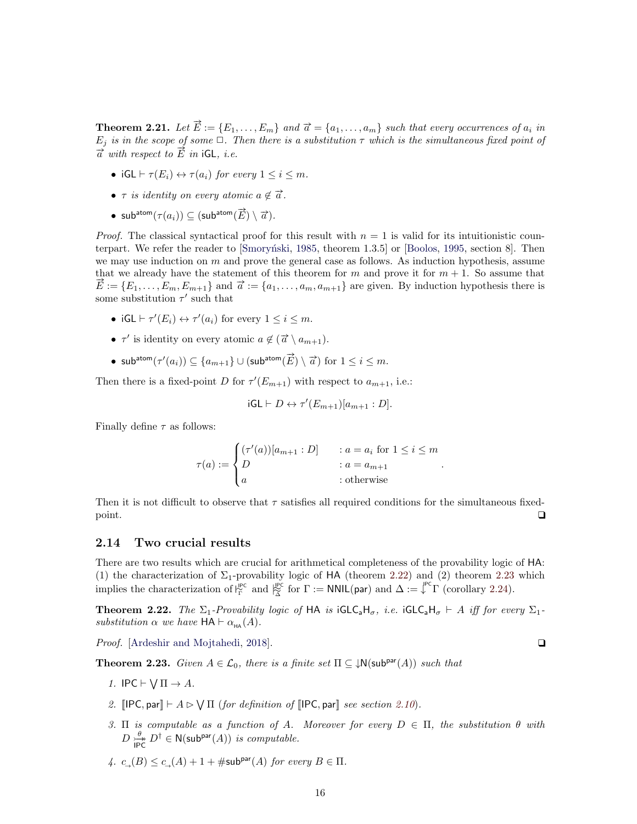**Theorem 2.21.** Let  $\vec{E} := \{E_1, \ldots, E_m\}$  and  $\vec{a} = \{a_1, \ldots, a_m\}$  such that every occurrences of  $a_i$  in  $E_j$  is in the scope of some  $\Box$ . Then there is a substitution  $\tau$  which is the simultaneous fixed point of  $\vec{a}$  with respect to  $\vec{E}$  in iGL, i.e.

- iGL  $\vdash \tau(E_i) \leftrightarrow \tau(a_i)$  for every  $1 \leq i \leq m$ .
- $\tau$  is identity on every atomic  $a \notin \overrightarrow{a}$ .
- sub $\textsf{atom}(\tau(a_i)) \subseteq (\textsf{subatom}(\overrightarrow{E}) \setminus \overrightarrow{a}).$

*Proof.* The classical syntactical proof for this result with  $n = 1$  is valid for its intuitionistic coun-terpart. We refer the reader to [Smorynski, [1985,](#page-46-2) theorem 1.3.5] or [\[Boolos,](#page-45-4) [1995,](#page-45-4) section 8]. Then we may use induction on  $m$  and prove the general case as follows. As induction hypothesis, assume that we already have the statement of this theorem for m and prove it for  $m + 1$ . So assume that  $\vec{E} := \{E_1, \ldots, E_m, E_{m+1}\}\$ and  $\vec{a} := \{a_1, \ldots, a_m, a_{m+1}\}\$ are given. By induction hypothesis there is some substitution  $\tau'$  such that

- iGL  $\vdash \tau'(E_i) \leftrightarrow \tau'(a_i)$  for every  $1 \leq i \leq m$ .
- $\tau'$  is identity on every atomic  $a \notin (\vec{a} \setminus a_{m+1})$ .
- sub<sup>atom</sup>( $\tau'(a_i)$ ) ⊆  $\{a_{m+1}\}\cup$  (sub<sup>atom</sup>( $\overrightarrow{E}) \setminus \overrightarrow{a}$ ) for  $1 \leq i \leq m$ .

Then there is a fixed-point D for  $\tau'(E_{m+1})$  with respect to  $a_{m+1}$ , i.e.:

$$
iGL \vdash D \leftrightarrow \tau'(E_{m+1})[a_{m+1}:D].
$$

Finally define  $\tau$  as follows:

$$
\tau(a) := \begin{cases}\n(\tau'(a))[a_{m+1} : D] & : a = a_i \text{ for } 1 \le i \le m \\
D & : a = a_{m+1} \\
a & : \text{otherwise}\n\end{cases}
$$

Then it is not difficult to observe that  $\tau$  satisfies all required conditions for the simultaneous fixedpoint.  $\Box$ 

#### <span id="page-15-0"></span>2.14 Two crucial results

There are two results which are crucial for arithmetical completeness of the provability logic of HA: (1) the characterization of  $\Sigma_1$ -provability logic of HA (theorem [2.22\)](#page-15-1) and (2) theorem [2.23](#page-15-2) which implies the characterization of  $\vert^{\text{PC}}_{\widetilde{\Gamma}}$  and  $\vert^{\text{PC}}_{\widetilde{\Delta}}$  for  $\Gamma := \text{NNIL}(\text{par})$  and  $\Delta := \downarrow^{\text{PC}} \Gamma$  (corollary [2.24\)](#page-16-1).

<span id="page-15-1"></span>**Theorem 2.22.** The  $\Sigma_1$ -Provability logic of HA is iGLC<sub>a</sub>H<sub>σ</sub>, i.e. iGLC<sub>a</sub>H<sub>σ</sub>  $\vdash$  A iff for every  $\Sigma_1$ substitution  $\alpha$  we have  $HA \vdash \alpha_{HA}(A)$ .

*Proof.* [\[Ardeshir and Mojtahedi,](#page-45-6) [2018\]](#page-45-6).  $\Box$ 

<span id="page-15-2"></span>**Theorem 2.23.** Given  $A \in \mathcal{L}_0$ , there is a finite set  $\Pi \subseteq \downarrow \mathsf{N}(\mathsf{sub}^{\mathsf{par}}(A))$  such that

- 1. IPC  $\vdash \bigvee \Pi \rightarrow A$ .
- 2.  $\text{[IPC}, \text{par}] \vdash A \rhd \bigvee \Pi$  (for definition of  $\text{[IPC}, \text{par}]$  see section [2.10](#page-10-0)).
- 3. Π is computable as a function of A. Moreover for every  $D \in \Pi$ , the substitution  $\theta$  with  $D \stackrel{\theta}{\longrightarrow}$  $\stackrel{\theta}{\underset{\text{IPC}}{\rightleftharpoons}} D^{\dagger} \in N(\text{sub}^{\text{par}}(A))$  is computable.
- 4.  $c_{\square}(B) \leq c_{\square}(A) + 1 + \# \text{sub}^{\text{par}}(A)$  for every  $B \in \Pi$ .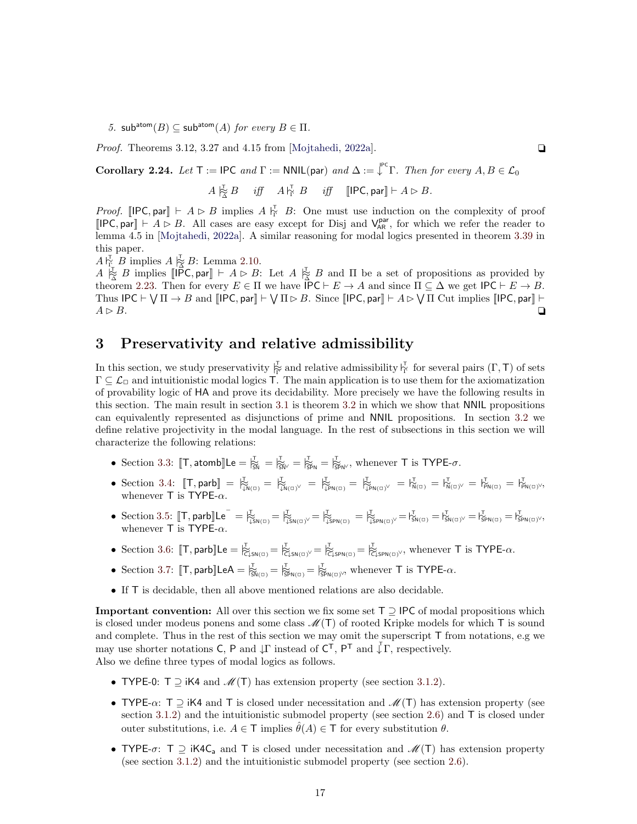5. sub<sup>atom</sup>(B)  $\subset$  sub<sup>atom</sup>(A) for every  $B \in \Pi$ .

*Proof.* Theorems 3.12, 3.27 and 4.15 from [\[Mojtahedi,](#page-46-9) [2022a\]](#page-46-9).  $\Box$ 

<span id="page-16-1"></span>Corollary 2.24. Let  $\mathsf{T} := \mathsf{IPC}$  and  $\Gamma := \mathsf{NNIL}(\mathsf{par})$  and  $\Delta := \int_{\mathsf{T}}^{\mathsf{PC}} \Gamma$ . Then for every  $A, B \in \mathcal{L}_0$ 

 $A \underset{\sim}{\to} B$  iff  $A \underset{\sim}{\downarrow}$  B iff  $[[\mathsf{PC}, \mathsf{par}] \vdash A \rhd B$ .

*Proof.* [IPC, par]  $\vdash A \triangleright B$  implies  $A \vdash_{\Gamma}^{\tau} B$ : One must use induction on the complexity of proof  $[IPC, par] \vdash A \triangleright B$ . All cases are easy except for Disj and  $V_{AR}^{par}$ , for which we refer the reader to lemma 4.5 in [\[Mojtahedi,](#page-46-9) [2022a\]](#page-46-9). A similar reasoning for modal logics presented in theorem [3.39](#page-25-0) in this paper.

 $A\, \substack{\mathsf{T}\downarrow \\ \mathsf{T}_+^{\mathsf{T}}} B$  implies  $A\, \substack{\mathsf{T}\downarrow \\ \mathsf{\Delta}} B$ : Lemma [2.10.](#page-10-1)

 $A \underset{\sim}{\to} B$  implies  $[\overline{[\mathsf{PC}}, \mathsf{par}] \vdash A \triangleright B: \mathsf{Let} A \underset{\sim}{\times} B$  and  $\Pi$  be a set of propositions as provided by theorem [2.23.](#page-15-2) Then for every  $E \in \Pi$  we have  $\mathsf{IPC} \vdash E \to A$  and since  $\Pi \subseteq \Delta$  we get  $\mathsf{IPC} \vdash E \to B$ . Thus  $\text{IPC} \vdash \bigvee \Pi \rightarrow B$  and  $\text{[IPC, par]} \vdash \bigvee \Pi \rhd B$ . Since  $\text{[IPC, par]} \vdash A \rhd \bigvee \Pi$  Cut implies  $\text{[IPC, par]} \vdash$  $A \rhd B$ .

# <span id="page-16-0"></span>3 Preservativity and relative admissibility

In this section, we study preservativity  $\overline{\xi}$  and relative admissibility  $\overline{\xi}$  for several pairs  $(\Gamma, \mathsf{T})$  of sets  $\Gamma \subseteq \mathcal{L}_{\Box}$  and intuitionistic modal logics T. The main application is to use them for the axiomatization of provability logic of HA and prove its decidability. More precisely we have the following results in this section. The main result in section [3.1](#page-17-0) is theorem [3.2](#page-17-2) in which we show that NNIL propositions can equivalently represented as disjunctions of prime and NNIL propositions. In section [3.2](#page-19-0) we define relative projectivity in the modal language. In the rest of subsections in this section we will characterize the following relations:

- Section [3.3:](#page-20-0)  $[T, \text{atombl}]$ Le  $= \bigvee_{i \leq N}^T = \bigvee_{i \leq N'}^T = \bigvee_{i \leq N}^T$ , whenever T is TYPE- $\sigma$ .
- Section [3.4:](#page-22-0)  $[\![T, \text{parb}]\!] = \frac{1}{N} \sum_{\mu=1}^{N} \sum_{\mu=1}^{N} \sum_{\mu=1}^{N} \sum_{\mu=1}^{N} \sum_{\mu=1}^{N} \sum_{\mu=1}^{N} \sum_{\mu=1}^{N} \sum_{\mu=1}^{N} \sum_{\mu=1}^{N} \sum_{\nu=1}^{N} \sum_{\mu=1}^{N} \sum_{\nu=1}^{N} \sum_{\nu=1}^{N} \sum_{\nu=1}^{N} \sum_{\nu=1}^{N} \sum_{\nu=1}^{N} \sum_{\nu=1}^{$ whenever  $T$  is TYPE- $\alpha$ .
- Section [3.5:](#page-24-0)  $[\![\mathsf{T},\mathsf{parb}]\!] \mathsf{Le}^-=\mathsf{I}_{\widehat{\downarrow} \mathsf{SN}(\Box)}^\mathsf{T}=\mathsf{I}_{\widehat{\downarrow} \mathsf{SN}(\Box)}^\mathsf{T}=\mathsf{I}_{\widehat{\downarrow} \mathsf{SN}(\Box)}^\mathsf{T}=\mathsf{I}_{\widehat{\downarrow} \mathsf{SN}(\Box)}^\mathsf{T}=\mathsf{I}_{\mathsf{SN}(\Box)}^\mathsf{T}=\mathsf{I}_{\mathsf{SN}(\Box)}^\mathsf{T}=\mathsf{I}_{\mathsf{SPN}(\Box)}^\mathsf{T}=\mathsf{I}_{\mathsf{SPN$ whenever  $T$  is TYPE- $\alpha$ .
- Section [3.6:](#page-26-0)  $[T, \text{parb}]\text{Le} = \frac{1}{C} \int_{C \downarrow \text{SN}(G)} E_{C \downarrow \text{SN}(G)} = \frac{1}{C} \int_{C \downarrow \text{SN}(G)} E_{C \downarrow \text{SN}(G)}$ , whenever T is TYPE- $\alpha$ .
- Section [3.7:](#page-28-0)  $[\![T, \text{parb}]\!]$ LeA =  $\frac{1}{|S_{\mathsf{NN}(\square)}} = \frac{1}{|S_{\mathsf{PN}(\square)}}$ , whenever T is TYPE- $\alpha$ .
- If T is decidable, then all above mentioned relations are also decidable.

**Important convention:** All over this section we fix some set  $T \supseteq$  IPC of modal propositions which is closed under modeus ponens and some class  $\mathcal{M}(T)$  of rooted Kripke models for which T is sound and complete. Thus in the rest of this section we may omit the superscript T from notations, e.g we may use shorter notations C, P and  $\downarrow \Gamma$  instead of  $C^{\mathsf{T}}$ ,  $P^{\mathsf{T}}$  and  $\downarrow \Gamma$ , respectively. Also we define three types of modal logics as follows.

- TYPE-0:  $T \supseteq iK4$  and  $\mathcal{M}(T)$  has extension property (see section [3.1.2\)](#page-18-0).
- TYPE- $\alpha$ : T  $\supseteq$  iK4 and T is closed under necessitation and  $\mathcal{M}(T)$  has extension property (see section [3.1.2\)](#page-18-0) and the intuitionistic submodel property (see section [2.6\)](#page-5-1) and T is closed under outer substitutions, i.e.  $A \in \mathsf{T}$  implies  $\hat{\theta}(A) \in \mathsf{T}$  for every substitution  $\theta$ .
- TYPE- $\sigma$ : T  $\supseteq$  iK4C<sub>a</sub> and T is closed under necessitation and  $\mathcal{M}(T)$  has extension property (see section [3.1.2\)](#page-18-0) and the intuitionistic submodel property (see section [2.6\)](#page-5-1).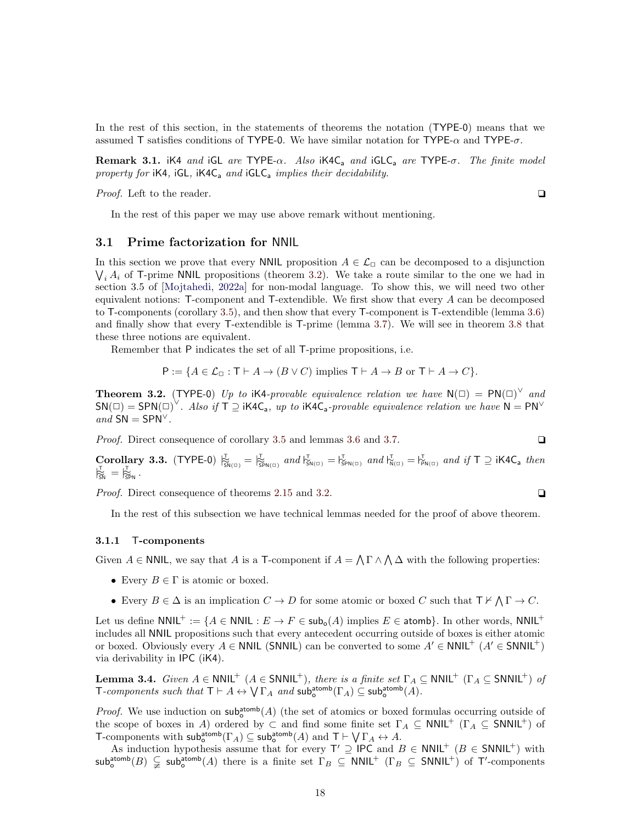In the rest of this section, in the statements of theorems the notation (TYPE-0) means that we assumed T satisfies conditions of TYPE-0. We have similar notation for TYPE- $\alpha$  and TYPE- $\sigma$ .

**Remark 3.1.** iK4 and iGL are TYPE- $\alpha$ . Also iK4C<sub>a</sub> and iGLC<sub>a</sub> are TYPE- $\sigma$ . The finite model property for  $iK4$ ,  $iGL$ ,  $iK4C<sub>a</sub>$  and  $iGLC<sub>a</sub>$  implies their decidability.

*Proof.* Left to the reader.  $\Box$ 

In the rest of this paper we may use above remark without mentioning.

#### <span id="page-17-0"></span>3.1 Prime factorization for NNIL

In this section we prove that every NNIL proposition  $A \in \mathcal{L}_{\Box}$  can be decomposed to a disjunction  $\bigvee_i A_i$  of T-prime NNIL propositions (theorem [3.2\)](#page-17-2). We take a route similar to the one we had in section 3.5 of [\[Mojtahedi,](#page-46-9) [2022a\]](#page-46-9) for non-modal language. To show this, we will need two other equivalent notions: T-component and T-extendible. We first show that every A can be decomposed to T-components (corollary [3.5\)](#page-18-1), and then show that every T-component is T-extendible (lemma [3.6\)](#page-19-1) and finally show that every T-extendible is T-prime (lemma [3.7\)](#page-19-2). We will see in theorem [3.8](#page-19-3) that these three notions are equivalent.

Remember that P indicates the set of all T-prime propositions, i.e.

$$
P := \{ A \in \mathcal{L}_{\Box} : T \vdash A \to (B \lor C) \text{ implies } T \vdash A \to B \text{ or } T \vdash A \to C \}.
$$

<span id="page-17-2"></span>**Theorem 3.2.** (TYPE-0) Up to iK4-provable equivalence relation we have  $N(\square) = PN(\square)^{\vee}$  and  $SN(\square) = SPN(\square)^{\vee}$ . Also if  $\overline{T} \supseteq iK4C_a$ , up to  $iK4C_a$ -provable equivalence relation we have  $N = PN^{\vee}$ and  $SN = SPN^{\vee}$ .

*Proof.* Direct consequence of corollary [3.5](#page-18-1) and lemmas [3.6](#page-19-1) and [3.7.](#page-19-2)  $\Box$ 

<span id="page-17-4"></span> $\text{Corollary 3.3. (Type 5.3.3.}$   $(T^{\text{YPE-0}})$   $\frac{1}{\text{SN}}$  =  $\frac{1}{\text{SN}}$  and  $\frac{1}{\text{SN}}$  =  $\frac{1}{\text{SN}}$  and  $\frac{1}{\text{SN}}$  =  $\frac{1}{\text{SN}}$  and  $\frac{1}{\text{SN}}$  and  $\frac{1}{\text{SN}}$  =  $\frac{1}{\text{SN}}$  and  $\frac{1}{\text{SN}}$  T  $\supseteq$  iK4C<sub>a</sub> then  $\bigtriangledown^{\mathsf{T}}_{\mathsf{SN}} = \bigtriangledown^{\mathsf{T}}_{\mathsf{SPN}}$ .

*Proof.* Direct consequence of theorems [2.15](#page-12-2) and [3.2.](#page-17-2)  $\Box$ 

In the rest of this subsection we have technical lemmas needed for the proof of above theorem.

#### <span id="page-17-1"></span>3.1.1 T-components

Given  $A \in \mathsf{NNIL}$ , we say that A is a T-component if  $A = \bigwedge \Gamma \wedge \bigwedge \Delta$  with the following properties:

- Every  $B \in \Gamma$  is atomic or boxed.
- Every  $B \in \Delta$  is an implication  $C \to D$  for some atomic or boxed C such that  $\mathsf{T} \nvdash \bigwedge \Gamma \to C$ .

Let us define NNIL<sup>+</sup> := {A ∈ NNIL :  $E \to F \in sub_0(A)$  implies  $E \in$  atomb}. In other words, NNIL<sup>+</sup> includes all NNIL propositions such that every antecedent occurring outside of boxes is either atomic or boxed. Obviously every  $A \in \text{NNIL}$  (SNNIL) can be converted to some  $A' \in \text{NNIL}^+$  ( $A' \in \text{SNNIL}^+$ ) via derivability in IPC (iK4).

<span id="page-17-3"></span>**Lemma 3.4.** Given  $A \in \text{NNIL}^+$  ( $A \in \text{SNNIL}^+$ ), there is a finite set  $\Gamma_A \subseteq \text{NNIL}^+$  ( $\Gamma_A \subseteq \text{SNNIL}^+$ ) of T-components such that  $T \vdash A \leftrightarrow \bigvee \Gamma_A$  and  $\mathsf{sub}^{\mathsf{atomb}}_o(\Gamma_A) \subseteq \mathsf{sub}^{\mathsf{atomb}}_o(A)$ .

*Proof.* We use induction on  $\mathsf{sub}^{\mathsf{atomb}}_{\mathsf{o}}(A)$  (the set of atomics or boxed formulas occurring outside of the scope of boxes in A) ordered by  $\subset$  and find some finite set  $\Gamma_A \subseteq \text{NNIL}^+$  ( $\Gamma_A \subseteq \text{SNNIL}^+$ ) of T-components with  $\mathsf{sub}^{\mathsf{atomb}}_o(\Gamma_A) \subseteq \mathsf{sub}^{\mathsf{atomb}}_o(A)$  and  $T \vdash \bigvee \Gamma_A \leftrightarrow A$ .

As induction hypothesis assume that for every  $\mathsf{T}' \supseteq \mathsf{IPC}$  and  $B \in \mathsf{NNIL}^+$  ( $B \in \mathsf{SNNIL}^+$ ) with  $\mathsf{sub}^{\mathsf{atomb}}_o(B) \subsetneq \mathsf{sub}^{\mathsf{atomb}}_o(A)$  there is a finite set  $\Gamma_B \subseteq \mathsf{NNIIL}^+$  ( $\Gamma_B \subseteq \mathsf{SNNIL}^+$ ) of T'-components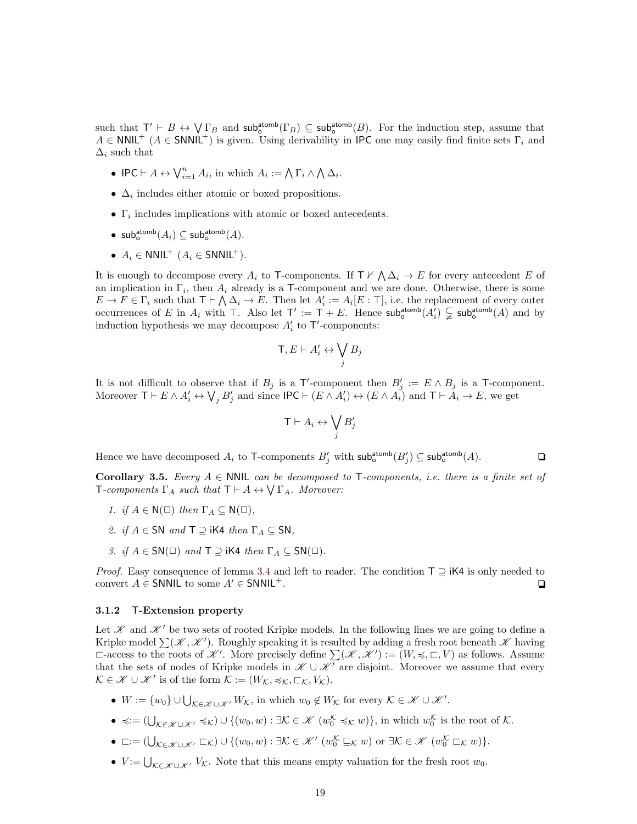such that  $T' \vdash B \leftrightarrow \bigvee \Gamma_B$  and  $\mathsf{sub}^{\mathsf{atomb}}_o(\Gamma_B) \subseteq \mathsf{sub}^{\mathsf{atomb}}_o(B)$ . For the induction step, assume that  $A \in \text{NNIL}^+$  ( $A \in \text{SNNIL}^+$ ) is given. Using derivability in IPC one may easily find finite sets  $\Gamma_i$  and  $\Delta_i$  such that

- IPC  $\vdash A \leftrightarrow \bigvee_{i=1}^{n} A_i$ , in which  $A_i := \bigwedge \Gamma_i \wedge \bigwedge \Delta_i$ .
- $\Delta_i$  includes either atomic or boxed propositions.
- $\Gamma_i$  includes implications with atomic or boxed antecedents.
- $\mathsf{sub}^{\mathsf{atomb}}_\mathsf{o}(A_i) \subseteq \mathsf{sub}^{\mathsf{atomb}}_\mathsf{o}(A).$
- $A_i \in \text{NNIL}^+$   $(A_i \in \text{SNNIL}^+)$ .

It is enough to decompose every  $A_i$  to T-components. If  $\Gamma \nvdash \bigwedge \Delta_i \to E$  for every antecedent E of an implication in  $\Gamma_i$ , then  $A_i$  already is a T-component and we are done. Otherwise, there is some  $E \to F \in \Gamma_i$  such that  $\mathsf{T} \vdash \bigwedge \Delta_i \to E$ . Then let  $A'_i := A_i[E : \top]$ , i.e. the replacement of every outer occurrences of E in  $A_i$  with  $\top$ . Also let  $\top' := \top + E$ . Hence  $\mathsf{sub}^{\mathsf{atomb}}_0(A_i) \subsetneq \mathsf{sub}^{\mathsf{atomb}}_0(A)$  and by induction hypothesis we may decompose  $A'_i$  to  $\mathsf{T}'$ -components:

$$
\mathsf{T}, E \vdash A'_i \leftrightarrow \bigvee_j B_j
$$

It is not difficult to observe that if  $B_j$  is a T'-component then  $B'_j := E \wedge B_j$  is a T-component. Moreover  $\mathsf{T} \vdash E \land A'_i \leftrightarrow \bigvee_j B'_j$  and since  $\mathsf{IPC} \vdash (E \land A'_i) \leftrightarrow (E \land A'_i)$  and  $\mathsf{T} \vdash A_i \rightarrow E$ , we get

$$
\mathsf{T}\vdash A_i\leftrightarrow \bigvee_j B'_j
$$

Hence we have decomposed  $A_i$  to T-components  $B'_j$  with  $\mathsf{sub}^{\mathsf{atomb}}_o(B'_j) \subseteq \mathsf{sub}^{\mathsf{atomb}}_o(A)$ .

<span id="page-18-1"></span>Corollary 3.5. Every  $A \in \mathbb{N}$ NIL can be decomposed to T-components, i.e. there is a finite set of **T**-components  $\Gamma_A$  such that  $\mathsf{T} \vdash A \leftrightarrow \mathsf{V} \Gamma_A$ . Moreover:

- 1. if  $A \in N(\square)$  then  $\Gamma_A \subseteq N(\square)$ ,
- 2. if  $A \in SN$  and  $T \supseteq$  iK4 then  $\Gamma_A \subseteq SN$ ,
- 3. if  $A \in SN(\square)$  and  $\top \supseteq$  iK4 then  $\Gamma_A \subseteq SN(\square)$ .

*Proof.* Easy consequence of lemma [3.4](#page-17-3) and left to reader. The condition  $T \supseteq iK4$  is only needed to convert  $A \in$  SNNIL to some  $A' \in$  SNNIL<sup>+</sup>.  $\square$ 

#### <span id="page-18-0"></span>3.1.2 T-Extension property

Let  $\mathscr K$  and  $\mathscr K'$  be two sets of rooted Kripke models. In the following lines we are going to define a Kripke model  $\sum(\mathscr{K}, \mathscr{K}')$ . Roughly speaking it is resulted by adding a fresh root beneath  $\mathscr{K}$  having  $\Box$ -access to the roots of  $\mathscr{K}'$ . More precisely define  $\sum(\mathscr{K}, \mathscr{K}') := (W, \preccurlyeq, \Box, V)$  as follows. Assume that the sets of nodes of Kripke models in  $\mathcal{K} \cup \mathcal{K}'$  are disjoint. Moreover we assume that every  $\mathcal{K} \in \mathscr{K} \cup \mathscr{K}'$  is of the form  $\mathcal{K} := (W_{\mathcal{K}}, \preccurlyeq_{\mathcal{K}}, \sqsubset_{\mathcal{K}}, V_{\mathcal{K}})$ .

- $W := \{w_0\} \cup \bigcup_{\mathcal{K} \in \mathcal{K} \cup \mathcal{K}'} W_{\mathcal{K}}$ , in which  $w_0 \notin W_{\mathcal{K}}$  for every  $\mathcal{K} \in \mathcal{K} \cup \mathcal{K}'$ .
- $\preccurlyeq := (\bigcup_{\mathcal{K} \in \mathscr{K} \cup \mathscr{K}'} \preccurlyeq_{\mathcal{K}}) \cup \{(w_0, w) : \exists \mathcal{K} \in \mathscr{K} \ (w_0^{\mathcal{K}} \preccurlyeq_{\mathcal{K}} w)\},\$  in which  $w_0^{\mathcal{K}}$  is the root of  $\mathcal{K}$ .
- $\Box := (\bigcup_{\mathcal{K} \in \mathscr{K} \cup \mathscr{K}'} \Box_{\mathcal{K}}) \cup \{(w_0, w) : \exists \mathcal{K} \in \mathscr{K} \mid (w_0^{\mathcal{K}} \sqsubseteq_{\mathcal{K}} w) \text{ or } \exists \mathcal{K} \in \mathscr{K} \mid (w_0^{\mathcal{K}} \sqsubset_{\mathcal{K}} w)\}.$
- $V := \bigcup_{\mathcal{K} \in \mathcal{K} \cup \mathcal{K}'} V_{\mathcal{K}}$ . Note that this means empty valuation for the fresh root  $w_0$ .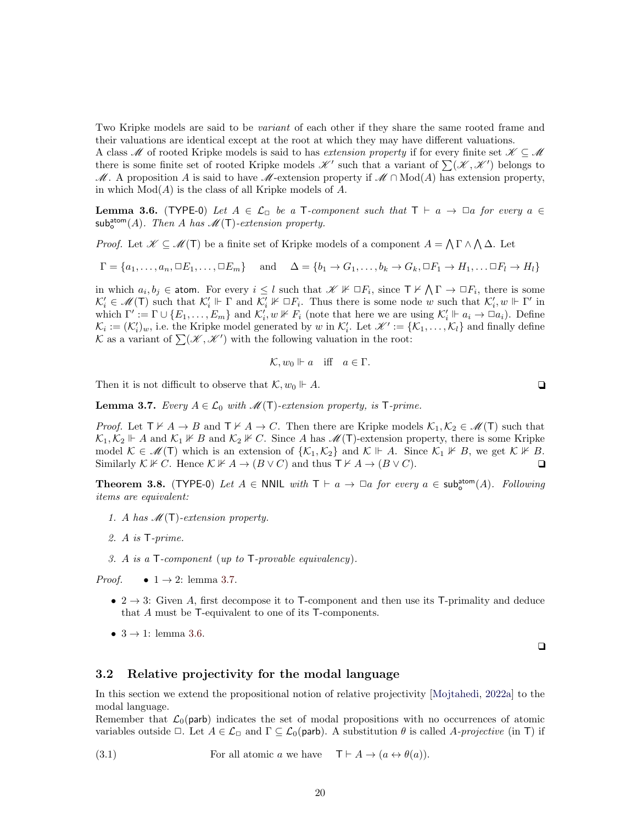Two Kripke models are said to be *variant* of each other if they share the same rooted frame and their valuations are identical except at the root at which they may have different valuations.

A class M of rooted Kripke models is said to has extension property if for every finite set  $\mathscr{K} \subseteq \mathscr{M}$ there is some finite set of rooted Kripke models  $\mathscr{K}'$  such that a variant of  $\sum(\mathscr{K}, \mathscr{K}')$  belongs to M. A proposition A is said to have M-extension property if  $M \cap Mod(A)$  has extension property, in which  $Mod(A)$  is the class of all Kripke models of A.

<span id="page-19-1"></span>**Lemma 3.6.** (TYPE-0) Let  $A \in \mathcal{L}_{\Box}$  be a T-component such that  $T \vdash a \rightarrow \Box a$  for every  $a \in$  $\mathsf{sub}^{\mathsf{atom}}_o(A)$ . Then A has  $\mathscr{M}(\mathsf{T})$ -extension property.

*Proof.* Let  $\mathscr{K} \subseteq \mathscr{M}(\mathsf{T})$  be a finite set of Kripke models of a component  $A = \bigwedge \Gamma \wedge \bigwedge \Delta$ . Let

 $\Gamma = \{a_1, \ldots, a_n, \Box E_1, \ldots, \Box E_m\}$  and  $\Delta = \{b_1 \rightarrow G_1, \ldots, b_k \rightarrow G_k, \Box F_1 \rightarrow H_1, \ldots \Box F_l \rightarrow H_l\}$ 

in which  $a_i, b_j \in \text{atom}$ . For every  $i \leq l$  such that  $\mathscr{K} \not\vdash \Box F_i$ , since  $\top \nvdash \bigwedge \Gamma \to \Box F_i$ , there is some  $\mathcal{K}'_i \in \mathcal{M}(\mathsf{T})$  such that  $\mathcal{K}'_i \Vdash \Gamma$  and  $\mathcal{K}'_i \nvDash \Box F_i$ . Thus there is some node w such that  $\mathcal{K}'_i, w \Vdash \Gamma'$  in which  $\Gamma' := \Gamma \cup \{E_1, \ldots, E_m\}$  and  $\mathcal{K}'_i, w \nvDash F_i$  (note that here we are using  $\mathcal{K}'_i \Vdash a_i \to \Box a_i$ ). Define  $\mathcal{K}_i := (\mathcal{K}'_i)_w$ , i.e. the Kripke model generated by w in  $\mathcal{K}'_i$ . Let  $\mathcal{K}' := {\mathcal{K}_1, \ldots, \mathcal{K}_l}$  and finally define K as a variant of  $\sum (\mathscr{K}, \mathscr{K}')$  with the following valuation in the root:

$$
\mathcal{K}, w_0 \Vdash a \quad \text{iff} \quad a \in \Gamma.
$$

Then it is not difficult to observe that  $\mathcal{K}, w_0 \Vdash A$ .

<span id="page-19-2"></span>**Lemma 3.7.** Every  $A \in \mathcal{L}_0$  with  $\mathcal{M}(\mathsf{T})$ -extension property, is  $\mathsf{T}\text{-}prime$ .

*Proof.* Let  $\mathsf{T} \nvdash A \to B$  and  $\mathsf{T} \nvdash A \to C$ . Then there are Kripke models  $\mathcal{K}_1, \mathcal{K}_2 \in \mathcal{M}(\mathsf{T})$  such that  $\mathcal{K}_1, \mathcal{K}_2 \Vdash A$  and  $\mathcal{K}_1 \nvDash B$  and  $\mathcal{K}_2 \nvDash C$ . Since A has  $\mathcal{M}(T)$ -extension property, there is some Kripke model  $\mathcal{K} \in \mathcal{M}(\mathsf{T})$  which is an extension of  $\{\mathcal{K}_1,\mathcal{K}_2\}$  and  $\mathcal{K} \Vdash A$ . Since  $\mathcal{K}_1 \nvDash B$ , we get  $\mathcal{K} \nvDash B$ . Similarly  $\mathcal{K} \nvDash C$ . Hence  $\mathcal{K} \nvDash A \to (B \vee C)$  and thus  $\top \nvDash A \to (B \vee C)$ .

<span id="page-19-3"></span>Theorem 3.8. (TYPE-0) Let  $A \in \mathbb{N}$ NIL with  $T \vdash a \rightarrow \Box a$  for every  $a \in \mathsf{sub}^{\mathsf{atom}}_{o}(A)$ . Following items are equivalent:

- 1. A has  $\mathcal{M}(\mathsf{T})$ -extension property.
- 2. A is T-prime.
- 3. A is a T-component (up to T-provable equivalency).

*Proof.* •  $1 \rightarrow 2$ : lemma [3.7.](#page-19-2)

- 2  $\rightarrow$  3: Given A, first decompose it to T-component and then use its T-primality and deduce that A must be T-equivalent to one of its T-components.
- $3 \rightarrow 1$ : lemma [3.6.](#page-19-1)

 $\Box$ 

#### <span id="page-19-0"></span>3.2 Relative projectivity for the modal language

In this section we extend the propositional notion of relative projectivity [\[Mojtahedi,](#page-46-9) [2022a\]](#page-46-9) to the modal language.

Remember that  $\mathcal{L}_0$ (parb) indicates the set of modal propositions with no occurrences of atomic variables outside  $\Box$ . Let  $A \in \mathcal{L}_{\Box}$  and  $\Gamma \subseteq \mathcal{L}_{0}$  (parb). A substitution  $\theta$  is called A-projective (in T) if

(3.1) For all atomic a we have  $\mathsf{T} \vdash A \to (a \leftrightarrow \theta(a)).$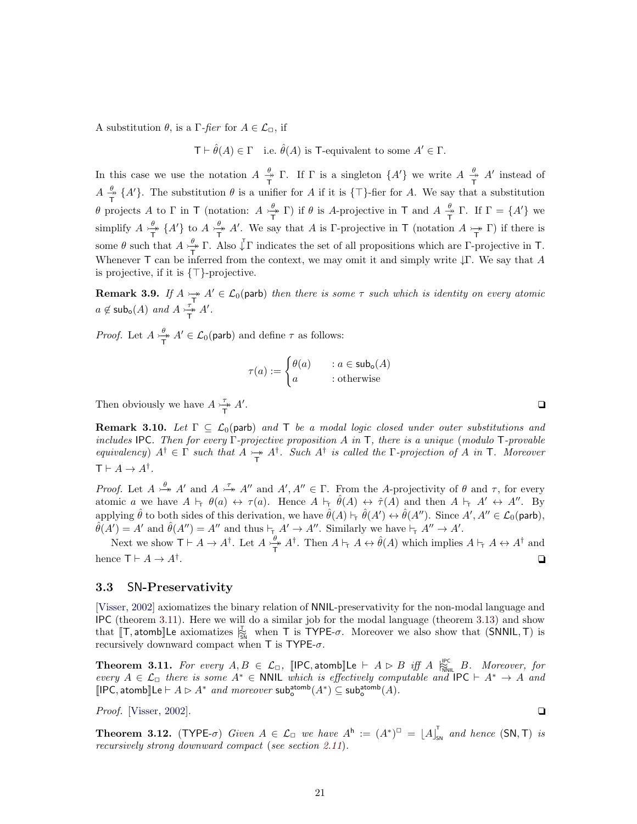A substitution  $\theta$ , is a Γ-fier for  $A \in \mathcal{L}_{\Box}$ , if

 $\mathsf{T} \vdash \hat{\theta}(A) \in \Gamma$  i.e.  $\hat{\theta}(A)$  is T-equivalent to some  $A' \in \Gamma$ .

In this case we use the notation  $A \stackrel{\theta}{\rightarrow}$  $\frac{\theta}{\Gamma}$  T. If  $\Gamma$  is a singleton  $\{A'\}$  we write  $A \stackrel{\theta}{\Gamma}$  $\frac{\theta}{T}$  A' instead of  $A \overset{\theta}{\Rightarrow}$  $_{\overline{T}}^{\theta}$  {A'}. The substitution  $\theta$  is a unifier for A if it is { $\top$ }-fier for A. We say that a substitution θ projects A to Γ in T (notation:  $A \nightharpoonup^{\theta}$  $\frac{\theta}{T}$  T) if  $\theta$  is A-projective in T and  $A \frac{\theta}{T}$  $\frac{\theta}{T}$  Γ. If  $\Gamma = \{A'\}$  we simplify  $A \rightarrow \rightarrow$  $\frac{\theta}{T}$  {A'} to  $A \xrightarrow{T}$  $\frac{\theta}{T}$  A'. We say that A is Γ-projective in T (notation  $A \rightarrow \Gamma$ ) if there is some  $\theta$  such that  $A \stackrel{\theta}{\rightarrow}$  $\frac{\theta}{T}$  Γ. Also  $\sqrt{\ }$ Γ indicates the set of all propositions which are Γ-projective in T. Whenever T can be inferred from the context, we may omit it and simply write  $\downarrow \Gamma$ . We say that A is projective, if it is  $\{\top\}$ -projective.

<span id="page-20-4"></span>**Remark 3.9.** If  $A \rightarrow Y$   $A' \in \mathcal{L}_0$  (parb) then there is some  $\tau$  such which is identity on every atomic  $a \notin \mathsf{subo}(A)$  and  $A \rightarrow \rightarrow$  $\frac{\tau}{T}$   $A'$ .

*Proof.* Let  $A \rightleftharpoons$  $\frac{\theta}{T}$   $A' \in \mathcal{L}_0(\text{parb})$  and define  $\tau$  as follows:

$$
\tau(a) := \begin{cases} \theta(a) & a \in \mathsf{sub_o}(A) \\ a & \text{: otherwise} \end{cases}
$$

Then obviously we have  $A \underset{\longrightarrow}{\rightarrow}$  $\frac{\tau}{T}$   $A'$ . The contract of the contract of the contract of the contract of  $\Box$ 

<span id="page-20-3"></span>**Remark 3.10.** Let  $\Gamma \subseteq \mathcal{L}_0$  (parb) and  $\mathsf{T}$  be a modal logic closed under outer substitutions and includes IPC. Then for every Γ-projective proposition A in T, there is a unique (modulo T-provable equivalency)  $A^{\dagger} \in \Gamma$  such that  $A \rightarrow A^{\dagger}$ . Such  $A^{\dagger}$  is called the  $\Gamma$ -projection of A in T. Moreover  $\mathsf{T}\vdash A\to A^{\dagger}.$ 

*Proof.* Let  $A \stackrel{\theta}{\rightarrow} A'$  and  $A \stackrel{\tau}{\rightarrow} A''$  and  $A', A'' \in \Gamma$ . From the A-projectivity of  $\theta$  and  $\tau$ , for every atomic a we have  $A \vdash_{\tau} \theta(a) \leftrightarrow \tau(a)$ . Hence  $A \vdash_{\tau} \hat{\theta}(A) \leftrightarrow \hat{\tau}(A)$  and then  $A \vdash_{\tau} A' \leftrightarrow A''$ . By applying  $\hat{\theta}$  to both sides of this derivation, we have  $\hat{\theta}(A) \vdash_{\tau} \hat{\theta}(A') \leftrightarrow \hat{\theta}(A'')$ . Since  $A', A'' \in \mathcal{L}_0(\text{parb})$ ,  $\hat{\theta}(A') = A'$  and  $\hat{\theta}(A'') = A''$  and thus  $\vdash_{\tau} A' \to A''$ . Similarly we have  $\vdash_{\tau} A'' \to A'$ .

Next we show  $\mathsf{T} \vdash A \to A^{\dagger}$ . Let  $A \underset{\longrightarrow}{\xrightarrow{\theta}}$  $\frac{\theta}{T}$   $A^{\dagger}$ . Then  $A \vdash_{\tau} A \leftrightarrow \hat{\theta}(A)$  which implies  $A \vdash_{\tau} A \leftrightarrow A^{\dagger}$  and hence  $\mathsf{T} \vdash A \to A^{\dagger}$ . . The contract of the contract of the contract of the contract of the contract of the contract of the contract of the contract of the contract of the contract of the contract of the contract of the contract of the contrac

#### <span id="page-20-0"></span>3.3 SN-Preservativity

[\[Visser,](#page-47-2) [2002\]](#page-47-2) axiomatizes the binary relation of NNIL-preservativity for the non-modal language and IPC (theorem [3.11\)](#page-20-1). Here we will do a similar job for the modal language (theorem [3.13\)](#page-21-0) and show that  $[T, \text{atomb}]\text{Le axiomaticizes } \frac{T}{SN}$  when T is TYPE- $\sigma$ . Moreover we also show that (SNNIL, T) is recursively downward compact when T is TYPE- $\sigma$ .

<span id="page-20-1"></span>**Theorem 3.11.** For every  $A, B \in \mathcal{L}_{\Box}$ , [IPC, atomb]Le  $\vdash A \rhd B$  iff  $A \mid_{\widetilde{N}_{\text{NML}}}^{\text{PC}} B$ . Moreover, for every  $A \in \mathcal{L}_{\Box}$  there is some  $A^* \in \mathsf{NNIL}$  which is effectively computable and  $\mathsf{IPC} \vdash A^* \to A$  and  $\llbracket \mathsf{IPC}, \mathsf{atomb} \rrbracket \mathsf{Le} \vdash A \rhd A^* \textit{ and moreover } \mathsf{sub}^{\mathsf{atomb}}_o(A^*) \subseteq \mathsf{sub}^{\mathsf{atomb}}_o(A).$ 

*Proof.* [\[Visser,](#page-47-2) [2002\]](#page-47-2).  $\Box$ 

<span id="page-20-2"></span>**Theorem 3.12.** (TYPE- $\sigma$ ) Given  $A \in \mathcal{L}_{\Box}$  we have  $A^{\mathsf{h}} := (A^*)^{\Box} = [A]_{\mathsf{sn}}^{\mathsf{T}}$  and hence (SN, T) is recursively strong downward compact (see section [2.11](#page-12-0)).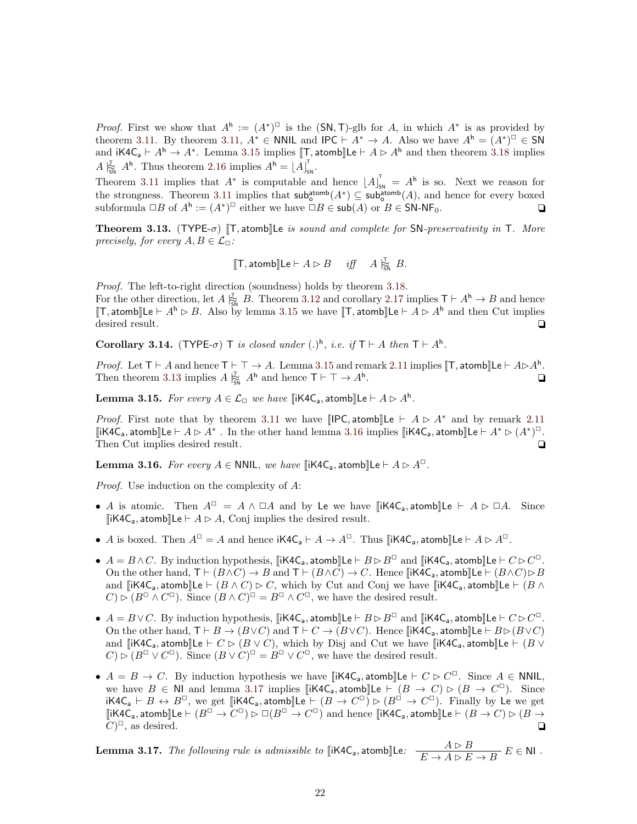*Proof.* First we show that  $A^h := (A^*)^{\square}$  is the  $(SN, T)$ -glb for A, in which  $A^*$  is as provided by theorem [3.11.](#page-20-1) By theorem [3.11,](#page-20-1)  $A^* \in \mathsf{NNIL}$  and  $\mathsf{IPC} \vdash A^* \to A$ . Also we have  $A^{\mathsf{h}} = (A^*)^{\square} \in \mathsf{SN}$ and  $i\mathsf{K4C}_a \vdash A^h \to A^*$ . Lemma [3.15](#page-21-1) implies  $[\![\mathsf{T}, \mathsf{atomb}]\!] \mathsf{Le} \vdash A \rhd A^h$  and then theorem [3.18](#page-22-1) implies  $A \vert_{\text{SM}}^{\mathsf{T}} A^{\mathsf{h}}$ . Thus theorem [2.16](#page-13-1) implies  $A^{\mathsf{h}} = [A]_{\text{SM}}^{\mathsf{T}}$ .

Theorem [3.11](#page-20-1) implies that  $A^*$  is computable and hence  $[A]_{\text{sw}}^{\text{T}} = A^{\text{h}}$  is so. Next we reason for the strongness. Theorem [3.11](#page-20-1) implies that  $\mathsf{sub}^{\mathsf{atomb}}_o(A^*) \subseteq \mathsf{sub}^{\mathsf{atomb}}_o(A)$ , and hence for every boxed subformula  $\Box B$  of  $A^{\mathsf{h}} := (A^*)^{\Box}$  either we have  $\Box B \in \mathsf{sub}(A)$  or  $B \in \mathsf{SN}\text{-}\mathsf{NF}_0$ .

<span id="page-21-0"></span>Theorem 3.13. (TYPE- $\sigma$ ) [T, atomb]Le is sound and complete for SN-preservativity in T. More precisely, for every  $A, B \in \mathcal{L}_{\Box}$ :

$$
[\![\mathsf{T},\mathsf{atomb}]\!] \mathsf{Le}\vdash A\rhd B\quad\mathit{iff}\quad A\mathrel{\mathop{\rhd}\limits_{\mathsf{SN}}}\, B.
$$

Proof. The left-to-right direction (soundness) holds by theorem [3.18.](#page-22-1)

For the other direction, let  $A \substack{\mathcal{T}_{\mathsf{SM}}}$  B. Theorem [3.12](#page-20-2) and corollary [2.17](#page-13-2) implies  $\mathcal{T} \vdash A^{\mathsf{h}} \to B$  and hence [T, atomb][Le  $\vdash A^h \rhd B$ . Also by lemma [3.15](#page-21-1) we have [T, atomb][Le  $\vdash A \rhd A^h$  and then Cut implies desired result.  $\Box$ 

Corollary 3.14. (TYPE- $\sigma$ ) T is closed under (.)<sup>h</sup>, i.e. if  $T \vdash A$  then  $T \vdash A^h$ .

*Proof.* Let  $T \vdash A$  and hence  $T \vdash T \rightarrow A$ . Lemma [3.15](#page-21-1) and remark [2.11](#page-11-0) implies  $[T, \text{atomb}]\text{Le } \vdash A \triangleright A^{\text{h}}$ . Then theorem [3.13](#page-21-0) implies  $A \vert_{\mathfrak{S}_{\mathsf{N}}}^{\mathfrak{L}} A^{\mathsf{h}}$  and hence  $\mathsf{T} \vdash \top \rightarrow A^{\mathsf{h}}$ .  $\Box$ 

<span id="page-21-1"></span>**Lemma 3.15.** For every  $A \in \mathcal{L}_{\Box}$  we have  $\llbracket iK4C_a$ , atomb $\rrbracket$ Le  $\vdash A \rhd A^h$ .

*Proof.* First note that by theorem [3.11](#page-20-1) we have  $\left[\text{IPC}, \text{atomb}\right]\left[\text{Le } \vdash A \triangleright A^* \text{ and by remark } 2.11\right]$  $\left[\text{IPC}, \text{atomb}\right]\left[\text{Le } \vdash A \triangleright A^* \text{ and by remark } 2.11\right]$  $\left[\text{IPC}, \text{atomb}\right]\left[\text{Le } \vdash A \triangleright A^* \text{ and by remark } 2.11\right]$ [iK4C<sub>a</sub>, atomb]Le  $\vdash A \rhd A^*$ . In the other hand lemma [3.16](#page-21-2) implies [iK4C<sub>a</sub>, atomb]Le  $\vdash A^* \rhd (A^*)^{\square}$ . Then Cut implies desired result.  $\Box$ 

<span id="page-21-2"></span>**Lemma 3.16.** For every  $A \in \text{NNIL}$ , we have  $\left[\text{iK4C}_a, \text{atomb}\right]\text{Le} \vdash A \triangleright A^{\square}$ .

Proof. Use induction on the complexity of A:

- A is atomic. Then  $A^{\Box} = A \land \Box A$  and by Le we have  $\|\mathbf{i} \mathsf{K4C}_a\|$ , atomb  $\|\mathbf{L} \mathsf{e} \vdash A \triangleright \Box A$ . Since  $[iK4C_{a}, \text{atomb}]\text{Le} \vdash A \triangleright A$ , Conj implies the desired result.
- A is boxed. Then  $A^{\square} = A$  and hence  $iK4C_a \vdash A \rightarrow A^{\square}$ . Thus  $[iK4C_a, \text{atomb}]\text{Le } \vdash A \rhd A^{\square}$ .
- $A = B \wedge C$ . By induction hypothesis,  $\llbracket i \mathsf{K4C}_a$ , atomb $\rrbracket \mathsf{Le} \vdash B \triangleright B^{\Box}$  and  $\llbracket i \mathsf{K4C}_a$ , atomb $\rrbracket \mathsf{Le} \vdash C \triangleright C^{\Box}$ . On the other hand,  $T \vdash (B \land C) \to B$  and  $T \vdash (B \land C) \to C$ . Hence  $\llbracket iK4C_a$ , atomb $\llbracket \text{LE } \vdash (B \land C) \rhd B$ and  $\left[\mathsf{li}\mathsf{K4C}_a,\mathsf{atomb}\right]\mathsf{Le}\vdash (B\land C)\rhd C$ , which by Cut and Conj we have  $\left[\mathsf{li}\mathsf{K4C}_a,\mathsf{atomb}\right]\mathsf{Le}\vdash (B\land C)\rhd C$  $C) \triangleright (B^{\square} \wedge C^{\square})$ . Since  $(B \wedge C)^{\square} = B^{\square} \wedge C^{\square}$ , we have the desired result.
- $A = B \vee C$ . By induction hypothesis, [iK4C<sub>a</sub>, atomb]Le  $\vdash B \rhd B^{\Box}$  and [iK4C<sub>a</sub>, atomb]Le  $\vdash C \rhd C^{\Box}$ . On the other hand,  $T \vdash B \to (B \lor C)$  and  $T \vdash C \to (B \lor C)$ . Hence [iK4C<sub>a</sub>, atomb][Le  $\vdash B \rhd (B \lor C)$ ] and  $\llbracket i \textsf{K4C}_a, \textsf{atomb} \rrbracket \textsf{Le} \vdash C \triangleright (B \lor C),$  which by Disj and Cut we have  $\llbracket i \textsf{K4C}_a, \textsf{atomb} \rrbracket \textsf{Le} \vdash (B \lor C)$  $C) \triangleright (B^{\square} \vee C^{\square}).$  Since  $(B \vee C)^{\square} = B^{\square} \vee C^{\square}$ , we have the desired result.
- $A = B \rightarrow C$ . By induction hypothesis we have  $\llbracket i \mathsf{K4C}_a, \mathsf{atomb} \rrbracket \mathsf{Le} \vdash C \rhd C^{\Box}$ . Since  $A \in \mathsf{NNIL}$ , we have  $B \in \mathbb{N}$  and lemma [3.17](#page-21-3) implies  $\left[\mathsf{iK4C_a}, \mathsf{atomb}\right]\mathsf{Le} \vdash (B \to C) \triangleright (B \to C^{\square})$ . Since iK4C<sub>a</sub>  $\vdash B \leftrightarrow B^{\square}$ , we get [[iK4C<sub>a</sub>, atomb]]Le  $\vdash (B \to C^{\square}) \rhd (B^{\square} \to C^{\square})$ . Finally by Le we get [iK4C<sub>a</sub>, atomb][Le  $\vdash (B^{\Box}\to C^{\Box})\rhd\Box(B^{\Box}\to C^{\Box})$  and hence [[iK4C<sub>a</sub>, atomb][Le  $\vdash (B\to C)\rhd (B\to C^{\Box})$  $C)^{\square}$ , as desired.  $\square$

<span id="page-21-3"></span>**Lemma 3.17.** The following rule is admissible to  $\llbracket \mathsf{iK4C_a}, \mathsf{atomb} \rrbracket \mathsf{Le}: \quad \frac{A \rhd B}{E \to A \rhd E \to B} E \in \mathsf{NI}$ .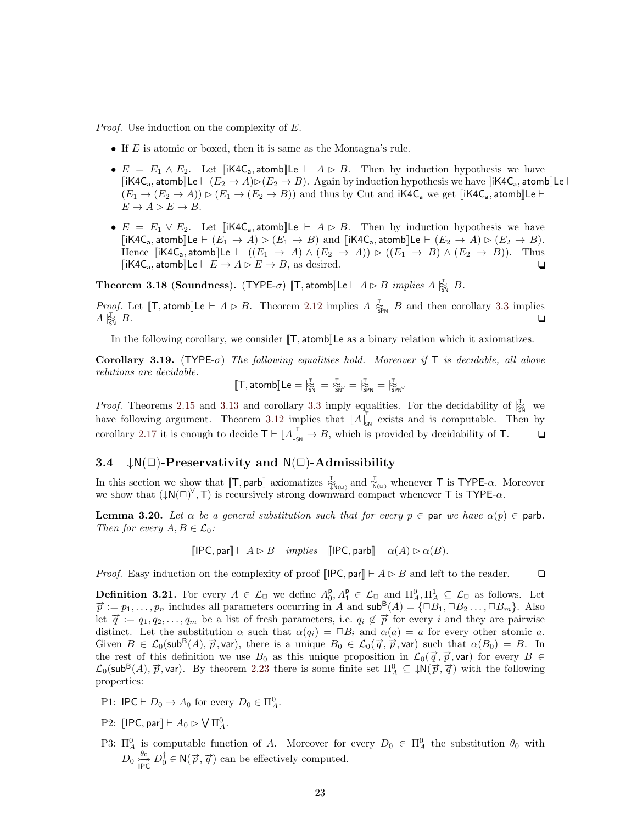Proof. Use induction on the complexity of E.

- If  $E$  is atomic or boxed, then it is same as the Montagna's rule.
- $E = E_1 \wedge E_2$ . Let  $\left[ \text{ik4C}_a, \text{atomb} \right] \left[ \text{Re} \right] \vdash A \triangleright B$ . Then by induction hypothesis we have  $[iK4C_a, \text{atom}]$ Le  $\vdash (E_2 \rightarrow A) \triangleright (E_2 \rightarrow B)$ . Again by induction hypothesis we have  $[iK4C_a, \text{atom}]$ Le  $\vdash$  $(E_1 \to (E_2 \to A)) \rhd (E_1 \to (E_2 \to B))$  and thus by Cut and  $iK4C_a$  we get  $[iK4C_a, atomb]]$ Le  $\vdash$  $E \to A \rhd E \to B.$
- $E = E_1 \vee E_2$ . Let [iK4C<sub>a</sub>, atomb]Le  $\vdash A \rhd B$ . Then by induction hypothesis we have [iK4C<sub>a</sub>, atomb]Le  $\vdash$   $(E_1 \rightarrow A) \triangleright (E_1 \rightarrow B)$  and [iK4C<sub>a</sub>, atomb]Le  $\vdash$   $(E_2 \rightarrow A) \triangleright (E_2 \rightarrow B)$ . Hence  $[\![\mathsf{iK4C}_a, \mathsf{atomb}]\!]$ Le  $\vdash ((E_1 \rightarrow A) \land (E_2 \rightarrow A)) \triangleright ((E_1 \rightarrow B) \land (E_2 \rightarrow B)).$  Thus  $\llbracket$ iK4C<sub>a</sub>, atomb $\llbracket$ Le  $\vdash E \to A \rhd E \to B$ , as desired.

<span id="page-22-1"></span>**Theorem 3.18 (Soundness).** (TYPE- $\sigma$ )  $[\![\mathsf{T}, \mathsf{atomb}]\!]$ Le  $\vdash A \rhd B$  *implies*  $A \; |_{\widetilde{S}\mathsf{N}}^{\mathsf{T}}$  B.

*Proof.* Let  $[\![\mathsf{T}, \mathsf{atomb}]\!]$ Le  $\vdash A \triangleright B$ . Theorem [2.12](#page-11-1) implies  $A \vert_{\mathsf{Sph}}^{\mathsf{T}} B$  and then corollary [3.3](#page-17-4) implies  $A \rvert_{\widetilde{\mathsf{SM}}} B.$  $\frac{1}{\sin} B$ .

In the following corollary, we consider  $[\![T, \text{atom}]\!]$  Le as a binary relation which it axiomatizes.

Corollary 3.19. (TYPE- $\sigma$ ) The following equalities hold. Moreover if T is decidable, all above relations are decidable.

$$
[\![T,\mathsf{atomb}]\!] Le = \natural_{\widetilde{S}N}^\Gamma = \natural_{\widetilde{S}N^\vee}^\Gamma = \natural_{\widetilde{S}PN}^\Gamma = \natural_{\widetilde{S}PN}^\Gamma
$$

*Proof.* Theorems [2.15](#page-12-2) and [3.13](#page-21-0) and corollary [3.3](#page-17-4) imply equalities. For the decidability of  $\frac{1}{\Im N}$  we have following argument. Theorem [3.12](#page-20-2) implies that  $[A]_{\text{SN}}^{\dagger}$  exists and is computable. Then by corollary [2.17](#page-13-2) it is enough to decide  $T \vdash \lfloor A \rfloor_{\text{SN}}^T \to B$ , which is provided by decidability of T.  $\Box$ 

## <span id="page-22-0"></span>3.4  $\downarrow N(\square)$ -Preservativity and  $N(\square)$ -Admissibility

In this section we show that  $[\![T, \mathsf{parb}]\!]$  axiomatizes  $\bigtriangledown^T_{\mathcal{N}(\Box)}$  and  $\bigtriangledown^T_{\mathcal{N}(\Box)}$  whenever T is TYPE- $\alpha$ . Moreover we show that  $(\downarrow N(\square)^{\vee}, T)$  is recursively strong downward compact whenever T is TYPE- $\alpha$ .

<span id="page-22-3"></span>**Lemma 3.20.** Let  $\alpha$  be a general substitution such that for every  $p \in \text{par}$  we have  $\alpha(p) \in \text{parb}$ . Then for every  $A, B \in \mathcal{L}_0$ :

 $[IPC, par] \vdash A \triangleright B$  implies  $[IPC, parb] \vdash \alpha(A) \triangleright \alpha(B).$ 

*Proof.* Easy induction on the complexity of proof  $\text{IPC}, \text{par} \, \parallel \, A \triangleright B$  and left to the reader.  $\Box$ 

<span id="page-22-2"></span>**Definition 3.21.** For every  $A \in \mathcal{L}_{\Box}$  we define  $A_0^{\mathsf{p}}, A_1^{\mathsf{p}} \in \mathcal{L}_{\Box}$  and  $\Pi_A^0, \Pi_A^1 \subseteq \mathcal{L}_{\Box}$  as follows. Let  $\vec{p} := p_1, \ldots, p_n$  includes all parameters occurring in A and  $\mathsf{sub}^{\mathsf{B}}(A) = {\Box B_1, \Box$  $\begin{array}{lll} \n\mu := p_1, \ldots, p_n \text{ includes an parameters occurring in } \Lambda \text{ and } \text{3.16} \ (A) = \{\Box B_1, \Box B_2, \ldots, \Box B_m\}. \end{array}$ <br>let  $\vec{q} := q_1, q_2, \ldots, q_m$  be a list of fresh parameters, i.e.  $q_i \notin \vec{p}$  for every i and they are pairwise distinct. Let the substitution  $\alpha$  such that  $\alpha(q_i) = \Box B_i$  and  $\alpha(a) = a$  for every other atomic a. Given  $B \in \mathcal{L}_0(\text{sub}^B(A), \vec{p}, \text{var})$ , there is a unique  $B_0 \in \mathcal{L}_0(\vec{q}, \vec{p}, \text{var})$  such that  $\alpha(B_0) = B$ . In the rest of this definition we use  $B_0$  as this unique proposition in  $\mathcal{L}_0(\vec{q}, \vec{p}, \text{var})$  for every  $B \in$  $\mathcal{L}_0(\text{subB}(A), \vec{p}, \text{var})$ . By theorem [2.23](#page-15-2) there is some finite set  $\Pi_A^0 \subseteq \downarrow \mathsf{N}(\vec{p}, \vec{q})$  with the following properties:

- P1:  $\mathsf{IPC} \vdash D_0 \to A_0$  for every  $D_0 \in \Pi_A^0$ .
- P2:  $\llbracket \mathsf{IPC}, \mathsf{par} \rrbracket \vdash A_0 \rhd \bigvee \Pi_A^0.$
- P3:  $\Pi_A^0$  is computable function of A. Moreover for every  $D_0 \in \Pi_A^0$  the substitution  $\theta_0$  with  $D_0 \overset{\theta_0}{\underset{\longleftarrow}{\mapsto}}$  $\frac{\theta_0}{\mu \to \infty} D_0^{\dagger} \in N(\vec{p}, \vec{q})$  can be effectively computed.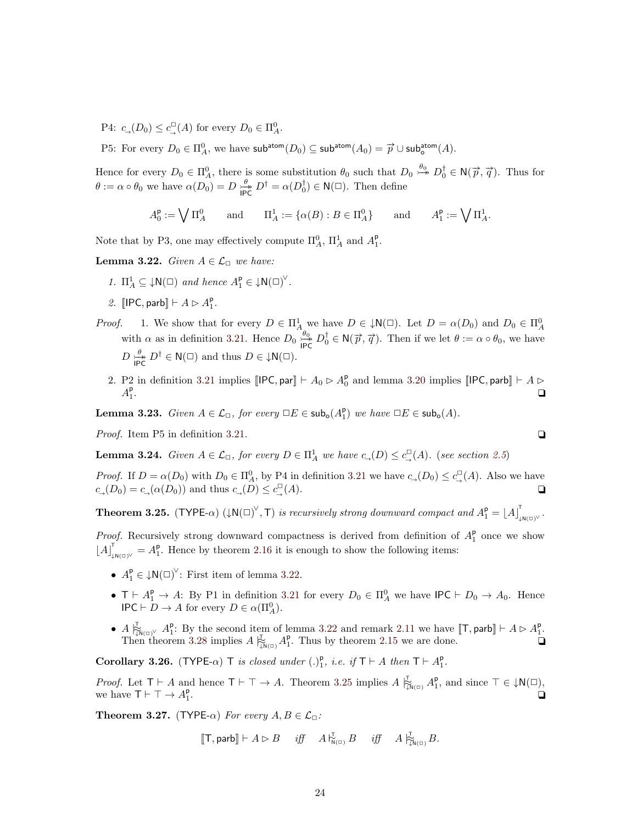P4:  $c_{\rightarrow}(D_0) \leq c_{\rightarrow}^{\square}(A)$  for every  $D_0 \in \Pi_A^0$ .

P5: For every  $D_0 \in \Pi_A^0$ , we have  $\mathsf{sub^{atom}}(D_0) \subseteq \mathsf{sub^{atom}}(A_0) = \overrightarrow{p} \cup \mathsf{sub^{atom}_0}(A)$ .

Hence for every  $D_0 \in \Pi_A^0$ , there is some substitution  $\theta_0$  such that  $D_0 \stackrel{\theta_0}{\rightarrowtail} D_0^{\dagger} \in N(\vec{p}, \vec{q})$ . Thus for  $\theta := \alpha \circ \theta_0$  we have  $\alpha(D_0) = D \frac{\theta}{\beta \alpha}$  $\frac{\theta}{\text{IPC}} D^{\dagger} = \alpha(D_0^{\dagger}) \in \mathsf{N}(\square)$ . Then define

> $A_0^{\mathsf{p}} := \bigvee \Pi_A^0$  and  $\Pi_A^1 := \{ \alpha(B) : B \in \Pi_A^0 \}$  and A  $_{1}^{\mathsf{p}}:=\bigvee \Pi_{A}^{1}.$

Note that by P3, one may effectively compute  $\Pi_A^0$ ,  $\Pi_A^1$  and  $A_I^{\mathsf{p}}$ .

<span id="page-23-0"></span>**Lemma 3.22.** Given  $A \in \mathcal{L}_{\Box}$  we have:

- 1.  $\Pi_A^1 \subseteq \downarrow \mathsf{N}(\square)$  and hence  $A_1^{\mathsf{p}} \in \downarrow \mathsf{N}(\square)^{\vee}$ .
- 2.  $\llbracket \text{IPC}, \text{parb} \rrbracket \vdash A \rhd A_1^{\text{p}}.$
- *Proof.* 1. We show that for every  $D \in \Pi_A^1$  we have  $D \in \mathcal{N}(\square)$ . Let  $D = \alpha(D_0)$  and  $D_0 \in \Pi_A^0$  with  $\alpha$  as in definition [3.21.](#page-22-2) Hence  $D_0 \stackrel{\theta_0}{\longrightarrow} D_0^{\dagger} \in \mathcal{N}(\vec{p}, \vec{q})$ . Then if we let  $\theta := \alpha \circ \theta_0$ , we hav  $\overrightarrow{h}_{\text{IPC}}^{\theta_0} D_0^{\dagger} \in N(\vec{p}, \vec{q})$ . Then if we let  $\theta := \alpha \circ \theta_0$ , we have  $D \stackrel{\theta}{\longrightarrow}$  $\overleftrightarrow{D}_{IPC}^{\#} D^{\dagger} \in N(\square)$  and thus  $D \in \downarrow N(\square)$ .
	- 2. P2 in definition [3.21](#page-22-2) implies  $[[{\sf IPC}, {\sf par}] \vdash A_0 \rhd A_0^{\sf p}$  and lemma [3.20](#page-22-3) implies  $[[{\sf IPC}, {\sf parb}] \vdash A \rhd$  $A_1^{\mathsf{p}}$ . ✷

<span id="page-23-3"></span>**Lemma 3.23.** Given  $A \in \mathcal{L}_{\Box}$ , for every  $\Box E \in \mathsf{sub}_o(A_1^p)$  we have  $\Box E \in \mathsf{sub}_o(A)$ .

*Proof.* Item P5 in definition [3.21.](#page-22-2)  $\Box$ 

<span id="page-23-4"></span>**Lemma 3.24.** Given  $A \in \mathcal{L}_{\Box}$ , for every  $D \in \Pi_A^1$  we have  $c_{\Box}(D) \leq c_{\Box}^{\Box}(A)$ . (see section [2.5](#page-5-0))

*Proof.* If  $D = \alpha(D_0)$  with  $D_0 \in \Pi_A^0$ , by P4 in definition [3.21](#page-22-2) we have  $c_-(D_0) \leq c_-(A)$ . Also we have  $c_{\rightarrow}(D_0) = c_{\rightarrow}(\alpha(D_0))$  and thus  $c_{\rightarrow}(D) \leq c_{\rightarrow}^{\square}$  $(A)$ .

<span id="page-23-1"></span>**Theorem 3.25.** (TYPE- $\alpha$ ) ( $\downarrow N(\Box)^\vee$ , T) is recursively strong downward compact and  $A_1^p = [A]$ .<br>↓N(□)<sup>∨ •</sup>

*Proof.* Recursively strong downward compactness is derived from definition of  $A_1^p$  once we show  $[A]_{\mu_0}^{\dagger} = A_1^{\dagger}$ . Hence by theorem [2.16](#page-13-1) it is enough to show the following items:

- $A_1^{\mathsf{p}} \in \downarrow \mathsf{N}(\square)^{\vee}$ : First item of lemma [3.22.](#page-23-0)
- $T \vdash A_1^p \rightarrow A$ : By P1 in definition [3.21](#page-22-2) for every  $D_0 \in \Pi_A^0$  we have IPC  $\vdash D_0 \rightarrow A_0$ . Hence  $\mathsf{IPC} \vdash D \to A$  for every  $D \in \alpha(\Pi_A^0)$ .
- $A \downarrow_{N(\square)}^{\mathbb{Z}} A_1^{\mathsf{p}}$ : By the second item of lemma [3.22](#page-23-0) and remark [2.11](#page-11-0) we have  $[\![\mathsf{T}, \mathsf{parb}]\!] \vdash A \triangleright A_1^{\mathsf{p}}$ . Then theorem [3.28](#page-24-1) implies  $A \biguplus_{\mathbb{N}(0)}^{\mathbb{T}} A_1^{\mathsf{p}}$ . Thus by theorem [2.15](#page-12-2) we are done.

Corollary 3.26. (TYPE- $\alpha$ ) T is closed under (.)<sup>p</sup><sub>1</sub>, i.e. if  $T \vdash A$  then  $T \vdash A_1^p$ .

*Proof.* Let  $T \vdash A$  and hence  $T \vdash \top \rightarrow A$ . Theorem [3.25](#page-23-1) implies  $A \biguparrow_{\downarrow \mathcal{N}(\square)}^{\top} A_1^{\mathsf{p}}$ , and since  $\top \in \downarrow \mathsf{N}(\square)$ , we have  $\mathsf{T}\vdash \top \to A_1^{\mathsf{p}}$ . The contract of the contract of the contract of the contract of the contract of the contract of the contract of the contract of the contract of the contract of the contract of the contract of the contract of the contrac

<span id="page-23-2"></span>**Theorem 3.27.** (TYPE- $\alpha$ ) For every  $A, B \in \mathcal{L}_{\Box}$ :

$$
[\![\mathsf{T},\mathsf{parb}]\!] \vdash A \rhd B \quad \text{ iff } \quad A\mathrel{\mathop{\rightharpoonup}\limits^{\mathsf{T}}}_{\mathsf{N}(\square)} B \quad \text{ iff } \quad A\mathrel{\mathop{\rightharpoonup}\limits^{\mathsf{T}}}_{\mathsf{N}(\square)} B.
$$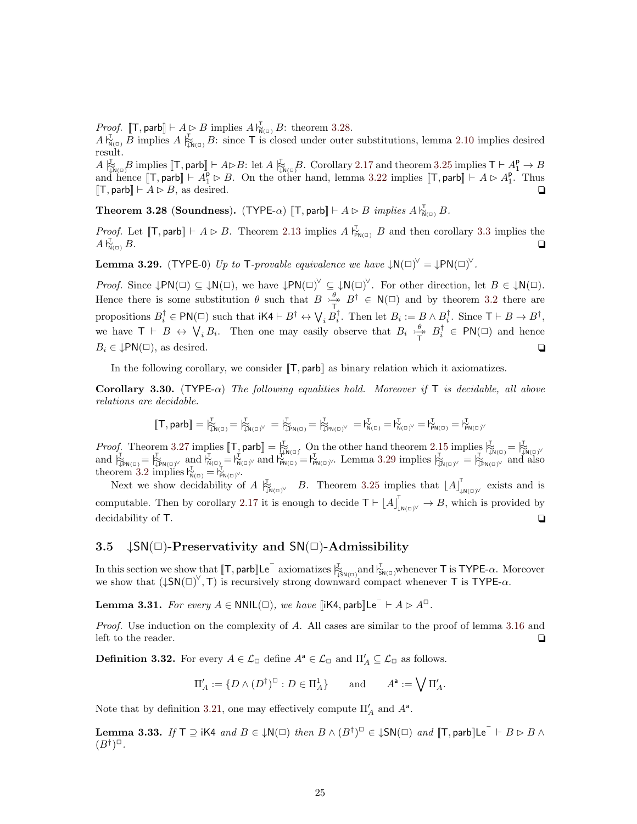*Proof.* [T, parb]  $\vdash A \triangleright B$  implies  $A \, \vert_{N(\square)}^{\top} B$ : theorem [3.28.](#page-24-1)

 $A\vert_{N(\Box)}^{\mathcal{I}}$  B implies  $A\vert_{N(\Box)}^{\mathcal{I}}$  B: since T is closed under outer substitutions, lemma [2.10](#page-10-1) implies desired result.

 $A\biguplus_{N\in\mathbb{N}}^{\mathbb{Z}} B\text{ implies }[\![\mathsf{T},\mathsf{parb}]\!] \vdash A\triangleright B\colon\mathrm{let}\;A\biguplus_{N\in\mathbb{N}}^{\mathbb{Z}} B\text{. Corollary 2.17 and theorem 3.25 implies }\mathsf{T}\vdash A\biguplus_{1}^{\mathsf{p}}\rightarrow B$  $A\biguplus_{N\in\mathbb{N}}^{\mathbb{Z}} B\text{ implies }[\![\mathsf{T},\mathsf{parb}]\!] \vdash A\triangleright B\colon\mathrm{let}\;A\biguplus_{N\in\mathbb{N}}^{\mathbb{Z}} B\text{. Corollary 2.17 and theorem 3.25 implies }\mathsf{T}\vdash A\biguplus_{1}^{\mathsf{p}}\rightarrow B$  $A\biguplus_{N\in\mathbb{N}}^{\mathbb{Z}} B\text{ implies }[\![\mathsf{T},\mathsf{parb}]\!] \vdash A\triangleright B\colon\mathrm{let}\;A\biguplus_{N\in\mathbb{N}}^{\mathbb{Z}} B\text{. Corollary 2.17 and theorem 3.25 implies }\mathsf{T}\vdash A\biguplus_{1}^{\mathsf{p}}\rightarrow B$  $A\biguplus_{N\in\mathbb{N}}^{\mathbb{Z}} B\text{ implies }[\![\mathsf{T},\mathsf{parb}]\!] \vdash A\triangleright B\colon\mathrm{let}\;A\biguplus_{N\in\mathbb{N}}^{\mathbb{Z}} B\text{. Corollary 2.17 and theorem 3.25 implies }\mathsf{T}\vdash A\biguplus_{1}^{\mathsf{p}}\rightarrow B$  $A\biguplus_{N\in\mathbb{N}}^{\mathbb{Z}} B\text{ implies }[\![\mathsf{T},\mathsf{parb}]\!] \vdash A\triangleright B\colon\mathrm{let}\;A\biguplus_{N\in\mathbb{N}}^{\mathbb{Z}} B\text{. Corollary 2.17 and theorem 3.25 implies }\mathsf{T}\vdash A\biguplus_{1}^{\mathsf{p}}\rightarrow B$ and hence  $[\![T, \text{parb}]\!] \vdash A_1^{\mathsf{P}} \triangleright B$ . On the other hand, lemma [3.22](#page-23-0) implies  $[\![T, \text{parb}]\!] \vdash A \triangleright A_1^{\mathsf{P}}$ . Thus  $[T, \text{parb}] \vdash A \rhd B$ , as desired.  $\Box$ 

<span id="page-24-1"></span>**Theorem 3.28** (Soundness). (TYPE- $\alpha$ ) [T, parb]  $\vdash A \rhd B$  implies  $A \rvert_{N(\alpha)}^T B$ .

*Proof.* Let [T, parb]  $\vdash A \triangleright B$ . Theorem [2.13](#page-11-2) implies  $A \, \vert_{\text{P}_{N(\square)}}^{\mathcal{T}} B$  and then corollary [3.3](#page-17-4) implies the  $A\substack{\Gamma\ \mathsf{N}}$  $\frac{1}{N(n)} B.$ 

<span id="page-24-2"></span>**Lemma 3.29.** (TYPE-0) Up to T-provable equivalence we have  $\downarrow N(\square)^{\vee} = \downarrow PN(\square)^{\vee}$ .

*Proof.* Since  $\downarrow PN(\square) \subseteq \downarrow N(\square)$ , we have  $\downarrow PN(\square)^{\vee} \subseteq \downarrow N(\square)^{\vee}$ . For other direction, let  $B \in \downarrow N(\square)$ . Hence there is some substitution  $\theta$  such that  $B \nightharpoonup^{\theta}_{\mathcal{P}}$  $\frac{\theta}{T}$ ,  $B^{\dagger} \in N(\square)$  and by theorem [3.2](#page-17-2) there are propositions  $B_i^{\dagger} \in \text{PN}(\square)$  such that  $i \text{K4} \vdash B^{\dagger} \leftrightarrow \bigvee_i B_i^{\dagger}$ . Then let  $B_i := B \land B_i^{\dagger}$ . Since  $\top \vdash B \rightarrow B^{\dagger}$ , we have  $\mathsf{T} \vdash B \leftrightarrow \bigvee_i B_i$ . Then one may easily observe that  $B_i \rightarrow^{\theta}_{\mathsf{T}}$  $\frac{\theta}{T}$   $B_i^{\dagger} \in PN(\square)$  and hence  $B_i \in \downarrow \text{PN}(\square)$ , as desired.  $\square$ 

In the following corollary, we consider  $[[\mathsf{T}, \mathsf{parb}]]$  as binary relation which it axiomatizes.

**Corollary 3.30.** (TYPE- $\alpha$ ) The following equalities hold. Moreover if T is decidable, all above relations are decidable.

$$
[\![T, \mathsf{parb}]\!] = {\uparrow}^{\mathtt{L}}_{\widetilde{\mathsf{L}}^{\mathsf{N}(\square)}} = {\uparrow}^{\mathtt{L}}_{\widetilde{\mathsf{L}}^{\mathsf{N}(\square)}}\vee \newline = {\uparrow}^{\mathtt{L}}_{\widetilde{\mathsf{L}}^{\mathsf{PN}(\square)}} = {\uparrow}^{\mathtt{L}}_{\widetilde{\mathsf{L}}^{\mathsf{PN}(\square)}}\vee \newline = {\uparrow}^{\mathtt{L}}_{\widetilde{\mathsf{N}}^{(\square)}} = {\uparrow}^{\mathtt{L}}_{\widetilde{\mathsf{N}}^{(\square)}}\vee = {\uparrow}^{\mathtt{L}}_{\widetilde{\mathsf{PN}}^{(\square)}} = {\uparrow}^{\mathtt{L}}_{\widetilde{\mathsf{PN}}^{(\square)}}\vee \newline
$$

*Proof.* Theorem [3.27](#page-23-2) implies  $[\mathbb{T}, \text{parb}] = \frac{1}{N}$  on the other hand theorem [2.15](#page-12-2) implies  $\frac{1}{N}$   $[\mathbb{T}, \text{parb}] = \frac{1}{N}$  and  $\frac{1}{N}$   $[\mathbb{T}, \text{parb}] = \frac{1}{N}$  and  $[\mathbb{T}, \text{parb}] = \frac{1}{N}$  and  $[\mathbb{T}, \text{parb}] = \frac{1}{N}$  and  $[\mathbb{T},$ theorem [3.2](#page-17-2) implies  $V_{N(\square)}^T = V_{PN(\square)}^T$ .

Next we show decidability of A  $\frac{1}{N}$ <sub> $(N(\alpha))^{\vee}$ </sub> B. Theorem [3.25](#page-23-1) implies that  $[A]$ <sup>T</sup>  $\frac{1}{2}N(\square)^{\vee}$  exists and is computable. Then by corollary [2.17](#page-13-2) it is enough to decide  $T \vdash [A]_{\downarrow N(\square)}^T \rightarrow B$ , which is provided by decidability of T.

## <span id="page-24-0"></span>3.5  $\downarrow$ SN( $\Box$ )-Preservativity and SN( $\Box$ )-Admissibility

In this section we show that  $[\![T, \mathsf{parb}]\!]$  Le  $\bar{C}$  axiomatizes  $\frac{L}{\downarrow^2}$  and  $\frac{L}{\downarrow^2}$  whenever T is TYPE- $\alpha$ . Moreover we show that  $(\downarrow SN(\square)^\vee, T)$  is recursively strong downward compact whenever T is TYPE- $\alpha$ .

<span id="page-24-3"></span>**Lemma 3.31.** For every  $A \in \text{NNIL}(\Box)$ , we have  $\llbracket \mathsf{iK4}, \mathsf{parb} \rrbracket \mathsf{Le}^- \vdash A \triangleright A^{\Box}$ .

Proof. Use induction on the complexity of A. All cases are similar to the proof of lemma [3.16](#page-21-2) and left to the reader.  $\Box$ 

**Definition 3.32.** For every  $A \in \mathcal{L}_{\Box}$  define  $A^a \in \mathcal{L}_{\Box}$  and  $\Pi'_A \subseteq \mathcal{L}_{\Box}$  as follows.

$$
\Pi'_A:=\{D\wedge(D^\dagger)^\square:D\in\Pi_A^1\}\qquad\text{and}\qquad A^\mathsf{a}:=\bigvee\Pi'_A.
$$

Note that by definition [3.21,](#page-22-2) one may effectively compute  $\Pi'_{A}$  and  $A^{a}$ .

<span id="page-24-4"></span>**Lemma 3.33.** If  $T \supseteq$  iK4 and  $B \in \downarrow N(\square)$  then  $B \wedge (B^{\dagger})^{\square} \in \downarrow SN(\square)$  and  $\llbracket T$ , parb $\llbracket \mathsf{Le} \rceil \vdash B \rhd B \wedge \mathsf{Le}$  $(B^{\dagger})^{\square}$ .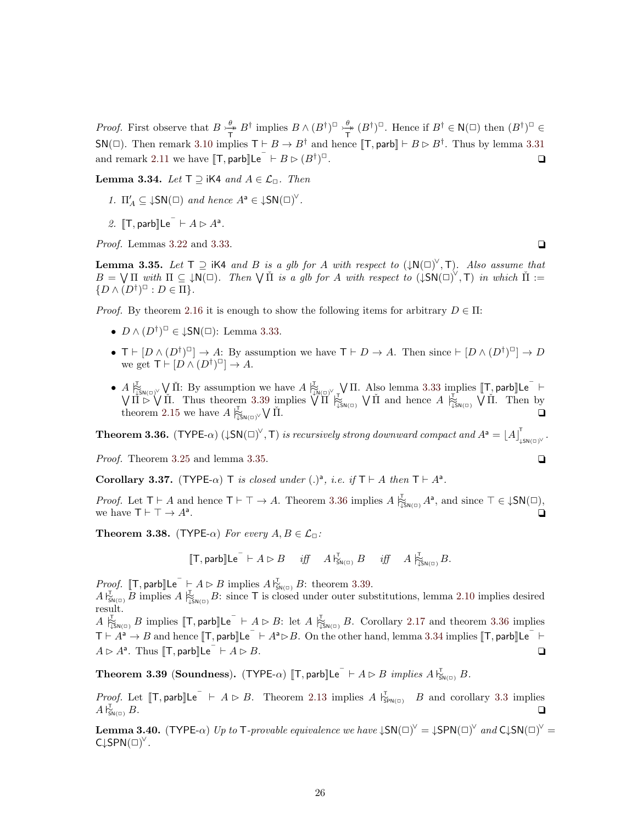*Proof.* First observe that  $B \nightharpoonup^{\theta}_{\mathcal{F}}$  $\frac{\theta}{T}$  B<sup>†</sup> implies  $B \wedge (B^{\dagger})^{\square} \rightarrow^{\theta}_{\overline{T}}$  $\frac{\theta^*}{T}$   $(B^{\dagger})^{\square}$ . Hence if  $B^{\dagger} \in \mathsf{N}(\square)$  then  $(B^{\dagger})^{\square} \in$  $\mathsf{SN}(\square)$ . Then remark [3.10](#page-20-3) implies  $\mathsf{T} \vdash B \to B^{\dagger}$  and hence  $[\![\mathsf{T}, \mathsf{parb}]\!] \vdash B \rhd B^{\dagger}$ . Thus by lemma [3.31](#page-24-3) and remark [2.11](#page-11-0) we have  $[\![\mathsf{T}, \mathsf{parb}]\!]$ Le<sup> $\top$ </sup>  $\vdash$   $B \triangleright (B^{\dagger})$ ✷. ✷

<span id="page-25-3"></span>Lemma 3.34. Let  $T \supseteq iK4$  and  $A \in \mathcal{L}_{\Box}$ . Then

- 1.  $\Pi'_A \subseteq \downarrow SN(\square)$  and hence  $A^a \in \downarrow SN(\square)^{\vee}$ .
- 2.  $\llbracket \mathsf{T}, \mathsf{parb} \rrbracket \mathsf{Le}^- \vdash A \triangleright A^a$ .

*Proof.* Lemmas [3.22](#page-23-0) and [3.33.](#page-24-4)  $\Box$ 

<span id="page-25-1"></span>**Lemma 3.35.** Let  $T \supseteq$  iK4 and B is a glb for A with respect to  $(\downarrow N(\square)^{\vee}, T)$ . Also assume that  $B = \bigvee \Pi$  with  $\Pi \subseteq \downarrow N(\square)$ . Then  $\bigvee \check{\Pi}$  is a glb for A with respect to  $(\downarrow SN(\square)^{\vee}, T)$  in which  $\check{\Pi} :=$  $\{D \wedge (D^{\dagger})^{\square} : D \in \Pi\}.$ 

*Proof.* By theorem [2.16](#page-13-1) it is enough to show the following items for arbitrary  $D \in \Pi$ :

- $D \wedge (D^{\dagger})^{\square} \in \downarrow$ SN( $\square$ ): Lemma [3.33.](#page-24-4)
- $\mathsf{T} \vdash [D \wedge (D^{\dagger})^{\Box}] \rightarrow A$ : By assumption we have  $\mathsf{T} \vdash D \rightarrow A$ . Then since  $\vdash [D \wedge (D^{\dagger})^{\Box}] \rightarrow D$ we get  $T \vdash [D \wedge (D^{\dagger})^{\square}] \rightarrow A$ .
- $A \bigcup_{i \in N(\square)}^{\square} \bigvee \check{\Pi}$ : By assumption we have  $A \bigcup_{i \in N(\square)}^{\square} \bigvee \Pi$ . Also lemma [3.33](#page-24-4) implies  $[\![T, \mathsf{parb}]\!]$ Le  $\vdash$  $\bigvee \Pi \triangleright \bigvee \Pi$ . Thus theorem [3.39](#page-25-0) implies  $\bigvee \Pi \vdash_{\Sigma_{\mathsf{SN}(\square)}} \bigvee \Pi$  and hence  $A \not\vdash_{\Sigma_{\mathsf{SN}(\square)}} \bigvee \Pi$ . Then by theorem [2.15](#page-12-2) we have  $A \biguplus_{\downarrow \mathsf{SN}(\square)}^{\mathbb{L}} \bigvee \check{\Pi}$ .

<span id="page-25-2"></span>**Theorem 3.36.** (TYPE- $\alpha$ ) ( $\downarrow$ SN( $\Box$ )<sup>V</sup>, T) is recursively strong downward compact and  $A^a = |A|$ <sup>T</sup> .<br>↓sn(□)<sup>∨・</sup>

*Proof.* Theorem [3.25](#page-23-1) and lemma [3.35.](#page-25-1)  $\Box$ 

Corollary 3.37. (TYPE- $\alpha$ ) T is closed under (.)<sup>a</sup>, i.e. if  $T \vdash A$  then  $T \vdash A^a$ .

*Proof.* Let  $T \vdash A$  and hence  $T \vdash \top \rightarrow A$ . Theorem [3.36](#page-25-2) implies  $A \biguplus_{\downarrow \in N(\square)} A^a$ , and since  $T \in \downarrow SN(\square)$ , we have  $\mathsf{T}\vdash \top \to A^{\mathsf{a}}$ . . The contract of the contract of the contract of the contract of the contract of the contract of the contract of the contract of the contract of the contract of the contract of the contract of the contract of the contrac

<span id="page-25-4"></span>**Theorem 3.38.** (TYPE- $\alpha$ ) For every  $A, B \in \mathcal{L}_{\Box}$ :

$$
[\![\mathsf{T},\mathsf{parb}]\!] \mathsf{Le}^\top \vdash A \rhd B \quad \text{ iff } \quad A \models_{\mathsf{SN}(\Box)}^{\mathsf{T}} B \quad \text{ iff } \quad A \models_{\mathsf{LSN}(\Box)}^{\mathsf{T}} B.
$$

*Proof.* [T, parb] $\mathsf{Le}^- \vdash A \rhd B$  implies  $A \rvert_{\mathsf{SM}(\square)}^{\mathsf{T}} B$ : theorem [3.39.](#page-25-0)

 $A\vert_{\mathsf{S}_{\mathsf{N}(\mathbb{C})}}^{\mathsf{T}}B$  implies  $A\vert_{\mathsf{S}_{\mathsf{N}(\mathbb{C})}}^{\mathsf{T}}B$ : since T is closed under outer substitutions, lemma [2.10](#page-10-1) implies desired result.

 $A \biguplus_{\mathfrak{I} \in \mathcal{S}_{\mathsf{N}(\mathbb{C})}} B$  implies  $[\![\mathsf{T}, \mathsf{parb}]\!]$  Le<sup> $\top$ </sup>  $\vdash A \triangleright B$ : let  $A \biguplus_{\mathfrak{I} \in \mathcal{S}_{\mathsf{N}(\mathbb{C})}} B$ . Corollary [2.17](#page-13-2) and theorem [3.36](#page-25-2) implies  $T \vdash A^a \rightarrow B$  and hence  $[\![T, \text{parb}]\!] \mathsf{Le}^- \vdash A^a \triangleright B$ . On the other hand, lemma [3.34](#page-25-3) implies  $[\![T, \text{parb}]\!] \mathsf{Le}^- \vdash$  $A \triangleright A^{\mathsf{a}}$ . Thus  $[\![\mathsf{T}, \mathsf{parb}]\!]$ Le  $\overline{\phantom{a}} \vdash A \triangleright B$ .

<span id="page-25-0"></span>Theorem 3.39 (Soundness). (TYPE- $\alpha$ ) [T, parb][Le  $\overline{\phantom{a}} \vdash A \rhd B$  implies  $A \, \overline{\phantom{a}}_{\mathsf{SN}(\square)}^{\mathsf{T}} B$ .

*Proof.* Let [T, parb]Le  $\vdash A \triangleright B$ . Theorem [2.13](#page-11-2) implies  $A \vdash_{\text{SPM(I)}}^{\text{T}} B$  and corollary [3.3](#page-17-4) implies  $A\,$  $\frac{1}{5}$  $\frac{1}{\text{SM}(\square)} B$ .

<span id="page-25-5"></span>**Lemma 3.40.** (TYPE- $\alpha$ ) Up to T-provable equivalence we have  $\downarrow$ SN( $\square$ )<sup> $\vee$ </sup> =  $\downarrow$ SPN( $\square$ )<sup> $\vee$ </sup> and C $\downarrow$ SN( $\square$ )<sup> $\vee$ </sup> =  $C\downarrow$ SPN $(\square)^{\vee}$ .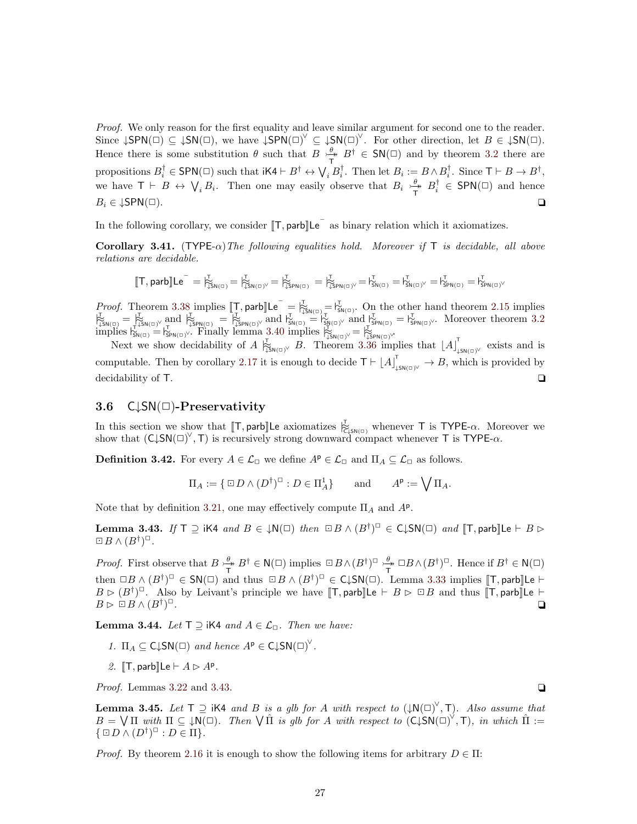Proof. We only reason for the first equality and leave similar argument for second one to the reader. Since  $\downarrow$ SPN( $\Box$ )  $\subseteq \downarrow$ SN( $\Box$ ), we have  $\downarrow$ SPN( $\Box$ )<sup> $\vee$ </sup>  $\subseteq \downarrow$ SN( $\Box$ )<sup> $\vee$ </sup>. For other direction, let  $B \in \downarrow$ SN( $\Box$ ). Hence there is some substitution  $\theta$  such that  $B \nightharpoonup^{\theta}_{\mathcal{P}}$  $\frac{\theta}{T}$ ,  $B^{\dagger} \in SN(\square)$  and by theorem [3.2](#page-17-2) there are propositions  $B_i^{\dagger} \in \mathsf{SPN}(\square)$  such that  $i \mathsf{K4} \vdash B^{\dagger} \leftrightarrow \bigvee_i B_i^{\dagger}$ . Then let  $B_i := B \wedge B_i^{\dagger}$ . Since  $\mathsf{T} \vdash B \to B^{\dagger}$ , we have  $\mathsf{T} \vdash B \leftrightarrow \bigvee_i B_i$ . Then one may easily observe that  $B_i \rightarrow^{\theta}_{\mathsf{T}}$  $\frac{\theta}{T}$   $B_i^{\dagger} \in$  SPN( $\square$ ) and hence  $B_i \in \downarrow$ SPN( $\Box$ ).

In the following corollary, we consider  $[\![T, \mathsf{parb}]\!]$  Le<sup> $^-$ </sup> as binary relation which it axiomatizes.

Corollary 3.41. (TYPE- $\alpha$ ) The following equalities hold. Moreover if T is decidable, all above relations are decidable.

$$
[\![T, \mathsf{parb}]\!] \mathsf{Le}^- = \natural_{\downarrow \mathsf{S}\mathsf{N}(\square)}^\mathsf{T} = \natural_{\downarrow \mathsf{S}\mathsf{N}(\square)^\vee}^\mathsf{T} = \natural_{\downarrow \mathsf{S}\mathsf{P}\mathsf{N}(\square)}^\mathsf{T} = \natural_{\downarrow \mathsf{S}\mathsf{P}\mathsf{N}(\square)^\vee}^\mathsf{T} = \natural_{\mathsf{S}\mathsf{N}(\square)^\vee}^\mathsf{T} = \natural_{\mathsf{S}\mathsf{P}\mathsf{N}(\square)}^\mathsf{T} = \natural_{\mathsf{S}\mathsf{P}\mathsf{N}(\square)}^\mathsf{T}
$$

*Proof.* Theorem [3.38](#page-25-4) implies  $[\mathbb{T}, \text{parb}]\mathsf{Le}^- = \mathbb{E}_{\mathsf{SSN}(\mathbb{G})}^{\mathbb{T}} = \mathbb{E}_{\mathsf{S}\mathsf{N}(\mathbb{G})}^{\mathbb{T}}$ . On the other hand theorem [2.15](#page-12-2) implies  $\mu_{\text{SIN}(\Box)}^{\text{L}} = \mu_{\text{SIN}(\Box)}^{\text{L}}$  and  $\mu_{\text{SIN}(\Box)}^{\text{L}} = \mu_{\text{SIN}(\Box)}^{\text{L}}$  and  $\mu_{\text{SIN}(\Box)}^{\text{L}} = \mu_{\text{SIN}(\Box)}^{\text{L}}$  and  $\mu_{\text{SIN}(\Box)}^{\text{L}} = \mu_{\text{SIN}(\Box)}^{\text{L}}$ . Moreover theorem [3.2](#page-17-2) implies  $V_{\text{SM}(G)}^{\text{T,SM}(G)} = V_{\text{SPN}(G)}^{\text{T}}$ . Finally lemma [3.40](#page-25-5) implies  $V_{\text{SSN}(G)}^{\text{T}} = V_{\text{SSN}(G)}^{\text{T}}$ 

Next we show decidability of  $A \vert_{\mathfrak{Z}_{\mathfrak{M}(\mathbb{D})}^{\mathbb{L}}}^{\mathfrak{X}} B$ . Theorem [3.36](#page-25-2) implies that  $\vert A \vert_{\mathfrak{L}}^{\mathfrak{X}}$  $\lim_{\downarrow$  s<sub>N(□)</sub> $\vee$  exists and is computable. Then by corollary [2.17](#page-13-2) it is enough to decide  $T \vdash [A]_{\text{LSM}(\square)}^{\top} \rightarrow B$ , which is provided by decidability of T.

#### <span id="page-26-0"></span>3.6  $C\downarrow SN(\square)$ -Preservativity

In this section we show that  $[\![T, \text{parb}]\!]$  Le axiomatizes  $\bigtriangledown_{\mathsf{C}_\downarrow \mathsf{SN}(\mathsf{C})}^{\mathsf{C}}$  whenever T is TYPE- $\alpha$ . Moreover we show that  $(C\downarrow SN(\square)^{\vee}, T)$  is recursively strong downward compact whenever T is TYPE- $\alpha$ .

**Definition 3.42.** For every  $A \in \mathcal{L}_{\Box}$  we define  $A^{\rho} \in \mathcal{L}_{\Box}$  and  $\Pi_A \subseteq \mathcal{L}_{\Box}$  as follows.

$$
\Pi_A := \{ \Box D \wedge (D^{\dagger})^{\Box} : D \in \Pi_A^1 \} \quad \text{and} \quad A^{\mathsf{p}} := \bigvee \Pi_A.
$$

Note that by definition [3.21,](#page-22-2) one may effectively compute  $\Pi_A$  and  $A^{\rho}$ .

<span id="page-26-1"></span>Lemma 3.43. If  $T \supseteq iK4$  and  $B \in \downarrow N(\square)$  then  $\Box B \wedge (B^{\dagger})^{\square} \in C \downarrow SN(\square)$  and  $[T, \mathsf{parb}]\mathsf{Le} \vdash B \rhd$  $\boxdot$  B  $\wedge$   $(B^{\dagger})^{\Box}$ .

*Proof.* First observe that  $B \nightharpoonup^{\theta}$  $\frac{\theta}{\tau} B^{\dagger} \in \mathsf{N}(\square)$  implies  $\Box B \wedge (B^{\dagger})^{\Box} \rightarrow^{\theta}_{\overline{\mathsf{T}}}$  $\frac{\theta}{T} \Box B \wedge (B^{\dagger})^{\Box}$ . Hence if  $B^{\dagger} \in N(\Box)$ then  $\Box B \wedge (B^{\dagger})^{\Box} \in SN(\Box)$  and thus  $\Box B \wedge (B^{\dagger})^{\Box} \in C \downarrow SN(\Box)$ . Lemma [3.33](#page-24-4) implies  $[\![T, \mathsf{parb}]\!]$ Le  $\vdash$  $B \triangleright (B^{\dagger})^{\square}$ . Also by Leivant's principle we have  $[\![T, \mathsf{parb}]\!]$ Le  $\vdash B \triangleright \square B$  and thus  $[\![T, \mathsf{parb}]\!]$ Le  $\vdash$  $B \rhd \Box B \wedge (B^{\dagger})$ ✷. ✷

<span id="page-26-3"></span>**Lemma 3.44.** Let  $T \supseteq$  iK4 and  $A \in \mathcal{L}_{\Box}$ . Then we have:

- 1.  $\Pi_A \subseteq C\downarrow SN(\square)$  and hence  $A^p \in C\downarrow SN(\square)^{\vee}$ .
- 2.  $\mathbb{T}$ , parb $\mathbb{L}$ e  $\vdash A \rhd A^p$ .

*Proof.* Lemmas [3.22](#page-23-0) and [3.43.](#page-26-1)  $\Box$ 

<span id="page-26-2"></span>**Lemma 3.45.** Let  $T \supseteq$  iK4 and B is a glb for A with respect to  $(\downarrow N(\square)^{\vee}, T)$ . Also assume that  $B = \bigvee \Pi$  with  $\Pi \subseteq \downarrow N(\square)$ . Then  $\bigvee \hat{\Pi}$  is glb for A with respect to  $(C \downarrow SN(\square)^{\vee}, T)$ , in which  $\hat{\Pi} :=$  $\{ \boxdot D \wedge (D^{\dagger})^{\boxdot} : D \in \Pi \}.$ 

*Proof.* By theorem [2.16](#page-13-1) it is enough to show the following items for arbitrary  $D \in \Pi$ :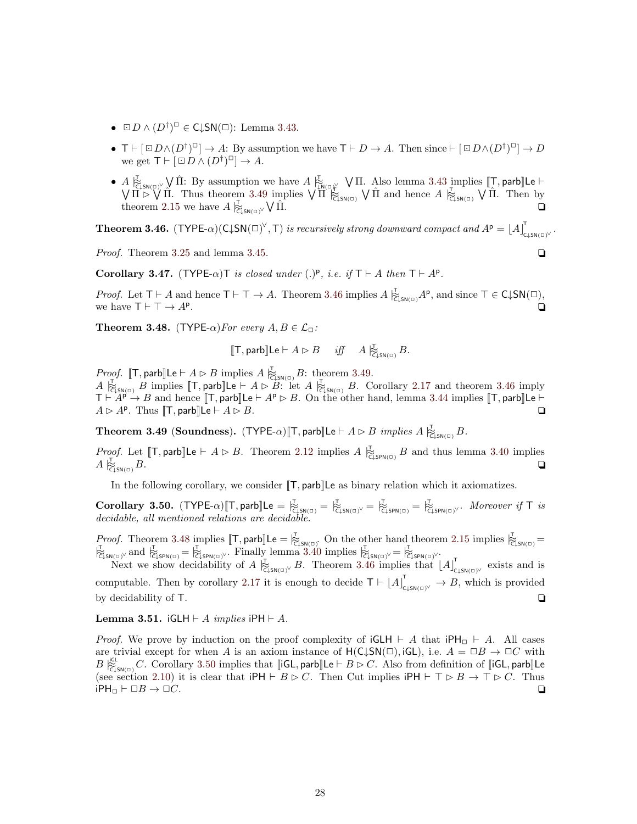- $\square D \wedge (D^{\dagger})^{\square} \in \mathsf{C} \downarrow \mathsf{SN}(\square)$ : Lemma [3.43.](#page-26-1)
- $\mathsf{T} \vdash [\Box D \land (D^{\dagger})^{\Box}] \rightarrow A$ : By assumption we have  $\mathsf{T} \vdash D \rightarrow A$ . Then since  $\vdash [\Box D \land (D^{\dagger})^{\Box}] \rightarrow D$ we get  $\mathsf{T} \vdash \left[ \Box D \land (D^{\dagger})^{\Box} \right] \rightarrow A$ .
- $A \underset{\sim}{\overset{\sim}{\sim}} \mathcal{N}$   $\hat{\Pi}$ : By assumption we have  $A \underset{\sim}{\overset{\sim}{\sim}} \mathcal{N}$   $\Pi$ . Also lemma [3.43](#page-26-1) implies  $[\![\mathcal{T}, \mathsf{parb}]\!]$  Le  $\vdash$  $\bigvee \Pi \triangleright \bigvee \hat{\Pi}$ . Thus theorem [3.49](#page-27-0) implies  $\bigvee \Pi \bigotimes_{\text{C} \downarrow \text{SN}(\square)}^{\text{LN}(\square)} \bigvee \hat{\Pi}$  and hence  $A \bigotimes_{\text{C} \downarrow \text{SN}(\square)}^{\text{C}} \bigvee \hat{\Pi}$ . Then by theorem [2.15](#page-12-2) we have  $A \bigg|_{\text{CylsN}(D)}^{\text{L}} \sqrt{\Pi}.$

<span id="page-27-1"></span>**Theorem 3.46.** (TYPE- $\alpha$ )(C $\downarrow$ SN( $\Box$ )<sup> $\vee$ </sup>, T) is recursively strong downward compact and  $A^{\mathsf{p}} = [A]$ . .<br>c<sub>↓SN(□)</sub>∨ .

*Proof.* Theorem [3.25](#page-23-1) and lemma [3.45.](#page-26-2)  $\Box$ 

Corollary 3.47. (TYPE- $\alpha$ ) T is closed under (.)<sup>p</sup>, i.e. if  $T \vdash A$  then  $T \vdash A^p$ .

*Proof.* Let  $T \vdash A$  and hence  $T \vdash \top \rightarrow A$ . Theorem [3.46](#page-27-1) implies  $A \not\substack{\tau \\ \mathbb{C}_{\downarrow} \mathsf{sn}(\square)} A^p$ , and since  $T \in C \downarrow SN(\square)$ , we have  $\mathsf{T}\vdash \top \rightarrow A^{\mathsf{p}}$ . . The contract of the contract of the contract of the contract of the contract of the contract of the contract of the contract of the contract of the contract of the contract of the contract of the contract of the contrac

<span id="page-27-2"></span>**Theorem 3.48.** (TYPE- $\alpha$ ) For every  $A, B \in \mathcal{L}_{\Box}$ :

$$
[\![\mathsf{T},\mathsf{parb}]\!] \mathsf{Le}\vdash A \rhd B \quad \textit{iff} \quad A \not\vdash_{\mathsf{CLSM}(\Box)}^{\mathsf{T}} B.
$$

*Proof.* [T, parb]Le  $\vdash A \rhd B$  implies  $A \not\vdash_{\mathsf{C} \downarrow \mathsf{SN}(\square)} B$ : theorem [3.49.](#page-27-0)  $A \biguplus_{\substack{c \in \mathcal{S}} \{S(\mathcal{C})\}} B$  implies  $[\![\mathsf{T}, \mathsf{parb}]\!]$  Le  $\vdash A \rhd \widetilde{B}$ : let  $A \biguplus_{\substack{c \in \mathcal{S}} \{S(\mathcal{C})\}} B$ . Corollary [2.17](#page-13-2) and theorem [3.46](#page-27-1) imply  $T \mapsto A^p \rightarrow B$  and hence  $[\![T, parb]\!]$ Le  $\vdash A^p \triangleright B$ . On the other hand, lemma [3.44](#page-26-3) implies  $[\![T, parb]\!]$ Le  $\vdash$  $A \triangleright A^{\sf p}$ . Thus  $\llbracket {\sf T}, {\sf parb} \rrbracket$  Le  $\vdash A \triangleright B$ .

<span id="page-27-0"></span>**Theorem 3.49 (Soundness).** (TYPE- $\alpha$ )[T, parb]Le  $\vdash A \rhd B$  implies  $A \not\vdash_{\mathsf{C} \downarrow \mathsf{SN}(\Box)} B$ .

*Proof.* Let  $[\![\mathsf{T},\textsf{parb}]\!]$ Le  $\vdash A \triangleright B$ . Theorem [2.12](#page-11-1) implies  $A \biguplus_{\substack{\mathsf{C\_SPN}(\Box)}} B$  and thus lemma [3.40](#page-25-5) implies  $A \not\approx_{\text{C,SN(D)}} B.$  $\overleftrightarrow{\zeta}_{\mathsf{LSN}(\Box)} B$ .

In the following corollary, we consider  $[\![T, \mathsf{parb}]\!]$  Le as binary relation which it axiomatizes.

<span id="page-27-3"></span> $\textbf{Corollary 3.50. (TYPE-}\alpha)[T, \text{parb}]\text{Le} = \sum_{\text{CylsN(G)}}^{\text{L}} = \sum_{\text{CylsN(G)}}^{\text{L}} = \sum_{\text{CylsN(G)}}^{\text{L}} = \sum_{\text{CylsN(G)}}^{\text{L}}.$  Moreover if T is decidable, all mentioned relations are decidable.

*Proof.* Theorem [3.48](#page-27-2) implies  $[\![T, \mathsf{parb}]\!]$ Le  $=\bigtriangledown_{\mathsf{C},\mathsf{SN}(\mathsf{D})}^{\mathsf{L}}$ . On the other hand theorem [2.15](#page-12-2) implies  $\bigtriangledown_{\mathsf{C},\mathsf{SN}(\mathsf{D})}^{\mathsf{L}}$  $\bigcup_{\substack{N\in\mathcal{N}(G)\vee\mathcal{N}}}^{\mathcal{N}}$  and  $\bigcup_{\substack{N\in\mathcal{N}(G)\vee\mathcal{N}}}^{\mathcal{N}} = \bigcup_{\substack{N\in\mathcal{N}(G)\vee\mathcal{N}}}^{\mathcal{N}}$ . Finally lemma [3.40](#page-25-5) implies  $\bigcup_{\substack{N\in\mathcal{N}(G)\vee\mathcal{N}}}^{\mathcal{N}} = \bigcup_{\substack{N\in\mathcal{N}(G)\vee\mathcal{N}}}^{\mathcal{N}}$ 

Next we show decidability of  $A \not\stackrel{\tau}{\mathcal{R}}_{\mathcal{L}_\varphi(\mathcal{D})} B$ . Theorem [3.46](#page-27-1) implies that  $[A]_{\mathcal{C}}^{\tau}$  $\epsilon_{\text{LSN}(\square)}$  exists and is computable. Then by corollary [2.17](#page-13-2) it is enough to decide  $T \vdash [A]_{\mathsf{c},\mathsf{L}^{\mathsf{SN}(\mathsf{D})\vee}}^{\mathsf{T}} \to B$ , which is provided by decidability of  $\mathsf{T}$ .

<span id="page-27-4"></span>Lemma 3.51.  $iGLH \vdash A$  implies  $iPH \vdash A$ .

*Proof.* We prove by induction on the proof complexity of  $GCH \vdash A$  that  $PH \Box \vdash A$ . All cases are trivial except for when A is an axiom instance of  $H(C\downarrow SN(\square), i\text{GL})$ , i.e.  $A = \square B \rightarrow \square C$  with  $B\models_{\mathsf{C} \downarrow \mathsf{SN}(\Box)}^{\mathsf{IGL}} C$ . Corollary [3.50](#page-27-3) implies that  $\llbracket \mathsf{iGL},\mathsf{parb} \rrbracket \mathsf{Le} \vdash B \rhd C$ . Also from definition of  $\llbracket \mathsf{iGL},\mathsf{parb} \rrbracket \mathsf{Le}$ (see section [2.10\)](#page-10-0) it is clear that  $iPH \vdash B \triangleright C$ . Then Cut implies  $iPH \vdash \top \triangleright B \rightarrow \top \triangleright C$ . Thus  $i$ PH $_0 \vdash \Box B \to \Box C$ .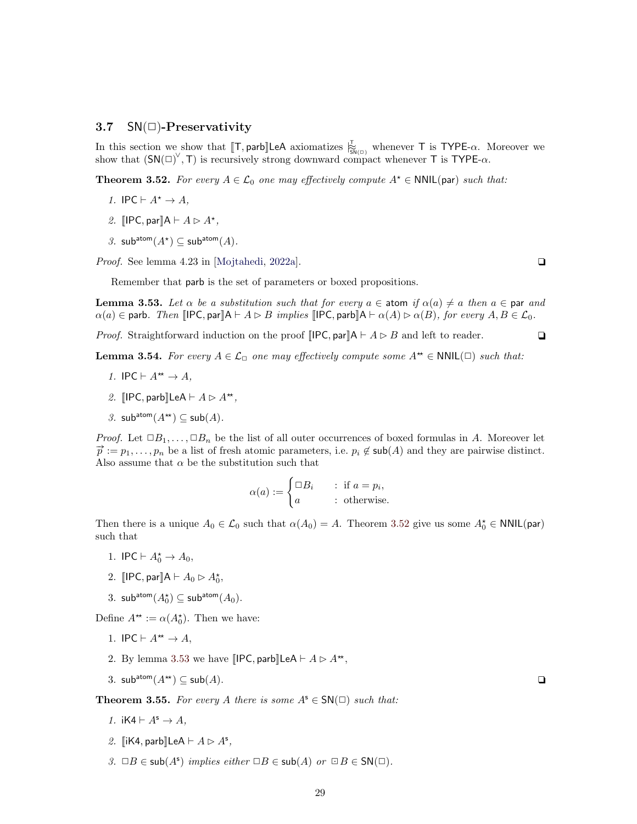#### <span id="page-28-0"></span>3.7  $SN(\Box)$ -Preservativity

In this section we show that  $[\![T, \text{parb}]\!]$  LeA axiomatizes  $\sum_{\text{SN}(n)}^{\text{L}}$  whenever T is TYPE- $\alpha$ . Moreover we show that  $(SN(\square)^{\vee}, T)$  is recursively strong downward compact whenever T is TYPE- $\alpha$ .

<span id="page-28-1"></span>**Theorem 3.52.** For every  $A \in \mathcal{L}_0$  one may effectively compute  $A^* \in \text{NNIL}(\text{par})$  such that:

- 1. IPC  $\vdash A^* \rightarrow A$ ,
- 2. [IPC, par] $A \vdash A \rhd A^*$ ,
- 3. sub<sup>atom</sup> $(A^{\star}) \subseteq \mathsf{sub}^{\mathsf{atom}}(A)$ .

*Proof.* See lemma 4.23 in [\[Mojtahedi,](#page-46-9) [2022a\]](#page-46-9).  $\Box$ 

Remember that parb is the set of parameters or boxed propositions.

<span id="page-28-2"></span>**Lemma 3.53.** Let  $\alpha$  be a substitution such that for every  $a \in \text{atom}$  if  $\alpha(a) \neq a$  then  $a \in \text{par}$  and  $\alpha(a) \in \text{parb. Then } \mathbb{IPC}, \text{par} \mathbb{A} \vdash A \rhd B \text{ implies } \mathbb{IPC}, \text{parb} \mathbb{A} \vdash \alpha(A) \rhd \alpha(B), \text{ for every } A, B \in \mathcal{L}_0.$ 

*Proof.* Straightforward induction on the proof  $[IPC, par]A \vdash A \triangleright B$  and left to reader.

<span id="page-28-3"></span>**Lemma 3.54.** For every  $A \in \mathcal{L}_{\Box}$  one may effectively compute some  $A^* \in \text{NNIL}(\Box)$  such that:

- 1. IPC  $\vdash A^{\star\star} \rightarrow A$ ,
- 2.  $\text{[IPC}, \text{parb} \text{][LeA} \vdash A \rhd A^{\star\star},$
- 3. sub<sup>atom</sup> $(A^{**}) \subseteq sub(A)$ .

*Proof.* Let  $\Box B_1, \ldots, \Box B_n$  be the list of all outer occurrences of boxed formulas in A. Moreover let  $\vec{p} := p_1, \ldots, p_n$  be a list of fresh atomic parameters, i.e.  $p_i \notin \text{sub}(A)$  and they are pairwise distinct. Also assume that  $\alpha$  be the substitution such that

$$
\alpha(a) := \begin{cases} \Box B_i & \text{if } a = p_i, \\ a & \text{; otherwise.} \end{cases}
$$

Then there is a unique  $A_0 \in \mathcal{L}_0$  such that  $\alpha(A_0) = A$ . Theorem [3.52](#page-28-1) give us some  $A_0^* \in \text{NNIL(par)}$ such that

- 1. IPC  $\vdash A_0^* \rightarrow A_0$ ,
- 2.  $\llbracket \textsf{IPC}, \textsf{par} \rrbracket \mathsf{A} \vdash A_0 \rhd A_0^{\star},$
- 3. sub<sup>atom</sup> $(A_0^{\star}) \subseteq \mathsf{sub}^{\mathsf{atom}}(A_0)$ .

Define  $A^* := \alpha(A_0^*)$ . Then we have:

- 1. IPC  $\vdash A^{\star\star} \rightarrow A$ ,
- 2. By lemma [3.53](#page-28-2) we have  $\llbracket \text{IPC}, \text{parb} \rrbracket \text{LeA} \vdash A \rhd A^{\star\star}$ ,
- 3. sub<sup>atom</sup> $(A^{**}) \subseteq \mathsf{sub}(A)$ .  $\square$

<span id="page-28-4"></span>**Theorem 3.55.** For every A there is some  $A^s \in SN(\square)$  such that:

- 1.  $iKA \vdash A^s \rightarrow A$ ,
- 2.  $\left[\mathsf{IK4}, \mathsf{parb} \right] \mathsf{LeA} \vdash A \triangleright A^{\mathsf{s}},$
- 3.  $\Box B \in sub(A^s)$  implies either  $\Box B \in sub(A)$  or  $\Box B \in SN(\Box)$ .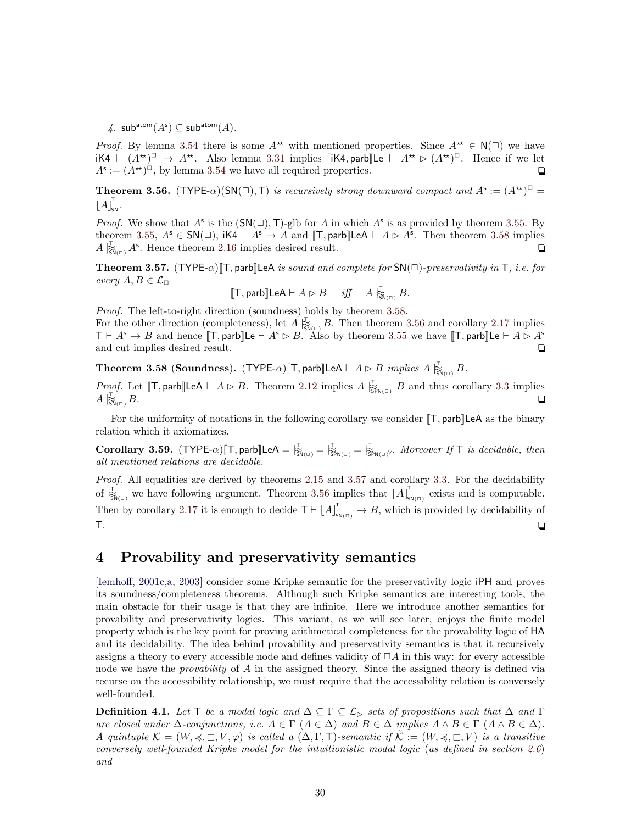4.  $\mathsf{sub^{atom}}(A^{\mathsf{s}}) \subseteq \mathsf{sub^{atom}}(A)$ .

*Proof.* By lemma [3.54](#page-28-3) there is some  $A^*$  with mentioned properties. Since  $A^* \in N(\square)$  we have  $\mathsf{i} \mathsf{K} \mathsf{4} \vdash (A^{\star})^{\square} \rightarrow A^{\star \star}$ . Also lemma [3.31](#page-24-3) implies  $[\mathsf{i} \mathsf{K} \mathsf{4}, \mathsf{parb}]\mathsf{L} \mathsf{e} \vdash A^{\star \star} \triangleright (A^{\star \star})^{\square}$ . Hence if we let  $A^{\mathsf{s}} := (A^{\star})^{\square}$ , by lemma [3.54](#page-28-3) we have all required properties.

<span id="page-29-2"></span>**Theorem 3.56.** (TYPE- $\alpha$ )(SN( $\Box$ ), T) is recursively strong downward compact and  $A^s := (A^{**})^{\Box}$  $\left\lfloor A \right\rfloor_{\mathsf{SN}}^\mathsf{T}.$ 

*Proof.* We show that  $A^s$  is the  $(SN(\square), T)$ -glb for A in which  $A^s$  is as provided by theorem [3.55.](#page-28-4) By theorem [3.55,](#page-28-4)  $A^s \in SN(\square)$ ,  $iK4 \vdash A^s \rightarrow A$  and  $[T, parb]$ LeA  $\vdash A \rhd A^s$ . Then theorem [3.58](#page-29-1) implies  $A \, \overline{\mathcal{E}}_{\mathsf{SN}(\square)} A^{\mathsf{s}}$ . Hence theorem [2.16](#page-13-1) implies desired result.  $\Box$ 

<span id="page-29-3"></span>**Theorem 3.57.** (TYPE- $\alpha$ )  $\mathbb{T}$ , parb $\mathbb{L}$ eA is sound and complete for SN( $\Box$ )-preservativity in T, i.e. for every  $A, B \in \mathcal{L}_{\Box}$ 

$$
[\![\mathsf{T},\mathsf{parb}]\!] \mathsf{LeA} \vdash A \rhd B \quad \text{ iff } \quad A \not\upharpoonright_{\mathsf{SM}(\square)} B.
$$

Proof. The left-to-right direction (soundness) holds by theorem [3.58.](#page-29-1)

For the other direction (completeness), let  $A \vert_{\mathfrak{M}(\square)}^{\mathbb{L}} B$ . Then theorem [3.56](#page-29-2) and corollary [2.17](#page-13-2) implies  $T \vdash A^s \to B$  and hence  $[T, \text{parb}]\text{Le } \vdash A^s \rhd B$ . Also by theorem [3.55](#page-28-4) we have  $[T, \text{parb}]\text{Le } \vdash A \rhd A^s$ and cut implies desired result.  $\Box$ 

<span id="page-29-1"></span>**Theorem 3.58** (Soundness). (TYPE- $\alpha$ )[T, parb]LeA  $\vdash A \rhd B$  implies  $A \; \vert_{\text{SM}(\Box)}^{\mathcal{T}} B$ .

*Proof.* Let  $[\![\mathsf{T}, \mathsf{parb}]\!]$ LeA  $\vdash A \triangleright B$ . Theorem [2.12](#page-11-1) implies  $A \underset{\mathsf{S}\models \mathsf{NN}(\Box)}{\downarrow} B$  and thus corollary [3.3](#page-17-4) implies  $A \nightharpoonup_{\mathsf{SM}(n)}^{\mathsf{L}} B.$  $\frac{1}{\sin(\alpha)} B$ .

For the uniformity of notations in the following corollary we consider  $\llbracket T$ , parb $\llbracket$ LeA as the binary relation which it axiomatizes.

**Corollary 3.59.** (TYPE- $\alpha$ )[T, parb]LeA =  $\frac{1}{|S_{\text{EN}}|_{\text{CD}}}= \frac{1}{|S_{\text{SN}}|_{\text{CD}}}= \frac{1}{|S_{\text{SN}}|_{\text{CD}}}\cdot Moreover \text{ If }T \text{ is decidable, then }$ all mentioned relations are decidable.

Proof. All equalities are derived by theorems [2.15](#page-12-2) and [3.57](#page-29-3) and corollary [3.3.](#page-17-4) For the decidability of  $\big|\vec{\xi}_{\text{NN}(n)}\big|$  we have following argument. Theorem [3.56](#page-29-2) implies that  $\left[A\right]_s^{\dagger}$  $\sum_{\mathsf{SN}(\square)}$  exists and is computable. Then by corollary [2.17](#page-13-2) it is enough to decide  $T \vdash \lfloor A \rfloor^{\mathsf{T}}_{\mathsf{SN}(\square)} \to B$ , which is provided by decidability of T. ✷

# <span id="page-29-0"></span>4 Provability and preservativity semantics

[\[Iemhoff,](#page-46-6) [2001c,](#page-46-6)[a,](#page-46-11) [2003\]](#page-46-5) consider some Kripke semantic for the preservativity logic iPH and proves its soundness/completeness theorems. Although such Kripke semantics are interesting tools, the main obstacle for their usage is that they are infinite. Here we introduce another semantics for provability and preservativity logics. This variant, as we will see later, enjoys the finite model property which is the key point for proving arithmetical completeness for the provability logic of HA and its decidability. The idea behind provability and preservativity semantics is that it recursively assigns a theory to every accessible node and defines validity of  $\Box A$  in this way: for every accessible node we have the *provability* of A in the assigned theory. Since the assigned theory is defined via recurse on the accessibility relationship, we must require that the accessibility relation is conversely well-founded.

**Definition 4.1.** Let T be a modal logic and  $\Delta \subseteq \Gamma \subseteq \mathcal{L}_{\triangleright}$  sets of propositions such that  $\Delta$  and  $\Gamma$ are closed under  $\Delta$ -conjunctions, i.e.  $A \in \Gamma$   $(A \in \Delta)$  and  $B \in \Delta$  implies  $A \wedge B \in \Gamma$   $(A \wedge B \in \Delta)$ . A quintuple  $\mathcal{K} = (W, \preccurlyeq, \sqsubset, V, \varphi)$  is called a  $(\Delta, \Gamma, \mathsf{T})$ -semantic if  $\mathcal{K} := (W, \preccurlyeq, \sqsubset, V)$  is a transitive conversely well-founded Kripke model for the intuitionistic modal logic (as defined in section [2.6](#page-5-1)) and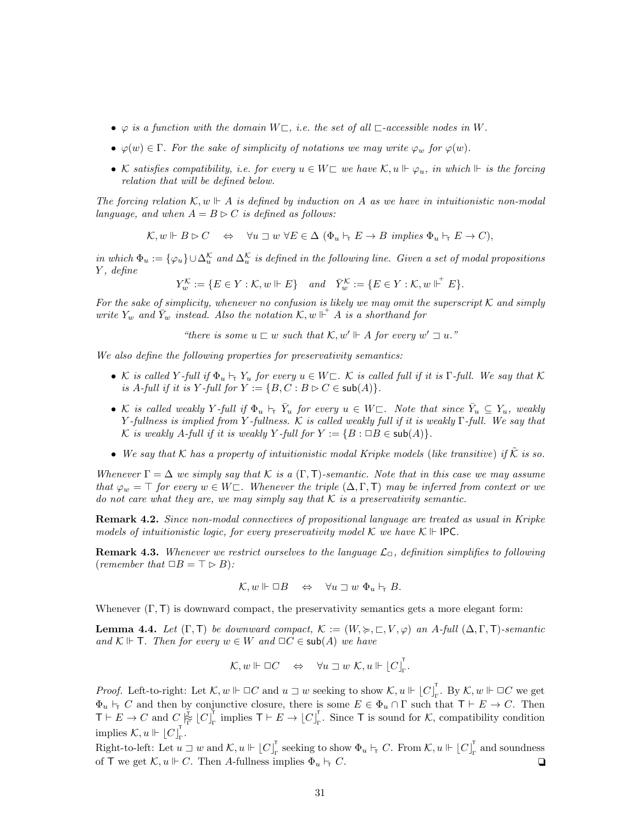- $\varphi$  is a function with the domain  $W \subseteq$ , i.e. the set of all  $\Box$ -accessible nodes in W.
- $\varphi(w) \in \Gamma$ . For the sake of simplicity of notations we may write  $\varphi_w$  for  $\varphi(w)$ .
- K satisfies compatibility, i.e. for every  $u \in W\Box$  we have  $\mathcal{K}, u \Vdash \varphi_u$ , in which  $Vdash$  is the forcing relation that will be defined below.

The forcing relation  $\mathcal{K}, w \Vdash A$  is defined by induction on A as we have in intuitionistic non-modal language, and when  $A = B \triangleright C$  is defined as follows:

$$
\mathcal{K}, w \Vdash B \rhd C \quad \Leftrightarrow \quad \forall u \sqsupset w \ \forall E \in \Delta \ (\Phi_u \vdash_{\mathsf{T}} E \to B \ \ \text{implies} \ \Phi_u \vdash_{\mathsf{T}} E \to C),
$$

in which  $\Phi_u := \{\varphi_u\} \cup \Delta_u^{\mathcal{K}}$  and  $\Delta_u^{\mathcal{K}}$  is defined in the following line. Given a set of modal propositions Y , define

$$
Y^{\mathcal{K}}_w:=\{E\in Y: \mathcal{K}, w\Vdash E\}\quad\textit{and}\quad \bar{Y}^{\mathcal{K}}_w:=\{E\in Y: \mathcal{K}, w\Vdash^{^+} E\}.
$$

For the sake of simplicity, whenever no confusion is likely we may omit the superscript  $K$  and simply write  $Y_w$  and  $\overline{Y}_w$  instead. Also the notation  $\mathcal{K}, w \Vdash^+ A$  is a shorthand for

"there is some  $u \sqsubset w$  such that  $\mathcal{K}, w' \Vdash A$  for every  $w' \sqsupset u$ ."

We also define the following properties for preservativity semantics:

- K is called Y-full if  $\Phi_u \vdash_\tau Y_u$  for every  $u \in W\square$ . K is called full if it is  $\Gamma$ -full. We say that K is A-full if it is Y-full for  $Y := \{B, C : B \triangleright C \in \mathsf{sub}(A)\}.$
- K is called weakly Y-full if  $\Phi_u \vdash_{\tau} \bar{Y}_u$  for every  $u \in W \sqsubset$ . Note that since  $\bar{Y}_u \subseteq Y_u$ , weakly Y-fullness is implied from Y-fullness. K is called weakly full if it is weakly  $\Gamma$ -full. We say that K is weakly A-full if it is weakly Y-full for  $Y := \{B : \Box B \in sub(A)\}.$
- We say that K has a property of intuitionistic modal Kripke models (like transitive) if  $\tilde{K}$  is so.

Whenever  $\Gamma = \Delta$  we simply say that K is a  $(\Gamma, \mathsf{T})$ -semantic. Note that in this case we may assume that  $\varphi_w = \top$  for every  $w \in W \subset \mathbb{R}$ . Whenever the triple  $(\Delta, \Gamma, \top)$  may be inferred from context or we do not care what they are, we may simply say that  $K$  is a preservativity semantic.

<span id="page-30-0"></span>Remark 4.2. Since non-modal connectives of propositional language are treated as usual in Kripke models of intuitionistic logic, for every preservativity model  $\mathcal K$  we have  $\mathcal K \Vdash \mathsf{IPC}$ .

**Remark 4.3.** Whenever we restrict ourselves to the language  $\mathcal{L}_{\Box}$ , definition simplifies to following (remember that  $\Box B = \top \triangleright B$ ):

$$
\mathcal{K}, w \Vdash \Box B \quad \Leftrightarrow \quad \forall u \sqsupset w \Phi_u \vdash_{\mathsf{T}} B.
$$

Whenever  $(\Gamma, \mathsf{T})$  is downward compact, the preservativity semantics gets a more elegant form:

**Lemma 4.4.** Let  $(\Gamma, \Gamma)$  be downward compact,  $\mathcal{K} := (W, \succcurlyeq, \sqsubset, V, \varphi)$  an A-full  $(\Delta, \Gamma, \Gamma)$ -semantic and  $\mathcal{K} \Vdash$  **T**. Then for every  $w \in W$  and  $\Box C \in sub(A)$  we have

$$
\mathcal{K}, w \Vdash \Box C \quad \Leftrightarrow \quad \forall u \sqsupset w \mathcal{K}, u \Vdash \lfloor C \rfloor_{\Gamma}^{\mathsf{T}}.
$$

*Proof.* Left-to-right: Let  $\mathcal{K}, w \Vdash \Box C$  and  $u \sqsupset w$  seeking to show  $\mathcal{K}, u \Vdash [C]$ .  $_{\Gamma}^{\mathsf{T}}$ . By  $\mathcal{K}, w \Vdash \Box C$  we get  $\Phi_u \vdash_{\tau} C$  and then by conjunctive closure, there is some  $E \in \Phi_u \cap \Gamma$  such that  $\mathsf{T} \vdash E \to C$ . Then  $\mathsf{T}\vdash E\to C$  and  $C\mathrel{\underset{\mathsf{F}}{\succcurlyeq}}\bigcup\left[C\right]_{\mathsf{r}}^{\mathsf{T}}$  $_{\Gamma}^{\top}$  implies  $\mathsf{T}\vdash E\to \lfloor C \rfloor_{\Gamma}^{\top}$  $\Gamma$ . Since T is sound for K, compatibility condition implies  $\mathcal{K}, u \Vdash |C|_F$ .<br><sub>Γ</sub>'

Right-to-left: Let  $u \sqsupset w$  and  $\mathcal{K}, u \Vdash [C]_r$  $_{\Gamma}^{\top}$  seeking to show  $\Phi_u \vdash_{\top} C$ . From  $\mathcal{K}, u \Vdash \lfloor C \rfloor_{\Gamma}^{\top}$  $\Gamma$ <sub>r</sub> and soundness of T we get  $\mathcal{K}, u \Vdash C$ . Then A-fullness implies  $\Phi_u \vdash_{\Gamma} C$ .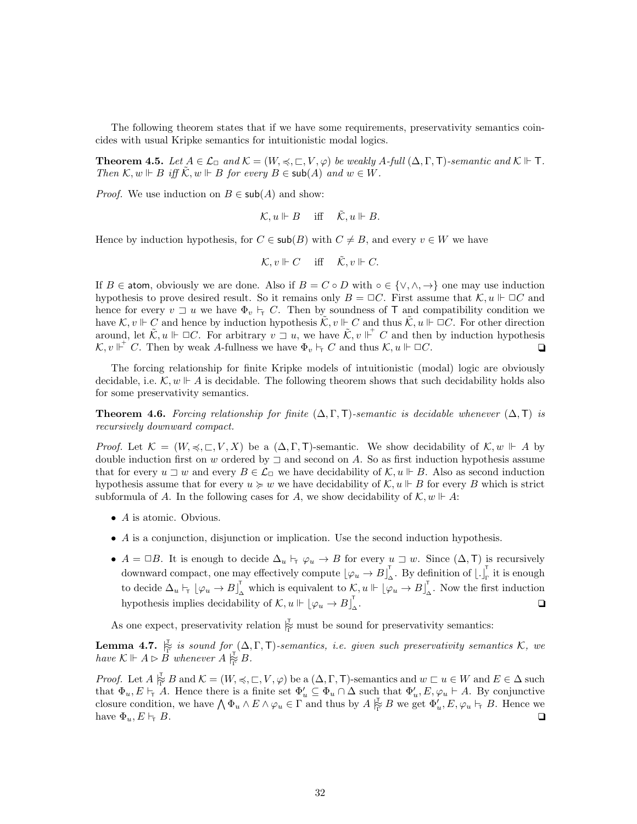The following theorem states that if we have some requirements, preservativity semantics coincides with usual Kripke semantics for intuitionistic modal logics.

<span id="page-31-1"></span>**Theorem 4.5.** Let  $A \in \mathcal{L}_{\Box}$  and  $\mathcal{K} = (W, \preccurlyeq, \Box, V, \varphi)$  be weakly A-full  $(\Delta, \Gamma, \mathsf{T})$ -semantic and  $\mathcal{K} \Vdash \mathsf{T}$ . Then  $\mathcal{K}, w \Vdash B$  iff  $\tilde{\mathcal{K}}, w \Vdash B$  for every  $B \in \mathsf{sub}(A)$  and  $w \in W$ .

*Proof.* We use induction on  $B \in \mathsf{sub}(A)$  and show:

$$
\mathcal{K}, u \Vdash B \quad \text{ iff } \quad \tilde{\mathcal{K}}, u \Vdash B.
$$

Hence by induction hypothesis, for  $C \in sub(B)$  with  $C \neq B$ , and every  $v \in W$  we have

$$
\mathcal{K}, v \Vdash C \quad \text{ iff } \quad \tilde{\mathcal{K}}, v \Vdash C.
$$

If B  $\in$  atom, obviously we are done. Also if  $B = C \circ D$  with  $\circ \in \{ \vee, \wedge, \rightarrow \}$  one may use induction hypothesis to prove desired result. So it remains only  $B = \Box C$ . First assume that  $\mathcal{K}, u \Vdash \Box C$  and hence for every  $v \sqsupset u$  we have  $\Phi_v \vdash_{\tau} C$ . Then by soundness of T and compatibility condition we have  $\mathcal{K}, v \Vdash C$  and hence by induction hypothesis  $\tilde{\mathcal{K}}, v \Vdash C$  and thus  $\tilde{\mathcal{K}}, u \Vdash \Box C$ . For other direction around, let  $\tilde{\mathcal{K}}, u \Vdash \Box C$ . For arbitrary  $v \bar{\Box} u$ , we have  $\tilde{\mathcal{K}}, v \Vdash^+ C$  and then by induction hypothesis  $\mathcal{K}, v \Vdash^+ C$ . Then by weak A-fullness we have  $\Phi_v \vdash_{\tau} C$  and thus  $\mathcal{K}, u \Vdash \Box C$ .

The forcing relationship for finite Kripke models of intuitionistic (modal) logic are obviously decidable, i.e.  $\mathcal{K}, w \Vdash A$  is decidable. The following theorem shows that such decidability holds also for some preservativity semantics.

<span id="page-31-2"></span>**Theorem 4.6.** Forcing relationship for finite  $(\Delta, \Gamma, \Gamma)$ -semantic is decidable whenever  $(\Delta, \Gamma)$  is recursively downward compact.

*Proof.* Let  $\mathcal{K} = (W, \preceq, \sqsubset, V, X)$  be a  $(\Delta, \Gamma, \mathsf{T})$ -semantic. We show decidability of  $\mathcal{K}, w \Vdash A$  by double induction first on w ordered by  $\exists$  and second on A. So as first induction hypothesis assume that for every  $u \sqsupset w$  and every  $B \in \mathcal{L}_{\Box}$  we have decidability of  $\mathcal{K}, u \Vdash B$ . Also as second induction hypothesis assume that for every  $u \geq w$  we have decidability of  $\mathcal{K}, u \Vdash B$  for every B which is strict subformula of A. In the following cases for A, we show decidability of  $\mathcal{K}, w \Vdash A$ :

- A is atomic. Obvious.
- A is a conjunction, disjunction or implication. Use the second induction hypothesis.
- $A = \Box B$ . It is enough to decide  $\Delta_u \vdash_{\tau} \varphi_u \to B$  for every  $u \sqsupset w$ . Since  $(\Delta, \mathsf{T})$  is recursively downward compact, one may effectively compute  $\lfloor \varphi_u \to B \rfloor$  $\int_{\Delta}^{\tau}$ . By definition of  $\left[ . \right]_{\Gamma}^{\tau}$  $\frac{1}{\Gamma}$  it is enough to decide  $\Delta_u \vdash_{\mathsf{t}} [\varphi_u \to B]_{\Delta}^{\mathsf{T}}$  which is equivalent to  $\mathcal{K}, u \Vdash [\varphi_u \to B]_{\Delta}^{\mathsf{T}}$  $\Delta$ . Now the first induction hypothesis implies decidability of  $\mathcal{K}, u \Vdash [\varphi_u \to B]$ ∆ .  $\Box$

As one expect, preservativity relation  $\frac{1}{\Gamma}$  must be sound for preservativity semantics:

<span id="page-31-0"></span>**Lemma 4.7.**  $\frac{1}{\Gamma}$  is sound for  $(\Delta, \Gamma, \mathsf{T})$ -semantics, i.e. given such preservativity semantics K, we have  $\mathcal{K} \Vdash A \rhd \overrightarrow{B}$  whenever  $A \rvert_{\overline{\Gamma}}^{\overline{\Gamma}} B$ .

*Proof.* Let  $A \not\stackrel{\tau}{\in} B$  and  $\mathcal{K} = (W, \preccurlyeq, \sqsubset, V, \varphi)$  be a  $(\Delta, \Gamma, \mathsf{T})$ -semantics and  $w \sqsubset u \in W$  and  $E \in \Delta$  such that  $\Phi_u, E \vdash_{\tau} A$ . Hence there is a finite set  $\Phi'_u \subseteq \Phi_u \cap \Delta$  such that  $\Phi'_u, E, \varphi_u \vdash A$ . By conjunctive closure condition, we have  $\bigwedge \Phi_u \wedge E \wedge \varphi_u \in \Gamma$  and thus by  $A \not\substack{\tau \\ \vdots} B$  we get  $\Phi'_u, E, \varphi_u \vdash_{\tau} B$ . Hence we have  $\Phi_u, E \vdash_{\mathsf{T}} B$ .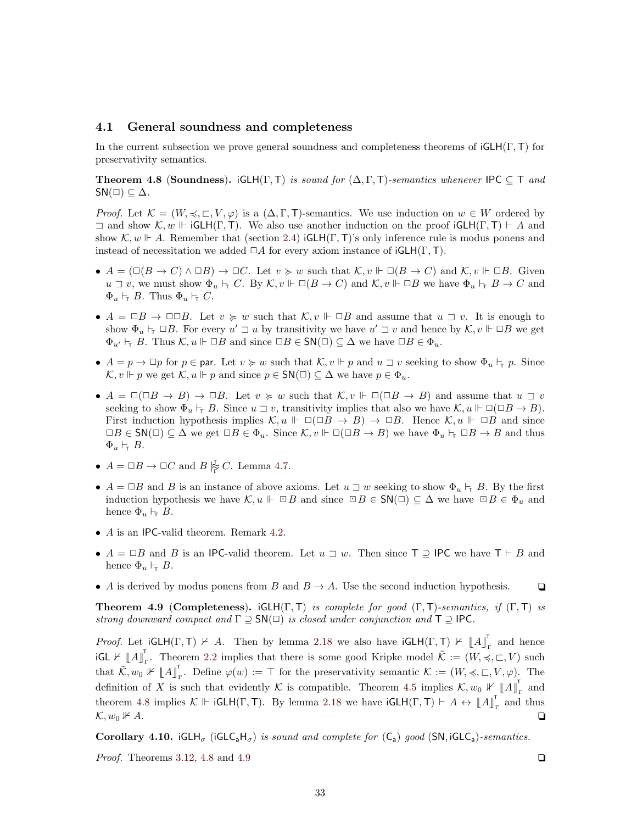#### <span id="page-32-0"></span>4.1 General soundness and completeness

In the current subsection we prove general soundness and completeness theorems of  $GCH(\Gamma, T)$  for preservativity semantics.

<span id="page-32-1"></span>**Theorem 4.8 (Soundness).** iGLH(Γ, Τ) is sound for  $(\Delta, \Gamma, \mathsf{T})$ -semantics whenever IPC  $\subseteq \mathsf{T}$  and  $SN(\square) \subseteq \Delta$ .

*Proof.* Let  $\mathcal{K} = (W, \preceq, \sqsubset, V, \varphi)$  is a  $(\Delta, \Gamma, \mathsf{T})$ -semantics. We use induction on  $w \in W$  ordered by  $\exists$  and show  $\mathcal{K}, w \Vdash \mathsf{iGLH}(\Gamma, \mathsf{T})$ . We also use another induction on the proof  $\mathsf{iGLH}(\Gamma, \mathsf{T}) \vdash A$  and show  $\mathcal{K}, w \Vdash A$ . Remember that (section [2.4\)](#page-4-0) iGLH(Γ, T)'s only inference rule is modus ponens and instead of necessitation we added  $\Box A$  for every axiom instance of  $iGLH(\Gamma, T)$ .

- $A = (\Box(B \to C) \land \Box B) \to \Box C$ . Let  $v \succcurlyeq w$  such that  $\mathcal{K}, v \Vdash \Box (B \to C)$  and  $\mathcal{K}, v \Vdash \Box B$ . Given  $u \supset v$ , we must show  $\Phi_u \vdash_{\Gamma} C$ . By  $\mathcal{K}, v \Vdash \Box(B \to C)$  and  $\mathcal{K}, v \Vdash \Box B$  we have  $\Phi_u \vdash_{\Gamma} B \to C$  and  $\Phi_u \vdash_{\mathsf{T}} B$ . Thus  $\Phi_u \vdash_{\mathsf{T}} C$ .
- $A = \Box B \to \Box \Box B$ . Let  $v \succcurlyeq w$  such that  $\mathcal{K}, v \Vdash \Box B$  and assume that  $u \sqsupset v$ . It is enough to show  $\Phi_u \vdash_{\tau} \Box B$ . For every  $u' \sqsupset u$  by transitivity we have  $u' \sqsupset v$  and hence by  $\mathcal{K}, v \Vdash \Box B$  we get  $\Phi_{u'} \vdash_{\top} B$ . Thus  $\mathcal{K}, u \Vdash \Box B$  and since  $\Box B \in \mathsf{SN}(\Box) \subseteq \Delta$  we have  $\Box B \in \Phi_u$ .
- $A = p \rightarrow \Box p$  for  $p \in \text{par}$ . Let  $v \succcurlyeq w$  such that  $\mathcal{K}, v \Vdash p$  and  $u \sqsupset v$  seeking to show  $\Phi_u \vdash_{\top} p$ . Since  $\mathcal{K}, v \Vdash p$  we get  $\mathcal{K}, u \Vdash p$  and since  $p \in \mathsf{SN}(\square) \subseteq \Delta$  we have  $p \in \Phi_u$ .
- $A = \Box(\Box B \to B) \to \Box B$ . Let  $v \succcurlyeq w$  such that  $\mathcal{K}, v \Vdash \Box(\Box B \to B)$  and assume that  $u \sqsupset v$ seeking to show  $\Phi_u \vdash_{\top} B$ . Since  $u \sqsupset v$ , transitivity implies that also we have  $\mathcal{K}, u \Vdash \Box(\Box B \to B)$ . First induction hypothesis implies  $\mathcal{K}, u \Vdash \Box(\Box B \to B) \to \Box B$ . Hence  $\mathcal{K}, u \Vdash \Box B$  and since  $\Box B \in \mathsf{SN}(\Box) \subseteq \Delta$  we get  $\Box B \in \Phi_u$ . Since  $\mathcal{K}, v \Vdash \Box (\Box B \to B)$  we have  $\Phi_u \vdash_\tau \Box B \to B$  and thus  $\Phi_u \vdash_{\mathsf{T}} B$ .
- $A = \Box B \rightarrow \Box C$  and  $B \not\stackrel{\tau}{\not\vdash}_{\Gamma} C$ . Lemma [4.7.](#page-31-0)
- $A = \Box B$  and B is an instance of above axioms. Let  $u \sqsupset w$  seeking to show  $\Phi_u \vdash_{\Box} B$ . By the first induction hypothesis we have  $\mathcal{K}, u \Vdash \Box B$  and since  $\Box B \in \mathsf{SN}(\Box) \subseteq \Delta$  we have  $\Box B \in \Phi_u$  and hence  $\Phi_u \vdash_{\tau} B$ .
- A is an IPC-valid theorem. Remark [4.2.](#page-30-0)
- $A = \Box B$  and B is an IPC-valid theorem. Let  $u \sqsupset w$ . Then since T  $\supseteq$  IPC we have T  $\vdash B$  and hence  $\Phi_u \vdash_{\tau} B$ .
- A is derived by modus ponens from B and  $B \to A$ . Use the second induction hypothesis.  $\Box$

<span id="page-32-2"></span>**Theorem 4.9 (Completeness).** iGLH(Γ, Τ) is complete for good (Γ, Τ)-semantics, if (Γ, Τ) is strong downward compact and  $\Gamma \supseteq SN(\square)$  is closed under conjunction and  $\top \supseteq$  IPC.

*Proof.* Let  $\mathsf{iGLH}(\Gamma, \mathsf{T}) \not\vdash A$ . Then by lemma [2.18](#page-13-3) we also have  $\mathsf{iGLH}(\Gamma, \mathsf{T}) \not\vdash \mathsf{A} \mathsf{A}^{\mathsf{T}}$  and hence  $\mathsf{GCL} \not\vdash \llbracket A \rrbracket$ . Theorem [2.2](#page-6-0) implies that there is some good Kripke model  $\tilde{\mathcal{K}} := (W, \preccurlyeq, \sqsubset, V)$  such that  $\tilde{\mathcal{K}}, w_0 \not\Vdash \llbracket A \rrbracket_{\Gamma}^{\mathsf{T}}$ . Define  $\varphi(w) := \top$  for the preservativity semantic  $\mathcal{K} := (W, \preccurlyeq, \sqsubset, V, \varphi)$ . The definition of X is such that evidently K is compatible. Theorem [4.5](#page-31-1) implies  $\mathcal{K}, w_0 \not\vdash \llbracket A \rrbracket$ <sub>r</sub> and theorem [4.8](#page-32-1) implies  $K \Vdash \mathsf{iGLH}(\Gamma, \mathsf{T})$ . By lemma [2.18](#page-13-3) we have  $\mathsf{iGLH}(\Gamma, \mathsf{T}) \vdash A \leftrightarrow \llbracket A \rrbracket_{\Gamma}^{\mathsf{T}}$  and thus  $\mathcal{K}, w_0 \nVdash A.$ 

<span id="page-32-4"></span>**Corollary 4.10.** iGLH<sub>σ</sub> (iGLC<sub>a</sub>H<sub>σ</sub>) is sound and complete for  $(C_a)$  good (SN, iGLC<sub>a</sub>)-semantics.

<span id="page-32-3"></span>*Proof.* Theorems [3.12,](#page-20-2) [4.8](#page-32-1) and [4.9](#page-32-2)  $\Box$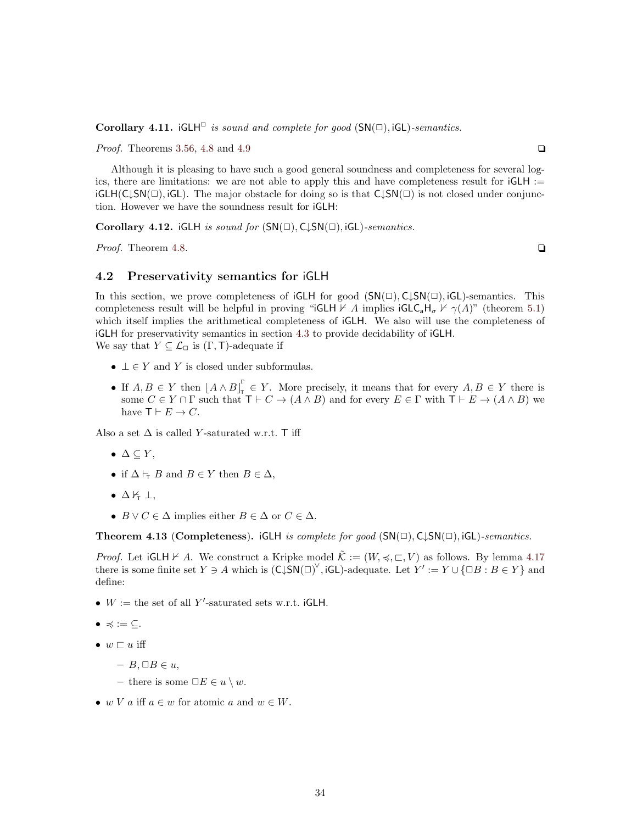Corollary 4.11. iGLH $\Box$  is sound and complete for good (SN( $\Box$ ), iGL)-semantics.

*Proof.* Theorems [3.56,](#page-29-2) [4.8](#page-32-1) and [4.9](#page-32-2)  $\Box$ 

Although it is pleasing to have such a good general soundness and completeness for several logics, there are limitations: we are not able to apply this and have completeness result for  $iGLH :=$  $iGLH(C\downarrow SN(\square), iGL)$ . The major obstacle for doing so is that  $C\downarrow SN(\square)$  is not closed under conjunction. However we have the soundness result for iGLH:

Corollary 4.12. iGLH is sound for  $(SN(\square), C\downarrow SN(\square), iGL)$ -semantics.

*Proof.* Theorem [4.8.](#page-32-1)  $\Box$ 

#### <span id="page-33-0"></span>4.2 Preservativity semantics for iGLH

In this section, we prove completeness of  $iGLH$  for good  $(SN(\square), C\downarrow SN(\square), iGL)$ -semantics. This completeness result will be helpful in proving "iGLH  $\forall A$  implies  $iGLG<sub>a</sub>H<sub>\sigma</sub> \nvdash \gamma(A)$ " (theorem [5.1\)](#page-36-2) which itself implies the arithmetical completeness of iGLH. We also will use the completeness of iGLH for preservativity semantics in section [4.3](#page-36-0) to provide decidability of iGLH. We say that  $Y \subseteq \mathcal{L}_{\Box}$  is  $(\Gamma, \mathsf{T})$ -adequate if

- $\bot \in Y$  and Y is closed under subformulas.
- If  $A, B \in Y$  then  $\left[A \wedge B\right]_{\tau}^{\Gamma}$  $T_{\tau} \in Y$ . More precisely, it means that for every  $A, B \in Y$  there is some  $C \in Y \cap \Gamma$  such that  $\mathsf{T} \vdash C \to (A \land B)$  and for every  $E \in \Gamma$  with  $\mathsf{T} \vdash E \to (A \land B)$  we have  $\mathsf{T} \vdash E \to C$ .

Also a set  $\Delta$  is called Y-saturated w.r.t. T iff

- $\bullet \Delta \subseteq Y$ ,
- if  $\Delta \vdash_{\mathsf{T}} B$  and  $B \in Y$  then  $B \in \Delta$ ,
- $\Delta \not\vdash \bot$ ,
- $B \vee C \in \Delta$  implies either  $B \in \Delta$  or  $C \in \Delta$ .

<span id="page-33-1"></span>**Theorem 4.13 (Completeness).** iGLH is complete for good  $(SN(\square), C\downarrow SN(\square), iGL)$ -semantics.

*Proof.* Let  $iGLH \nvdash A$ . We construct a Kripke model  $\tilde{\mathcal{K}} := (W, \preccurlyeq, \sqsubset, V)$  as follows. By lemma [4.17](#page-35-0) there is some finite set  $Y \ni A$  which is  $(C \downarrow S N(\square)^\vee$ , iGL)-adequate. Let  $Y' := Y \cup \{\square B : B \in Y\}$  and define:

- $W :=$  the set of all Y'-saturated sets w.r.t. iGLH.
- $\bullet \preccurlyeq \; := \; \subseteq.$
- $w \sqsubset u$  iff
	- $B, \Box B \in u$ ,
	- there is some  $\Box E \in u \setminus w$ .
- w V a iff  $a \in w$  for atomic a and  $w \in W$ .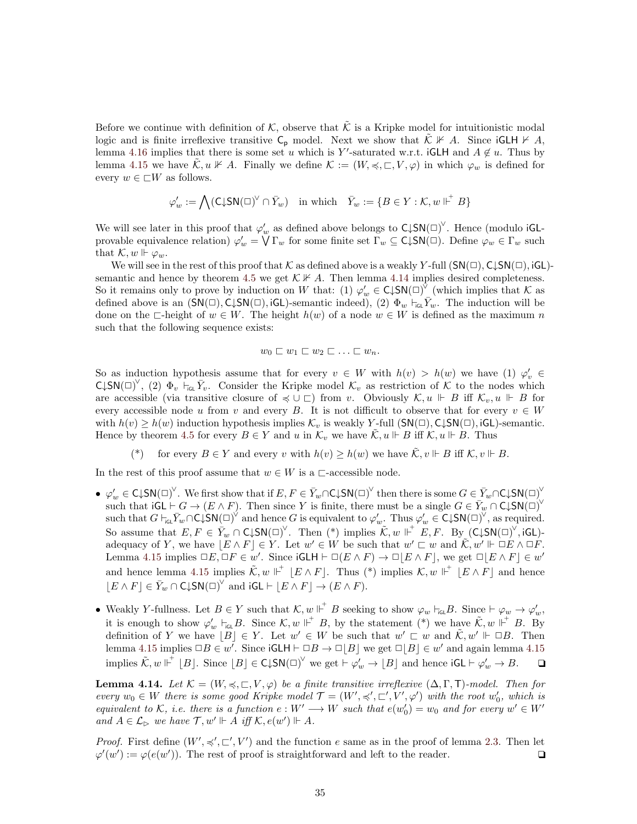Before we continue with definition of K, observe that  $\tilde{\mathcal{K}}$  is a Kripke model for intuitionistic modal logic and is finite irreflexive transitive  $C_p$  model. Next we show that  $\mathcal{K} \not\vdash A$ . Since  $G L H \not\vdash A$ , lemma [4.16](#page-35-1) implies that there is some set u which is Y'-saturated w.r.t. iGLH and  $A \notin u$ . Thus by lemma [4.15](#page-34-0) we have  $\tilde{\mathcal{K}}, u \not\Vdash A$ . Finally we define  $\mathcal{K} := (W, \preccurlyeq, \sqsubset, V, \varphi)$  in which  $\varphi_w$  is defined for every  $w \in \Box W$  as follows.

$$
\varphi_w' := \bigwedge (\mathsf{C} \mathord{\downarrow} \mathsf{SN}(\square)^\vee \cap \bar{Y}_w) \quad \text{in which} \quad \bar{Y}_w := \{ B \in Y : \mathcal{K}, w \Vdash^{+} B \}
$$

We will see later in this proof that  $\varphi'_w$  as defined above belongs to  $\mathsf{C} \downarrow \mathsf{SN}(\Box)^\vee$ . Hence (modulo iGLprovable equivalence relation)  $\varphi'_w = \overline{\bigvee} \Gamma_w$  for some finite set  $\Gamma_w \subseteq \mathsf{C} \downarrow \mathsf{SN}(\square)$ . Define  $\varphi_w \in \Gamma_w$  such that  $\mathcal{K}, w \Vdash \varphi_w$ .

We will see in the rest of this proof that K as defined above is a weakly Y-full  $(SN(\square), C\downarrow SN(\square), iGL)$ -semantic and hence by theorem [4.5](#page-31-1) we get  $\mathcal{K} \not\vdash A$ . Then lemma [4.14](#page-34-1) implies desired completeness. So it remains only to prove by induction on W that: (1)  $\varphi'_w \in \mathsf{C} \downarrow \mathsf{SN}(\square)^{\vee}$  (which implies that K as defined above is an  $(SN(\square), C\downarrow SN(\square), iGL)$ -semantic indeed), (2)  $\Phi_w \vdash_{iGL} \overline{Y}_w$ . The induction will be done on the ∟-height of  $w \in W$ . The height  $h(w)$  of a node  $w \in W$  is defined as the maximum n such that the following sequence exists:

$$
w_0 \sqsubset w_1 \sqsubset w_2 \sqsubset \ldots \sqsubset w_n.
$$

So as induction hypothesis assume that for every  $v \in W$  with  $h(v) > h(w)$  we have (1)  $\varphi'_v \in W$  $\mathsf{C} \downarrow \mathsf{SN}(\Box)^\vee$ , (2)  $\Phi_v$   $\vdash_{\mathsf{icL}} \bar{Y}_v$ . Consider the Kripke model  $\mathcal{K}_v$  as restriction of  $\mathcal{K}$  to the nodes which are accessible (via transitive closure of  $\preccurlyeq \cup \sqsubset$ ) from v. Obviously  $\mathcal{K}, u \Vdash B$  iff  $\mathcal{K}_v, u \Vdash B$  for every accessible node u from v and every B. It is not difficult to observe that for every  $v \in W$ with  $h(v) \geq h(w)$  induction hypothesis implies  $\mathcal{K}_v$  is weakly Y-full (SN( $\Box$ ), C $\downarrow$ SN( $\Box$ ), iGL)-semantic. Hence by theorem [4.5](#page-31-1) for every  $B \in Y$  and u in  $\mathcal{K}_v$  we have  $\tilde{\mathcal{K}}$ ,  $u \Vdash B$  iff  $\mathcal{K}$ ,  $u \Vdash B$ . Thus

(\*) for every  $B \in Y$  and every v with  $h(v) \geq h(w)$  we have  $\tilde{\mathcal{K}}, v \Vdash B$  iff  $\mathcal{K}, v \Vdash B$ .

In the rest of this proof assume that  $w \in W$  is a  $\Box$ -accessible node.

- $\varphi'_{w} \in \mathsf{C} \downarrow \mathsf{SN}(\square)^{\vee}$ . We first show that if  $E, F \in \bar{Y}_{w} \cap \mathsf{C} \downarrow \mathsf{SN}(\square)^{\vee}$  then there is some  $G \in \bar{Y}_{w} \cap \mathsf{C} \downarrow \mathsf{SN}(\square)^{\vee}$ such that  $\mathsf{iGL} \vdash G \to (E \land F)$ . Then since Y is finite, there must be a single  $G \in \bar{Y}_w \cap \mathsf{C} \downarrow \mathsf{SN}(\Box)^{\vee}$ such that  $G \vdash_{\mathsf{GL}} \bar{Y}_w \cap \mathsf{C} \downarrow \mathsf{SN}(\Box)^\vee$  and hence G is equivalent to  $\varphi'_w$ . Thus  $\varphi'_w \in \mathsf{C} \downarrow \mathsf{SN}(\Box)^\vee$ , as required. So assume that  $E, F \in \overline{Y}_w \cap \mathsf{C} \downarrow \mathsf{SN}(\square)^\vee$ . Then  $(*)$  implies  $\widetilde{\mathcal{K}}, w \Vdash^+ E, F$ . By  $(\mathsf{C} \downarrow \mathsf{SN}(\square)^\vee, \mathsf{iGL})$ adequacy of Y, we have  $|E \wedge F| \in Y$ . Let  $w' \in W$  be such that  $w' \sqsubset w$  and  $\tilde{\mathcal{K}}, w' \Vdash \Box E \wedge \Box F$ . Lemma [4.15](#page-34-0) implies  $\Box E, \Box F \in w'$ . Since  $\mathsf{iGLH} \vdash \Box (E \land F) \to \Box |E \land F|$ , we get  $\Box |E \land F| \in w'$ and hence lemma [4.15](#page-34-0) implies  $\tilde{\mathcal{K}}, w \Vdash^+ [E \wedge F]$ . Thus (\*) implies  $\mathcal{K}, w \Vdash^+ [E \wedge F]$  and hence  $[E \wedge F] \in \overline{Y}_w \cap C \downarrow \mathsf{SN}(\square)^\vee$  and  $\mathsf{iGL} \vdash [E \wedge F] \to (E \wedge F)$ .
- Weakly Y-fullness. Let  $B \in Y$  such that  $\mathcal{K}, w \Vdash^{\dagger} B$  seeking to show  $\varphi_w \vdash_{\mathsf{IGL}} B$ . Since  $\vdash \varphi_w \rightarrow \varphi'_w$ , it is enough to show  $\varphi'_w$   $\vdash_{\mathsf{IGL}} B$ . Since  $\mathcal{K}, w \Vdash^+ B$ , by the statement  $(*)$  we have  $\tilde{\mathcal{K}}, w \Vdash^+ B$ . By definition of Y we have  $|B| \in Y$ . Let  $w' \in W$  be such that  $w' \sqsubset w$  and  $\tilde{\mathcal{K}}, w' \Vdash \Box B$ . Then lemma [4.15](#page-34-0) implies  $\Box B \in w'$ . Since  $\mathsf{iGLH} \vdash \Box B \to \Box |B|$  we get  $\Box |B| \in w'$  and again lemma 4.15 implies  $\tilde{\mathcal{K}}, w \Vdash^{\perp} [B]$ . Since  $[B] \in \mathsf{C} \downarrow \mathsf{SN}(\Box)^{\vee}$  we get  $\vdash \varphi'_{w} \to [B]$  and hence  $\mathsf{i} \mathsf{GL} \vdash \varphi'_{w} \to B$ .  $\Box$

<span id="page-34-1"></span>**Lemma 4.14.** Let  $\mathcal{K} = (W, \preccurlyeq, \sqsubset, V, \varphi)$  be a finite transitive irreflexive  $(\Delta, \Gamma, \mathsf{T})$ -model. Then for every  $w_0 \in W$  there is some good Kripke model  $\mathcal{T} = (W', \preccurlyeq', \sqsubset', V', \varphi')$  with the root  $w'_0$ , which is equivalent to K, i.e. there is a function  $e: W' \longrightarrow W$  such that  $e(w'_0) = w_0$  and for every  $w' \in W'$ and  $A \in \mathcal{L}_{\triangleright}$  we have  $\mathcal{T}, w' \Vdash \dot{A}$  iff  $\mathcal{K}, e(w') \Vdash A$ .

<span id="page-34-0"></span>*Proof.* First define  $(W', \preccurlyeq', \sqsubset', V')$  and the function e same as in the proof of lemma [2.3.](#page-7-0) Then let  $\varphi'(w') := \varphi(e(w'))$ . The rest of proof is straightforward and left to the reader.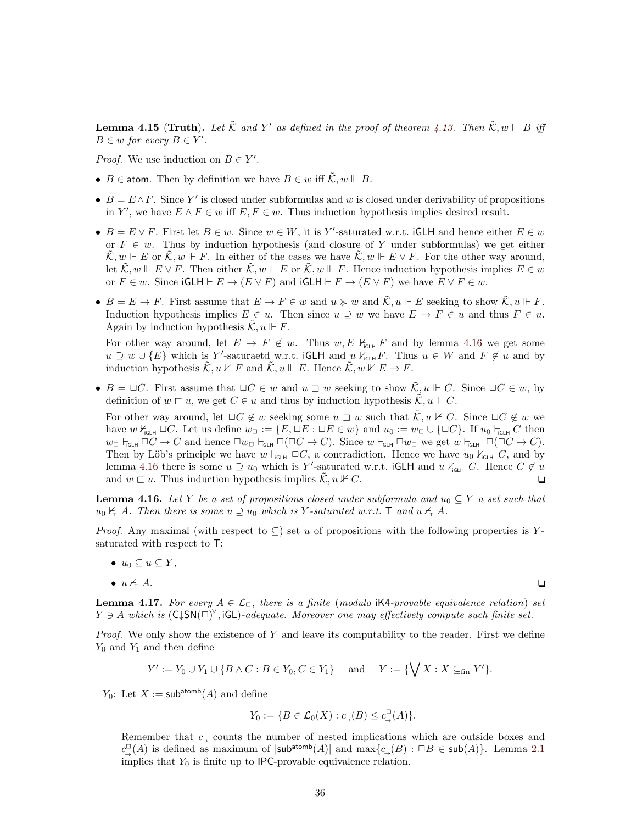**Lemma 4.15 (Truth).** Let  $\tilde{\mathcal{K}}$  and  $Y'$  as defined in the proof of theorem [4.13.](#page-33-1) Then  $\tilde{\mathcal{K}}, w \Vdash B$  iff  $B \in w$  for every  $B \in Y'$ .

*Proof.* We use induction on  $B \in Y'$ .

- $B \in \text{atom}$ . Then by definition we have  $B \in w$  iff  $\tilde{\mathcal{K}}$ ,  $w \Vdash B$ .
- $B = E \wedge F$ . Since Y' is closed under subformulas and w is closed under derivability of propositions in Y', we have  $E \wedge F \in w$  iff  $E, F \in w$ . Thus induction hypothesis implies desired result.
- $B = E \vee F$ . First let  $B \in w$ . Since  $w \in W$ , it is Y'-saturated w.r.t. iGLH and hence either  $E \in w$ or  $F \in w$ . Thus by induction hypothesis (and closure of Y under subformulas) we get either  $\mathcal{K}, w \Vdash E$  or  $\mathcal{K}, w \Vdash F$ . In either of the cases we have  $\mathcal{K}, w \Vdash E \vee F$ . For the other way around, let  $\tilde{\mathcal{K}}, w \Vdash E \vee F$ . Then either  $\tilde{\mathcal{K}}, w \Vdash E$  or  $\tilde{\mathcal{K}}, w \Vdash F$ . Hence induction hypothesis implies  $E \in w$ or  $F \in w$ . Since  $\mathsf{iGLH} \vdash E \to (E \lor F)$  and  $\mathsf{iGLH} \vdash F \to (E \lor F)$  we have  $E \lor F \in w$ .
- $B = E \to F$ . First assume that  $E \to F \in \mathcal{W}$  and  $u \succcurlyeq w$  and  $\tilde{\mathcal{K}}, u \Vdash E$  seeking to show  $\tilde{\mathcal{K}}, u \Vdash F$ . Induction hypothesis implies  $E \in u$ . Then since  $u \supseteq w$  we have  $E \to F \in u$  and thus  $F \in u$ . Again by induction hypothesis  $\mathcal{K}, u \Vdash F$ .

For other way around, let  $E \to F \notin w$ . Thus  $w, E \nvdash_{\text{GLH}} F$  and by lemma [4.16](#page-35-1) we get some  $u \supseteq w \cup \{E\}$  which is Y'-saturaetd w.r.t. iGLH and  $u \nvdash_{\mathsf{G}\sqcup\mathsf{H}} F$ . Thus  $u \in W$  and  $F \notin u$  and by induction hypothesis  $\tilde{\mathcal{K}}, u \not\Vdash F$  and  $\tilde{\mathcal{K}}, u \Vdash E$ . Hence  $\tilde{\mathcal{K}}, w \not\v\Vdash E \to F$ .

•  $B = \Box C$ . First assume that  $\Box C \in w$  and  $u \sqsupset w$  seeking to show  $\tilde{\mathcal{K}}, u \Vdash C$ . Since  $\Box C \in w$ , by definition of  $w \sqsubset u$ , we get  $C \in u$  and thus by induction hypothesis  $\tilde{\mathcal{K}}$ ,  $u \Vdash C$ .

For other way around, let  $\Box C \notin w$  seeking some  $u \sqsupset w$  such that  $\mathcal{K}, u \nVdash C$ . Since  $\Box C \notin w$  we have  $w \nvDash_{\mathsf{GLH}} \Box C$ . Let us define  $w_\Box := \{E, \Box E : \Box E \in w\}$  and  $u_0 := w_\Box \cup \{\Box C\}$ . If  $u_0 \vdash_{\mathsf{GLH}} C$  then  $w_{\Box}$   $\vdash_{\text{GCH}} \Box C \rightarrow C$  and hence  $\Box w_{\Box} \vdash_{\text{GCH}} \Box(C \rightarrow C)$ . Since  $w \vdash_{\text{GCH}} \Box w_{\Box}$  we get  $w \vdash_{\text{GCH}} \Box(\Box C \rightarrow C)$ . Then by Löb's principle we have  $w \vdash_{\mathsf{iGLH}} \Box C$ , a contradiction. Hence we have  $u_0 \nvDash_{\mathsf{iGLH}} C$ , and by lemma [4.16](#page-35-1) there is some  $u \supseteq u_0$  which is Y'-saturated w.r.t. iGLH and  $u \nvdash_{\text{IGLH}} C$ . Hence  $C \notin u$ and  $w \sqsubset u$ . Thus induction hypothesis implies  $\mathcal{K}, u \not\vdash C$ .

<span id="page-35-1"></span>**Lemma 4.16.** Let Y be a set of propositions closed under subformula and  $u_0 \subseteq Y$  a set such that  $u_0 \nvdash_{\tau} A$ . Then there is some  $u \supseteq u_0$  which is Y-saturated w.r.t. T and  $u \nvdash_{\tau} A$ .

*Proof.* Any maximal (with respect to  $\subseteq$ ) set u of propositions with the following properties is Ysaturated with respect to T:

- $u_0 \subseteq u \subseteq Y$ ,
- $u \nvdash_{\tau} A$ .

<span id="page-35-0"></span>**Lemma 4.17.** For every  $A \in \mathcal{L}_{\Box}$ , there is a finite (modulo iK4-provable equivalence relation) set  $Y \ni A$  which is  $(\mathsf{C} \downarrow \mathsf{SN}(\square)^{\vee}, \mathsf{iGL})$ -adequate. Moreover one may effectively compute such finite set.

*Proof.* We only show the existence of Y and leave its computability to the reader. First we define  $Y_0$  and  $Y_1$  and then define

$$
Y' := Y_0 \cup Y_1 \cup \{ B \wedge C : B \in Y_0, C \in Y_1 \} \quad \text{and} \quad Y := \{ \bigvee X : X \subseteq_{\text{fin}} Y' \}.
$$

 $Y_0$ : Let  $X := \mathsf{sub^{atomb}}(A)$  and define

$$
Y_0 := \{ B \in \mathcal{L}_0(X) : c_{\rightarrow}(B) \leq c_{\rightarrow}^{\square}(A) \}.
$$

Remember that  $c_{\perp}$  counts the number of nested implications which are outside boxes and  $c^{\square}_{\rightarrow}(A)$  is defined as maximum of  $|\mathsf{sub^{atomb}}(A)|$  and  $\max\{c_{\rightarrow}(B): \square B \in \mathsf{sub}(A)\}\)$ . Lemma [2.1](#page-5-2) implies that  $Y_0$  is finite up to IPC-provable equivalence relation.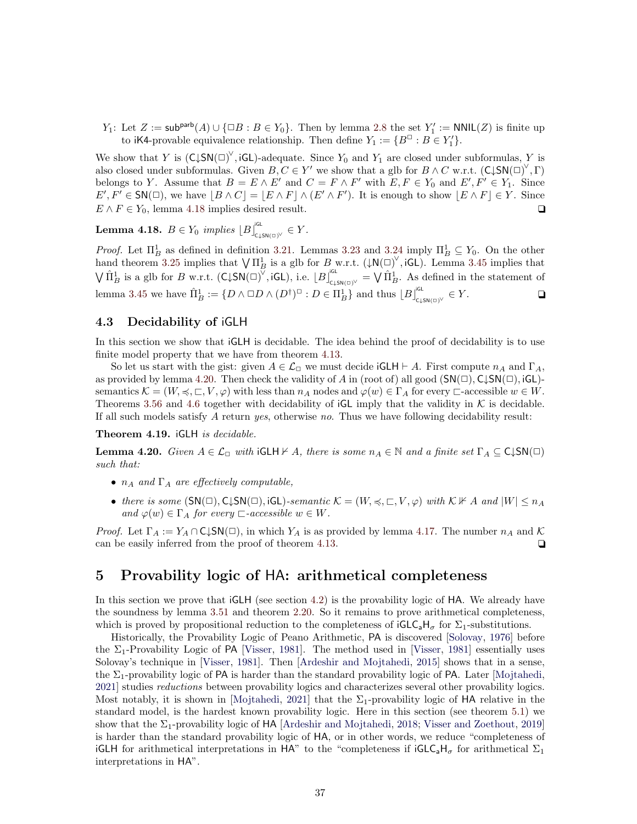$Y_1$ : Let  $Z := \mathsf{sub}^{\mathsf{part}}(A) \cup \{\Box B : B \in Y_0\}$ . Then by lemma [2.8](#page-9-2) the set  $Y'_1 := \mathsf{NNIL}(Z)$  is finite up to iK4-provable equivalence relationship. Then define  $Y_1 := \{B^{\Box} : B \in Y_1'\}.$ 

We show that Y is  $(\text{C}\downarrow\text{SN}(\Box)^{\vee}$ , iGL)-adequate. Since  $Y_0$  and  $Y_1$  are closed under subformulas, Y is also closed under subformulas. Given  $B, C \in Y'$  we show that a glb for  $B \wedge C$  w.r.t.  $(C \downarrow SN(\square)^{\vee}, \Gamma)$ belongs to Y. Assume that  $B = E \wedge E'$  and  $C = F \wedge F'$  with  $E, F \in Y_0$  and  $E', F' \in Y_1$ . Since  $E', F' \in SN(\square)$ , we have  $|B \wedge C| = |E \wedge F| \wedge (E' \wedge F')$ . It is enough to show  $|E \wedge F| \in Y$ . Since  $E \wedge F \in Y_0$ , lemma [4.18](#page-36-3) implies desired result.

<span id="page-36-3"></span>**Lemma 4.18.**  $B \in Y_0$  implies  $[B]_{\text{c,SN(D)}^{\text{IGL}}}^{\text{IGL}} \in Y$ .

*Proof.* Let  $\Pi_B^1$  as defined in definition [3.21.](#page-22-2) Lemmas [3.23](#page-23-3) and [3.24](#page-23-4) imply  $\Pi_B^1 \subseteq Y_0$ . On the other hand theorem [3.25](#page-23-1) implies that  $\bigvee \Pi_B^1$  is a glb for B w.r.t.  $(\downarrow N(\Box)^\vee, i\text{GL})$ . Lemma [3.45](#page-26-2) implies that  $\bigvee \hat{\Pi}^1_B$  is a glb for B w.r.t.  $(\mathsf{C} \downarrow \mathsf{SN}(\square)^{\vee}, \mathsf{iGL})$ , i.e.  $\lfloor B \rfloor^{\mathsf{iGL}}_{\mathsf{C} \downarrow \mathsf{SN}(\square)^{\vee}} = \bigvee \hat{\Pi}^1_B$ . As defined in the statement of lemma [3.45](#page-26-2) we have  $\hat{\Pi}_B^1 := \{ D \wedge \Box D \wedge (D^{\dagger})^{\Box} : D \in \Pi_B^1 \}$  and thus  $\lfloor B \rfloor^{\text{IG}}_{\text{c,LSN}(\Box)} \in Y$ .

#### <span id="page-36-0"></span>4.3 Decidability of iGLH

In this section we show that iGLH is decidable. The idea behind the proof of decidability is to use finite model property that we have from theorem [4.13.](#page-33-1)

So let us start with the gist: given  $A \in \mathcal{L}_{\Box}$  we must decide  $GCH \vdash A$ . First compute  $n_A$  and  $\Gamma_A$ , as provided by lemma [4.20.](#page-36-4) Then check the validity of A in (root of) all good  $(SN(\square), \text{C\downarrow}SN(\square), iGL)$ semantics  $\mathcal{K} = (W, \preceq, \sqsubset, V, \varphi)$  with less than  $n_A$  nodes and  $\varphi(w) \in \Gamma_A$  for every  $\sqsubset$ -accessible  $w \in W$ . Theorems [3.56](#page-29-2) and [4.6](#page-31-2) together with decidability of  $G<sub>L</sub>$  imply that the validity in K is decidable. If all such models satisfy  $A$  return yes, otherwise no. Thus we have following decidability result:

Theorem 4.19. iGLH is decidable.

<span id="page-36-4"></span>**Lemma 4.20.** Given  $A \in \mathcal{L}_{\Box}$  with  $GCH \nvdash A$ , there is some  $n_A \in \mathbb{N}$  and a finite set  $\Gamma_A \subseteq C\downarrow SN(\Box)$ such that:

- $n_A$  and  $\Gamma_A$  are effectively computable,
- there is some  $(SN(\square), C\downarrow SN(\square), iGL)$ -semantic  $\mathcal{K} = (W, \preccurlyeq, \sqsubset, V, \varphi)$  with  $\mathcal{K} \not\vdash A$  and  $|W| \leq n_A$ and  $\varphi(w) \in \Gamma_A$  for every  $\sqsubset$ -accessible  $w \in W$ .

*Proof.* Let  $\Gamma_A := Y_A \cap C \downarrow SN(\square)$ , in which  $Y_A$  is as provided by lemma [4.17.](#page-35-0) The number  $n_A$  and K can be easily inferred from the proof of theorem [4.13.](#page-33-1)  $\Box$ 

# <span id="page-36-1"></span>5 Provability logic of HA: arithmetical completeness

In this section we prove that  $GCH$  (see section [4.2\)](#page-33-0) is the provability logic of HA. We already have the soundness by lemma [3.51](#page-27-4) and theorem [2.20.](#page-14-1) So it remains to prove arithmetical completeness, which is proved by propositional reduction to the completeness of  $IGLC_aH_\sigma$  for  $\Sigma_1$ -substitutions.

<span id="page-36-2"></span>Historically, the Provability Logic of Peano Arithmetic, PA is discovered [\[Solovay,](#page-46-0) [1976\]](#page-46-0) before the  $\Sigma_1$ -Provability Logic of PA [\[Visser,](#page-47-0) [1981\]](#page-47-0). The method used in [\[Visser,](#page-47-0) 1981] essentially uses Solovay's technique in [\[Visser,](#page-47-0) [1981\]](#page-47-0). Then [\[Ardeshir and Mojtahedi,](#page-45-8) [2015\]](#page-45-8) shows that in a sense, the  $\Sigma_1$ -provability logic of PA is harder than the standard provability logic of PA. Later [\[Mojtahedi,](#page-46-8) [2021\]](#page-46-8) studies *reductions* between provability logics and characterizes several other provability logics. Most notably, it is shown in [\[Mojtahedi,](#page-46-8) [2021\]](#page-46-8) that the  $\Sigma_1$ -provability logic of HA relative in the standard model, is the hardest known provability logic. Here in this section (see theorem [5.1\)](#page-36-2) we show that the  $\Sigma_1$ -provability logic of HA [\[Ardeshir and Mojtahedi,](#page-45-6) [2018;](#page-45-6) [Visser and Zoethout,](#page-47-5) [2019\]](#page-47-5) is harder than the standard provability logic of HA, or in other words, we reduce "completeness of iGLH for arithmetical interpretations in HA" to the "completeness if  $IGLC_aH_\sigma$  for arithmetical  $\Sigma_1$ interpretations in HA".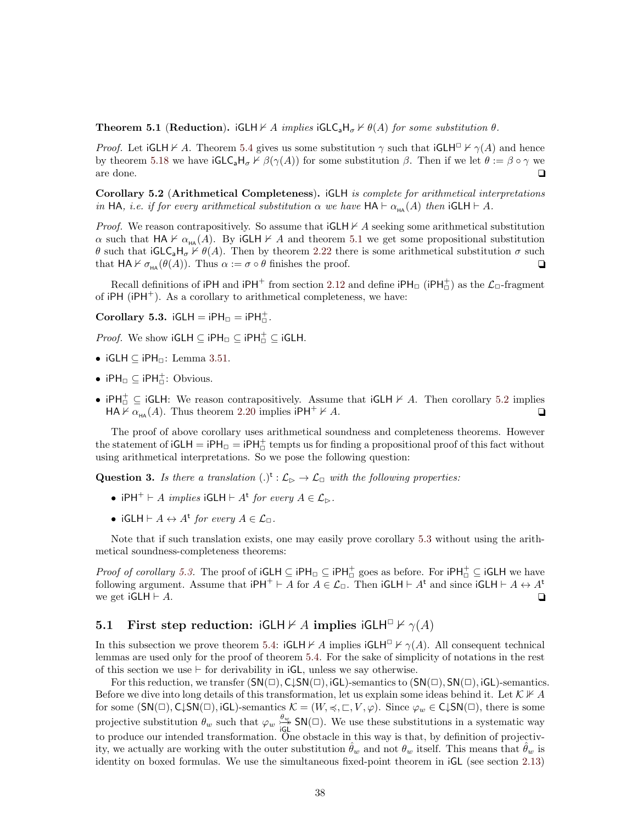**Theorem 5.1 (Reduction).** iGLH  $\nvdash A$  implies iGLC<sub>a</sub>H<sub>σ</sub>  $\nvdash \theta(A)$  for some substitution  $\theta$ .

*Proof.* Let  $GCH \nvdash A$ . Theorem [5.4](#page-38-0) gives us some substitution  $\gamma$  such that  $GCH^{\square} \nvdash \gamma(A)$  and hence by theorem [5.18](#page-43-1) we have  $\mathsf{iGLC}_aH_\sigma\nvdash \beta(\gamma(A))$  for some substitution  $\beta$ . Then if we let  $\theta := \beta \circ \gamma$  we are done.  $\Box$ 

<span id="page-37-1"></span>Corollary 5.2 (Arithmetical Completeness). iGLH is complete for arithmetical interpretations in HA, i.e. if for every arithmetical substitution  $\alpha$  we have  $HA \vdash \alpha_{\text{HA}}(A)$  then  $iGLH \vdash A$ .

*Proof.* We reason contrapositively. So assume that  $GCH \nvdash A$  seeking some arithmetical substitution  $\alpha$  such that HA  $\nvdash \alpha_{H\!A}(A)$ . By iGLH  $\nvdash A$  and theorem [5.1](#page-36-2) we get some propositional substitution θ such that  $G\text{L}_\sigma H_\sigma \nvdash \theta(A)$ . Then by theorem [2.22](#page-15-1) there is some arithmetical substitution  $\sigma$  such that  $HA \nvdash \sigma_{HA} (\theta(A))$ . Thus  $\alpha := \sigma \circ \theta$  finishes the proof.

Recall definitions of  $iPH$  and  $iPH^+$  from section [2.12](#page-13-0) and define  $iPH^-_D$  ( $iPH^+_D$ ) as the  $\mathcal{L}_D$ -fragment of  $iPH$  ( $iPH^+$ ). As a corollary to arithmetical completeness, we have:

<span id="page-37-2"></span>Corollary 5.3.  $iGLH = iPH_{\Box} = iPH_{\Box}^{+}$ .

*Proof.* We show  $iGLH ⊆ iPH ⊡ ⊆ iPH<sup>+</sup> ⊆ iGLH$ .

- iGLH  $\subset$  iPH $\sqcap$ : Lemma [3.51.](#page-27-4)
- iPH $\Box \subseteq$  iPH $\Box$ : Obvious.
- $iPH_{\Box}^{\perp} \subseteq iGLH$ : We reason contrapositively. Assume that  $iGLH \nvdash A$ . Then corollary [5.2](#page-37-1) implies  $HA \nvdash \alpha_{HA}(A)$ . Thus theorem [2.20](#page-14-1) implies  $iPH^+ \nvdash A$ .

The proof of above corollary uses arithmetical soundness and completeness theorems. However the statement of  $iGLH = iPH_{\Box} = iPH_{\Box}^+$  tempts us for finding a propositional proof of this fact without using arithmetical interpretations. So we pose the following question:

**Question 3.** Is there a translation  $(.)^{\mathsf{t}} : \mathcal{L}_{\triangleright} \to \mathcal{L}_{\square}$  with the following properties:

- iPH<sup>+</sup>  $\vdash A$  *implies* iGLH  $\vdash A^{\mathsf{t}}$  *for every*  $A \in \mathcal{L}_{\rhd}$ .
- iGLH  $\vdash A \leftrightarrow A^{\mathsf{t}}$  for every  $A \in \mathcal{L}_{\Box}$ .

Note that if such translation exists, one may easily prove corollary [5.3](#page-37-2) without using the arithmetical soundness-completeness theorems:

*Proof of corollary [5.3.](#page-37-2)* The proof of  $iGLH \subseteq iPH_{\square} \subseteq iPH_{\square}^+$  goes as before. For  $iPH_{\square}^+ \subseteq iGLH$  we have following argument. Assume that  $iPH^+ \vdash \overline{A}$  for  $A \in \mathcal{L}_D$ . Then  $iGLH \vdash A^t$  and since  $iGLH \vdash A \leftrightarrow A^t$ we get iGLH  $\vdash A$ .

# <span id="page-37-0"></span>5.1 First step reduction: iGLH  $\nvdash A$  implies iGLH<sup> $\Box \nvdash \gamma(A)$ </sup>

In this subsection we prove theorem [5.4:](#page-38-0) iGLH  $\forall A$  implies iGLH<sup> $\Box$ </sup>  $\forall \gamma(A)$ . All consequent technical lemmas are used only for the proof of theorem [5.4.](#page-38-0) For the sake of simplicity of notations in the rest of this section we use  $\vdash$  for derivability in iGL, unless we say otherwise.

For this reduction, we transfer  $(SN(\Box), C\downarrow SN(\Box), iGL)$ -semantics to  $(SN(\Box), SN(\Box), iGL)$ -semantics. Before we dive into long details of this transformation, let us explain some ideas behind it. Let  $\mathcal{K} \not\vdash A$ for some  $(\mathsf{SN}(\square), \mathsf{C}\downarrow \mathsf{SN}(\square), \mathsf{iGL})$ -semantics  $\mathcal{K} = (W, \preccurlyeq, \sqsubset, V, \varphi)$ . Since  $\varphi_w \in \mathsf{C}\downarrow \mathsf{SN}(\square)$ , there is some projective substitution  $\theta_w$  such that  $\varphi_w \stackrel{\theta_w}{\sim}$  $\frac{\partial \psi}{\partial \mathbf{S}}$  SN( $\Box$ ). We use these substitutions in a systematic way to produce our intended transformation. One obstacle in this way is that, by definition of projectivity, we actually are working with the outer substitution  $\hat{\theta}_w$  and not  $\theta_w$  itself. This means that  $\hat{\theta}_w$  is identity on boxed formulas. We use the simultaneous fixed-point theorem in iGL (see section [2.13\)](#page-14-0)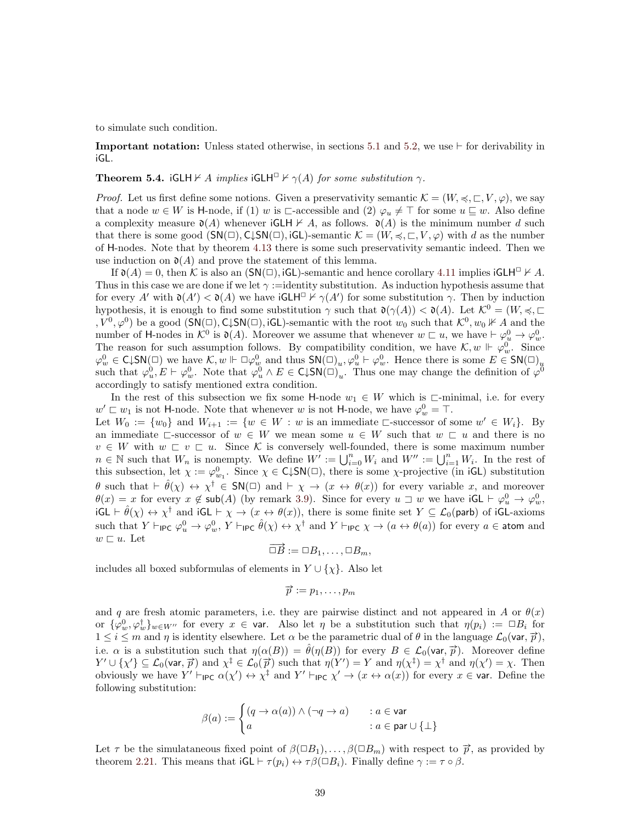to simulate such condition.

**Important notation:** Unless stated otherwise, in sections [5.1](#page-37-0) and [5.2,](#page-43-0) we use  $\vdash$  for derivability in iGL.

#### <span id="page-38-0"></span>**Theorem 5.4.** iGLH  $\nvdash A$  implies iGLH $\Box \nvdash \gamma(A)$  for some substitution  $\gamma$ .

*Proof.* Let us first define some notions. Given a preservativity semantic  $\mathcal{K} = (W, \preccurlyeq, \sqsubset, V, \varphi)$ , we say that a node  $w \in W$  is H-node, if (1) w is  $\Box$ -accessible and (2)  $\varphi_u \neq \top$  for some  $u \sqsubseteq w$ . Also define a complexity measure  $\mathfrak{d}(A)$  whenever  $iGLH \nvdash A$ , as follows.  $\mathfrak{d}(A)$  is the minimum number d such that there is some good  $(SN(\square), C\downarrow SN(\square), iGL)$ -semantic  $\mathcal{K} = (W, \preccurlyeq, \square, V, \varphi)$  with d as the number of H-nodes. Note that by theorem [4.13](#page-33-1) there is some such preservativity semantic indeed. Then we use induction on  $\mathfrak{d}(A)$  and prove the statement of this lemma.

If  $\mathfrak{d}(A) = 0$ , then K is also an  $(SN(\square), iGL)$ -semantic and hence corollary [4.11](#page-32-3) implies  $iGLH^{\square} \nvdash A$ . Thus in this case we are done if we let  $\gamma$  :=identity substitution. As induction hypothesis assume that for every A' with  $\mathfrak{d}(A') < \mathfrak{d}(A)$  we have  $\mathsf{iGLH}^\square \nvdash \gamma(A')$  for some substitution  $\gamma$ . Then by induction hypothesis, it is enough to find some substitution  $\gamma$  such that  $\mathfrak{d}(\gamma(A)) < \mathfrak{d}(A)$ . Let  $\mathcal{K}^0 = (W, \preccurlyeq, \sqsubset$  $, V^0, \varphi^0$  be a good  $(\mathsf{SN}(\square), \mathsf{C}\downarrow \mathsf{SN}(\square), \mathsf{iGL})$ -semantic with the root  $w_0$  such that  $\mathcal{K}^0, w_0 \nVdash A$  and the number of H-nodes in  $\mathcal{K}^0$  is  $\mathfrak{d}(A)$ . Moreover we assume that whenever  $w \sqsubset u$ , we have  $\vdash \varphi_u^0 \to \varphi_w^0$ . The reason for such assumption follows. By compatibility condition, we have  $\mathcal{K}, w \Vdash \varphi_w^0$ . Since  $\varphi_w^0 \in \mathsf{C} \downarrow \mathsf{SN}(\square)$  we have  $\mathcal{K}, w \Vdash \square \varphi_w^0$  and thus  $\mathsf{SN}(\square)_u, \varphi_u^0 \vdash \varphi_w^0$ . Hence there is some  $E \in \mathsf{SN}(\square)_u$ such that  $\varphi_u^0, E \vdash \varphi_w^0$ . Note that  $\varphi_u^0 \wedge E \in \text{C} \downarrow \text{SN}(\square)_{u}^{\circ}$ . Thus one may change the definition of  $\varphi^{\overline{0}}$ accordingly to satisfy mentioned extra condition.

In the rest of this subsection we fix some H-node  $w_1 \in W$  which is  $\sqsubset$ -minimal, i.e. for every  $w' \sqsubset w_1$  is not H-node. Note that whenever w is not H-node, we have  $\varphi_w^0 = \top$ . Let  $W_0 := \{w_0\}$  and  $W_{i+1} := \{w \in W : w \text{ is an immediate } \sqsubset \text{successor of some } w' \in W_i\}.$  By an immediate  $\Box$ -successor of  $w \in W$  we mean some  $u \in W$  such that  $w \subset u$  and there is no  $v \in W$  with  $w \subseteq v \subseteq u$ . Since K is conversely well-founded, there is some maximum number  $n \in \mathbb{N}$  such that  $W_n$  is nonempty. We define  $W' := \bigcup_{i=0}^n W_i$  and  $W'' := \bigcup_{i=1}^n W_i$ . In the rest of this subsection, let  $\chi := \varphi_{w_1}^0$ . Since  $\chi \in \mathsf{C} \downarrow \mathsf{SN}(\square)$ , there is some  $\chi$ -projective (in iGL) substitution  $\theta$  such that  $\vdash \hat{\theta}(\chi) \leftrightarrow \chi^{\dagger} \in SN(\square)$  and  $\vdash \chi \rightarrow (x \leftrightarrow \theta(x))$  for every variable x, and moreover  $\theta(x) = x$  for every  $x \notin \text{sub}(A)$  (by remark [3.9\)](#page-20-4). Since for every  $u \sqsupset w$  we have  $\text{iGL} \vdash \varphi_u^0 \to \varphi_w^0$ ,  $iGL \vdash \hat{\theta}(\chi) \leftrightarrow \chi^{\dagger}$  and  $iGL \vdash \chi \rightarrow (x \leftrightarrow \theta(x))$ , there is some finite set  $Y \subseteq \mathcal{L}_0(parb)$  of  $iGL\text{-axioms}$ such that  $Y \vdash_{\mathsf{IPC}} \varphi_u^0 \to \varphi_w^0$ ,  $Y \vdash_{\mathsf{IPC}} \hat{\theta}(\chi) \leftrightarrow \chi^{\dagger}$  and  $Y \vdash_{\mathsf{IPC}} \chi \to (a \leftrightarrow \theta(a))$  for every  $a \in \mathsf{atom}$  and  $w \sqsubset u$ . Let  $\rightarrow$ 

$$
\Box B := \Box B_1, \ldots, \Box B_m,
$$

includes all boxed subformulas of elements in  $Y \cup \{\chi\}$ . Also let

$$
\vec{p} := p_1, \ldots, p_m
$$

and q are fresh atomic parameters, i.e. they are pairwise distinct and not appeared in A or  $\theta(x)$ or  $\{\varphi_w^0,\varphi_w^{\dagger}\}_{w\in W''}$  for every  $x \in \text{var}$ . Also let  $\eta$  be a substitution such that  $\eta(p_i) := \Box B_i$  for  $1 \leq i \leq m$  and  $\eta$  is identity elsewhere. Let  $\alpha$  be the parametric dual of  $\theta$  in the language  $\mathcal{L}_0(\text{var}, \vec{p})$ ,<br> $1 \leq i \leq m$  and  $\eta$  is identity elsewhere. Let  $\alpha$  be the parametric dual of  $\theta$  in the language i.e.  $\alpha$  is a substitution such that  $\eta(\alpha(B)) = \hat{\theta}(\eta(B))$  for every  $B \in \mathcal{L}_0(\text{var}, \vec{p})$ . Moreover define  $Y' \cup \{\chi'\} \subseteq \mathcal{L}_0(\text{var}, \vec{p})$  and  $\chi^{\ddagger} \in \mathcal{L}_0(\vec{p})$  such that  $\eta(Y') = Y$  and  $\eta(\chi^{\ddagger}) = \chi^{\dagger}$  and  $\eta(\chi') = \chi$ . Then obviously we have  $Y' \vdash_{\mathsf{IPC}} \alpha(\chi') \leftrightarrow \chi^{\ddagger}$  and  $Y' \vdash_{\mathsf{IPC}} \chi' \rightarrow (x \leftrightarrow \alpha(x))$  for every  $x \in \mathsf{var}$ . Define the following substitution:

$$
\beta(a) := \begin{cases} (q \to \alpha(a)) \land (\neg q \to a) & : a \in \text{var} \\ a & : a \in \text{par} \cup \{\bot\} \end{cases}
$$

Let  $\tau$  be the simulataneous fixed point of  $\beta(\Box B_1), \ldots, \beta(\Box B_m)$  with respect to  $\vec{p}$ , as provided by theorem [2.21.](#page-14-2) This means that  $iGL \vdash \tau(p_i) \leftrightarrow \tau \beta(\Box B_i)$ . Finally define  $\gamma := \tau \circ \beta$ .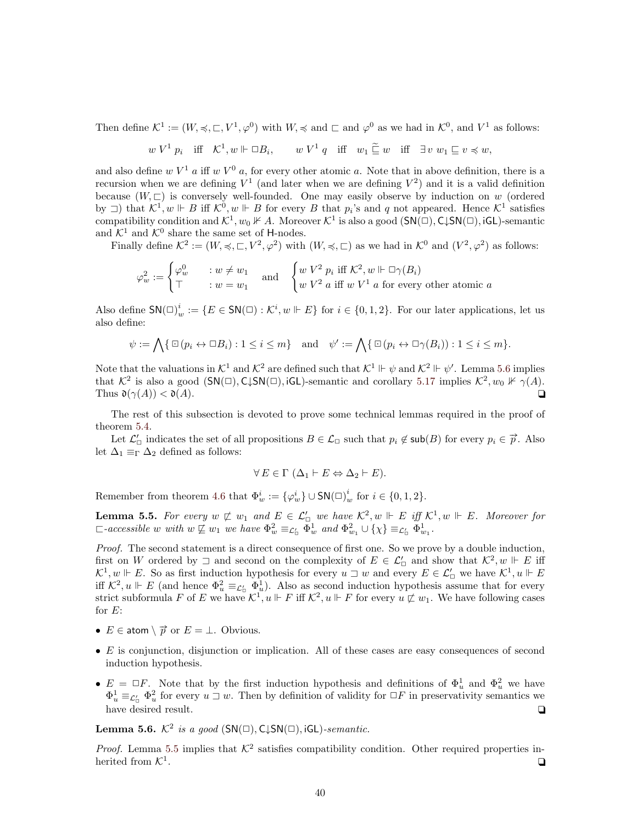Then define  $\mathcal{K}^1 := (W, \preccurlyeq, \sqsubset, V^1, \varphi^0)$  with  $W, \preccurlyeq$  and  $\sqsubset$  and  $\varphi^0$  as we had in  $\mathcal{K}^0$ , and  $V^1$  as follows:

$$
w V^1 p_i
$$
 iff  $K^1, w \Vdash \Box B_i$ ,  $w V^1 q$  iff  $w_1 \subseteq w$  iff  $\exists v w_1 \subseteq v \preccurlyeq w$ ,

and also define w  $V^1$  a iff w  $V^0$  a, for every other atomic a. Note that in above definition, there is a recursion when we are defining  $V^1$  (and later when we are defining  $V^2$ ) and it is a valid definition because  $(W, \sqsubset)$  is conversely well-founded. One may easily observe by induction on w (ordered by  $\Box$ ) that  $\mathcal{K}^1, w \Vdash B$  iff  $\mathcal{K}^0, w \Vdash B$  for every B that  $p_i$ 's and q not appeared. Hence  $\mathcal{K}^1$  satisfies compatibility condition and  $\mathcal{K}^1, w_0 \nVdash A$ . Moreover  $\mathcal{K}^1$  is also a good  $(\mathsf{SN}(\square), \mathsf{C} \downarrow \mathsf{SN}(\square), \mathsf{iGL})$ -semantic and  $\mathcal{K}^1$  and  $\mathcal{K}^0$  share the same set of H-nodes.

Finally define  $\mathcal{K}^2 := (W, \preccurlyeq, \sqsubset, V^2, \varphi^2)$  with  $(W, \preccurlyeq, \sqsubset)$  as we had in  $\mathcal{K}^0$  and  $(V^2, \varphi^2)$  as follows:

$$
\varphi_w^2 := \begin{cases} \varphi_w^0 & : w \neq w_1 \\ \top & : w = w_1 \end{cases} \quad \text{and} \quad \begin{cases} w V^2 \ p_i \text{ iff } \mathcal{K}^2, w \Vdash \Box \gamma(B_i) \\ w V^2 \ a \text{ iff } w V^1 \ a \text{ for every other atomic } a \end{cases}
$$

Also define  $\mathsf{SN}(\square)_{w}^{i} := \{ E \in \mathsf{SN}(\square) : \mathcal{K}^{i}, w \Vdash E \}$  for  $i \in \{0,1,2\}$ . For our later applications, let us also define:

$$
\psi := \bigwedge \{ \Box(p_i \leftrightarrow \Box B_i) : 1 \leq i \leq m \} \quad \text{and} \quad \psi' := \bigwedge \{ \Box(p_i \leftrightarrow \Box \gamma(B_i)) : 1 \leq i \leq m \}.
$$

Note that the valuations in  $\mathcal{K}^1$  and  $\mathcal{K}^2$  are defined such that  $\mathcal{K}^1 \Vdash \psi$  and  $\mathcal{K}^2 \Vdash \psi'$ . Lemma [5.6](#page-39-0) implies that  $\mathcal{K}^2$  is also a good  $(SN(\square), C\downarrow SN(\square), iGL)$ -semantic and corollary [5.17](#page-42-0) implies  $\mathcal{K}^2, w_0 \nVdash \gamma(A)$ . Thus  $\mathfrak{d}(\gamma(A)) < \mathfrak{d}(A)$ .

The rest of this subsection is devoted to prove some technical lemmas required in the proof of theorem [5.4.](#page-38-0)

Let  $\mathcal{L}'_{\Box}$  indicates the set of all propositions  $B \in \mathcal{L}_{\Box}$  such that  $p_i \notin \mathsf{sub}(B)$  for every  $p_i \in \vec{p}$ . Also let  $\Delta_1 \equiv_{\Gamma} \Delta_2$  defined as follows:

$$
\forall E \in \Gamma \ (\Delta_1 \vdash E \Leftrightarrow \Delta_2 \vdash E).
$$

Remember from theorem [4.6](#page-31-2) that  $\Phi_w^i := {\varphi_w^i} \cup SN(\Box_w^i)$  for  $i \in \{0, 1, 2\}$ .

<span id="page-39-1"></span>**Lemma 5.5.** For every  $w \not\sqsubset w_1$  and  $E \in \mathcal{L}'_{\square}$  we have  $\mathcal{K}^2, w \Vdash E$  iff  $\mathcal{K}^1, w \Vdash E$ . Moreover for  $\Box$ -accessible w with  $w \not\sqsubseteq w_1$  we have  $\Phi_w^2 \equiv_{\mathcal{L}_{\Box}} \Phi_w^1$  and  $\Phi_{w_1}^2 \cup {\{\chi\}} \equiv_{\mathcal{L}_{\Box}} \Phi_{w_1}^1$ .

Proof. The second statement is a direct consequence of first one. So we prove by a double induction, first on W ordered by  $\Box$  and second on the complexity of  $E \in \mathcal{L}'_{\Box}$  and show that  $\mathcal{K}^2, w \Vdash E$  iff  $\mathcal{K}^1, w \Vdash E$ . So as first induction hypothesis for every  $u \sqsupset w$  and every  $E \in \mathcal{L}'_D$  we have  $\mathcal{K}^1, u \Vdash E$ iff  $\mathcal{K}^2, u \Vdash E$  (and hence  $\Phi_u^2 \equiv_{\mathcal{L}'_0} \Phi_u^1$ ). Also as second induction hypothesis assume that for every strict subformula F of E we have  $\mathcal{K}^1, u \Vdash F$  iff  $\mathcal{K}^2, u \Vdash F$  for every  $u \not\sqsubset w_1$ . We have following cases for  $E$ :

- $E \in \text{atom} \setminus \overrightarrow{p} \text{ or } E = \bot$ . Obvious.
- $\bullet$  E is conjunction, disjunction or implication. All of these cases are easy consequences of second induction hypothesis.
- $E = \Box F$ . Note that by the first induction hypothesis and definitions of  $\Phi_u^1$  and  $\Phi_u^2$  we have  $\Phi_u^1 \equiv_{\mathcal{L}_u'} \Phi_u^2$  for every  $u \sqsupset w$ . Then by definition of validity for  $\Box F$  in preservativity semantics we have desired result.  $\Box$

<span id="page-39-0"></span>**Lemma 5.6.**  $K^2$  is a good  $(SN(\square), C\downarrow SN(\square), iGL)$ -semantic.

<span id="page-39-2"></span>*Proof.* Lemma [5.5](#page-39-1) implies that  $K^2$  satisfies compatibility condition. Other required properties inherited from  $\mathcal{K}^1$ . . The contract of the contract of the contract of the contract of the contract of the contract of the contract of the contract of the contract of the contract of the contract of the contract of the contract of the contrac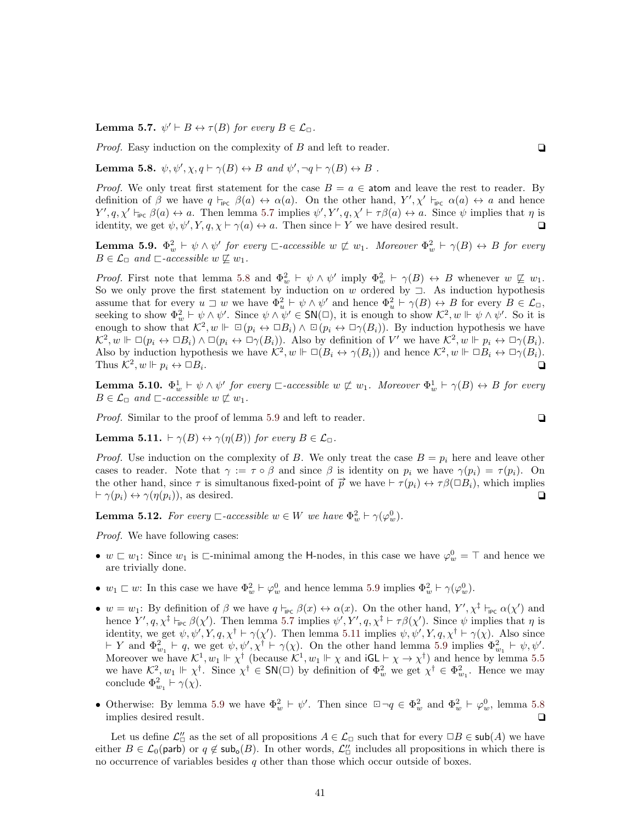**Lemma 5.7.**  $\psi' \vdash B \leftrightarrow \tau(B)$  for every  $B \in \mathcal{L}_{\Box}$ .

*Proof.* Easy induction on the complexity of  $B$  and left to reader.

<span id="page-40-0"></span>**Lemma 5.8.**  $\psi, \psi', \chi, q \vdash \gamma(B) \leftrightarrow B \text{ and } \psi', \neg q \vdash \gamma(B) \leftrightarrow B$ .

*Proof.* We only treat first statement for the case  $B = a \in \text{atom}$  and leave the rest to reader. By definition of  $\beta$  we have  $q \vdash_{\mathsf{PC}} \beta(a) \leftrightarrow \alpha(a)$ . On the other hand,  $Y', \chi' \vdash_{\mathsf{PC}} \alpha(a) \leftrightarrow a$  and hence  $Y', q, \chi' \vdash_{\mathsf{PPC}} \beta(a) \leftrightarrow a$ . Then lemma [5.7](#page-39-2) implies  $\psi', Y', q, \chi' \vdash \tau \beta(a) \leftrightarrow a$ . Since  $\psi$  implies that  $\eta$  is identity, we get  $\psi, \psi', Y, q, \chi \vdash \gamma(a) \leftrightarrow a$ . Then since  $\vdash Y$  we have desired result.

<span id="page-40-1"></span>**Lemma 5.9.**  $\Phi_w^2 \vdash \psi \wedge \psi'$  for every  $\Box$ -accessible  $w \not\sqsubset w_1$ . Moreover  $\Phi_w^2 \vdash \gamma(B) \leftrightarrow B$  for every  $B \in \mathcal{L}_{\Box}$  and  $\Box$ -accessible  $w \not\sqsubseteq w_1$ .

*Proof.* First note that lemma [5.8](#page-40-0) and  $\Phi_w^2 \vdash \psi \wedge \psi'$  imply  $\Phi_w^2 \vdash \gamma(B) \leftrightarrow B$  whenever  $w \not\sqsubseteq w_1$ . So we only prove the first statement by induction on w ordered by  $\exists$ . As induction hypothesis assume that for every  $u \sqsupset w$  we have  $\Phi_u^2 \vdash \psi \wedge \psi'$  and hence  $\Phi_u^2 \vdash \gamma(B) \leftrightarrow B$  for every  $B \in \mathcal{L}_{\Box}$ , seeking to show  $\Phi_w^2 \vdash \psi \wedge \psi'$ . Since  $\psi \wedge \psi' \in SN(\square)$ , it is enough to show  $\mathcal{K}^2, w \Vdash \psi \wedge \psi'$ . So it is enough to show that  $\mathcal{K}^2, w \Vdash \Box (p_i \leftrightarrow \Box B_i) \land \Box (p_i \leftrightarrow \Box \gamma(B_i)).$  By induction hypothesis we have  $\mathcal{K}^2, w \Vdash \Box(p_i \leftrightarrow \Box B_i) \land \Box(p_i \leftrightarrow \Box \gamma(B_i)).$  Also by definition of V' we have  $\mathcal{K}^2, w \Vdash p_i \leftrightarrow \Box \gamma(B_i)$ . Also by induction hypothesis we have  $\mathcal{K}^2, w \Vdash \Box(B_i \leftrightarrow \gamma(B_i))$  and hence  $\mathcal{K}^2, w \Vdash \Box B_i \leftrightarrow \Box \gamma(B_i)$ . Thus  $\mathcal{K}^2, w \Vdash p_i \leftrightarrow \Box B_i$ . The contract of the contract of the contract of the contract of the contract of the contract of the contract of the contract of the contract of the contract of the contract of the contract of the contract of the contrac

<span id="page-40-3"></span>**Lemma 5.10.**  $\Phi_w^1 \vdash \psi \wedge \psi'$  for every  $\Box$ -accessible  $w \not\sqsubset w_1$ . Moreover  $\Phi_w^1 \vdash \gamma(B) \leftrightarrow B$  for every  $B \in \mathcal{L}_{\Box}$  and  $\Box$ -accessible  $w \not\sqsubset w_1$ .

Proof. Similar to the proof of lemma [5.9](#page-40-1) and left to reader.

$$
\Box
$$

<span id="page-40-2"></span>**Lemma 5.11.**  $\vdash \gamma(B) \leftrightarrow \gamma(\eta(B))$  for every  $B \in \mathcal{L}_{\sqcap}$ .

*Proof.* Use induction on the complexity of B. We only treat the case  $B = p_i$  here and leave other cases to reader. Note that  $\gamma := \tau \circ \beta$  and since  $\beta$  is identity on  $p_i$  we have  $\gamma(p_i) = \tau(p_i)$ . On the other hand, since  $\tau$  is simultanous fixed-point of  $\vec{p}$  we have  $\vdash \tau(p_i) \leftrightarrow \tau \beta(\Box B_i)$ , which implies  $\vdash \gamma(p_i) \leftrightarrow \gamma(\eta(p_i)),$  as desired.  $\Box$ 

<span id="page-40-5"></span>**Lemma 5.12.** For every  $\Box$ -accessible  $w \in W$  we have  $\Phi_w^2 \vdash \gamma(\varphi_w^0)$ .

Proof. We have following cases:

- $w \sqsubset w_1$ : Since  $w_1$  is  $\sqsubset$ -minimal among the H-nodes, in this case we have  $\varphi_w^0 = \top$  and hence we are trivially done.
- $w_1 \sqsubset w$ : In this case we have  $\Phi_w^2 \vdash \varphi_w^0$  and hence lemma [5.9](#page-40-1) implies  $\Phi_w^2 \vdash \gamma(\varphi_w^0)$ .
- $w = w_1$ : By definition of  $\beta$  we have  $q \vdash_{\mathsf{IPC}} \beta(x) \leftrightarrow \alpha(x)$ . On the other hand,  $Y', \chi^{\ddagger} \vdash_{\mathsf{IPC}} \alpha(\chi')$  and hence  $Y', q, \chi^{\ddagger} \vdash_{\mathsf{PC}} \beta(\chi')$ . Then lemma [5.7](#page-39-2) implies  $\psi', Y', q, \chi^{\ddagger} \vdash \tau \beta(\chi')$ . Since  $\psi$  implies that  $\eta$  is identity, we get  $\psi, \psi', Y, q, \chi^{\dagger} \vdash \gamma(\chi')$ . Then lemma [5.11](#page-40-2) implies  $\psi, \psi', Y, q, \chi^{\dagger} \vdash \gamma(\chi)$ . Also since  $\vdash Y$  and  $\Phi_{w_1}^2 \vdash q$ , we get  $\psi, \psi', \chi^{\dagger} \vdash \gamma(\chi)$ . On the other hand lemma [5.9](#page-40-1) implies  $\Phi_{w_1}^2 \vdash \psi, \psi'.$ Moreover we have  $\mathcal{K}^1, w_1 \Vdash \chi^{\dagger}$  (because  $\mathcal{K}^1, w_1 \Vdash \chi$  and  $\mathsf{iGL} \vdash \chi \to \chi^{\dagger}$ ) and hence by lemma [5.5](#page-39-1) we have  $\mathcal{K}^2, w_1 \Vdash \chi^{\dagger}$ . Since  $\chi^{\dagger} \in SN(\square)$  by definition of  $\Phi^2_w$  we get  $\chi^{\dagger} \in \Phi^2_{w_1}$ . Hence we may conclude  $\Phi_{w_1}^2 \vdash \gamma(\chi)$ .
- Otherwise: By lemma [5.9](#page-40-1) we have  $\Phi_w^2 \vdash \psi'$ . Then since  $\Box \neg q \in \Phi_w^2$  and  $\Phi_w^2 \vdash \varphi_w^0$ , lemma [5.8](#page-40-0) implies desired result.  $\Box$

<span id="page-40-4"></span>Let us define  $\mathcal{L}_{\Box}'$  as the set of all propositions  $A \in \mathcal{L}_{\Box}$  such that for every  $\Box B \in \mathsf{sub}(A)$  we have either  $B \in \mathcal{L}_0(\text{parb})$  or  $q \notin \text{sub}_o(B)$ . In other words,  $\mathcal{L}'_D$  includes all propositions in which there is no occurrence of variables besides  $q$  other than those which occur outside of boxes.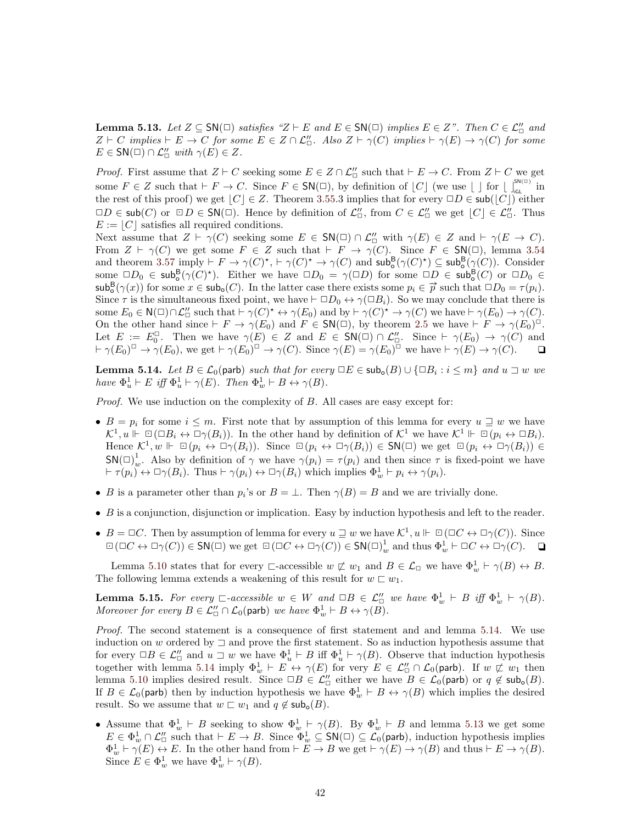**Lemma 5.13.** Let  $Z \subseteq SN(\square)$  satisfies " $Z \vdash E$  and  $E \in SN(\square)$  implies  $E \in Z$ ". Then  $C \in \mathcal{L}_{\square}^{\prime\prime}$  and  $Z \vdash C$  implies  $\vdash E \to C$  for some  $E \in Z \cap \mathcal{L}''$ . Also  $Z \vdash \gamma(C)$  implies  $\vdash \gamma(E) \to \gamma(C)$  for some  $E \in SN(\square) \cap \mathcal{L}_{\square}'$  with  $\gamma(E) \in Z$ .

*Proof.* First assume that  $Z \vdash C$  seeking some  $E \in Z \cap \mathcal{L}_{\Box}'$  such that  $\vdash E \to C$ . From  $Z \vdash C$  we get some  $F \in Z$  such that  $\vdash F \to C$ . Since  $F \in SN(\square)$ , by definition of  $\lfloor C \rfloor$  (we use  $\lfloor \ \rfloor$  for  $\lfloor \int_{\text{IGL}}^{\text{SN}(\square)}$  in the rest of this proof) we get  $|C| \in \mathbb{Z}$ . Theorem [3.55.](#page-28-4)3 implies that for every  $\Box D \in \mathsf{sub}(|C|)$  either  $\Box D \in sub(C)$  or  $\Box D \in SN(\Box)$ . Hence by definition of  $\mathcal{L}'_{\Box}$ , from  $C \in \mathcal{L}''_{\Box}$  we get  $[C] \in \mathcal{L}''_{\Box}$ . Thus  $E := |C|$  satisfies all required conditions.

Next assume that  $Z \vdash \gamma(C)$  seeking some  $E \in SN(\square) \cap \mathcal{L}_{\square}''$  with  $\gamma(E) \in Z$  and  $\vdash \gamma(E \to C)$ . From  $Z \vdash \gamma(C)$  we get some  $F \in Z$  such that  $\vdash F \rightarrow \gamma(C)$ . Since  $F \in SN(\square)$ , lemma [3.54](#page-28-3) and theorem [3.57](#page-29-3) imply  $\vdash F \to \gamma(C)^*$ ,  $\vdash \gamma(C)^* \to \gamma(C)$  and  $\mathsf{sub}^{\mathsf{B}}_{\mathsf{o}}(\gamma(C)^*) \subseteq \mathsf{sub}^{\mathsf{B}}_{\mathsf{o}}(\gamma(C))$ . Consider some  $\Box D_0 \in sub_o^B(\gamma(C)^*)$ . Either we have  $\Box D_0 = \gamma(\Box D)$  for some  $\Box D \in sub_o^B(C)$  or  $\Box D_0 \in$  $\sinh^B(\gamma(x))$  for some  $x \in \sinh(C)$ . In the latter case there exists some  $p_i \in \vec{p}$  such that  $\Box D_0 = \tau(p_i)$ . Since  $\tau$  is the simultaneous fixed point, we have  $\vdash \Box D_0 \leftrightarrow \gamma(\Box B_i)$ . So we may conclude that there is some  $E_0 \in N(\square) \cap \mathcal{L}_{\square}''$  such that  $\vdash \gamma(C)^* \leftrightarrow \gamma(E_0)$  and by  $\vdash \gamma(C)^* \rightarrow \gamma(C)$  we have  $\vdash \gamma(E_0) \rightarrow \gamma(C)$ . On the other hand since  $\vdash F \to \gamma(E_0)$  and  $F \in SN(\square)$ , by theorem [2.5](#page-8-2) we have  $\vdash F \to \gamma(E_0)^{\square}$ . Let  $E := E_0^{\Box}$ . Then we have  $\gamma(E) \in Z$  and  $E \in SN(\Box) \cap \mathcal{L}_{\Box}'$ . Since  $\vdash \gamma(E_0) \rightarrow \gamma(C)$  and  $\vdash \gamma(E_0)^{\square} \to \gamma(E_0)$ , we get  $\vdash \gamma(E_0)^{\square} \to \gamma(C)$ . Since  $\gamma(E) = \gamma(E_0)^{\square}$  we have  $\vdash \gamma(E) \to \gamma(C)$ .  $\Box$ 

<span id="page-41-0"></span>**Lemma 5.14.** Let  $B \in \mathcal{L}_0$  (parb) such that for every  $\Box E \in sub_o(B) \cup \{\Box B_i : i \leq m\}$  and  $u \sqsupset w$  we have  $\Phi_u^1 \vdash E$  iff  $\Phi_u^1 \vdash \gamma(E)$ . Then  $\Phi_w^1 \vdash B \leftrightarrow \gamma(B)$ .

Proof. We use induction on the complexity of B. All cases are easy except for:

- $B = p_i$  for some  $i \leq m$ . First note that by assumption of this lemma for every  $u \supseteq w$  we have  $\mathcal{K}^1, u \Vdash \Box (\Box B_i \leftrightarrow \Box \gamma(B_i)).$  In the other hand by definition of  $\mathcal{K}^1$  we have  $\mathcal{K}^1 \Vdash \Box (p_i \leftrightarrow \Box B_i)$ . Hence  $\mathcal{K}^1, w \Vdash \Box(p_i \leftrightarrow \Box \gamma(B_i))$ . Since  $\Box(p_i \leftrightarrow \Box \gamma(B_i)) \in SN(\Box)$  we get  $\Box(p_i \leftrightarrow \Box \gamma(B_i)) \in$  $\mathsf{SN}(\square)_w^1$ . Also by definition of  $\gamma$  we have  $\gamma(p_i) = \tau(p_i)$  and then since  $\tau$  is fixed-point we have  $\vdash \tau(p_i) \leftrightarrow \Box \gamma(B_i)$ . Thus  $\vdash \gamma(p_i) \leftrightarrow \Box \gamma(B_i)$  which implies  $\Phi_w^1 \vdash p_i \leftrightarrow \gamma(p_i)$ .
- B is a parameter other than  $p_i$ 's or  $B = \perp$ . Then  $\gamma(B) = B$  and we are trivially done.
- $\bullet$  B is a conjunction, disjunction or implication. Easy by induction hypothesis and left to the reader.
- $B = \Box C$ . Then by assumption of lemma for every  $u \sqsupseteq w$  we have  $\mathcal{K}^1, u \Vdash \Box (\Box C \leftrightarrow \Box \gamma(C))$ . Since  $\Box(\Box C \leftrightarrow \Box \gamma(C)) \in \mathsf{SN}(\Box)$  we get  $\Box(\Box C \leftrightarrow \Box \gamma(C)) \in \mathsf{SN}(\Box)_{w}^{1}$  and thus  $\Phi_{w}^{1} \vdash \Box C \leftrightarrow \Box \gamma(C)$ .  $\Box$

Lemma [5.10](#page-40-3) states that for every  $\Box$ -accessible  $w \not\sqsubset w_1$  and  $B \in \mathcal{L}_{\Box}$  we have  $\Phi^1_w \vdash \gamma(B) \leftrightarrow B$ . The following lemma extends a weakening of this result for  $w \sqsubset w_1$ .

<span id="page-41-1"></span>**Lemma 5.15.** For every  $\Box$ -accessible  $w \in W$  and  $\Box B \in \mathcal{L}_{\Box}'$  we have  $\Phi_w^1 \vdash B$  iff  $\Phi_w^1 \vdash \gamma(B)$ . Moreover for every  $B \in \mathcal{L}_\Box'' \cap \mathcal{L}_0(\text{parb})$  we have  $\Phi_w^1 \vdash B \leftrightarrow \gamma(B)$ .

Proof. The second statement is a consequence of first statement and and lemma [5.14.](#page-41-0) We use induction on w ordered by  $\exists$  and prove the first statement. So as induction hypothesis assume that for every  $\Box B \in \mathcal{L}_{\Box}'$  and  $u \Box w$  we have  $\Phi_u^1 \vdash B$  iff  $\Phi_u^1 \vdash \gamma(B)$ . Observe that induction hypothesis together with lemma [5.14](#page-41-0) imply  $\Phi_w^1 \vdash E \leftrightarrow \gamma(E)$  for very  $E \in \mathcal{L}_{\Box}' \cap \mathcal{L}_0$  (parb). If  $w \not\subset w_1$  then lemma [5.10](#page-40-3) implies desired result. Since  $\Box B \in \mathcal{L}_{\Box}''$  either we have  $B \in \mathcal{L}_0(\text{parb})$  or  $q \notin \text{sub}_0(B)$ . If  $B \in \mathcal{L}_0$  (parb) then by induction hypothesis we have  $\Phi_w^1 \vdash B \leftrightarrow \gamma(B)$  which implies the desired result. So we assume that  $w \sqsubset w_1$  and  $q \notin sub_o(B)$ .

• Assume that  $\Phi^1_w \vdash B$  seeking to show  $\Phi^1_w \vdash \gamma(B)$ . By  $\Phi^1_w \vdash B$  and lemma [5.13](#page-40-4) we get some  $E \in \Phi^1_w \cap \mathcal{L}''_{\Box}$  such that  $\vdash E \to B$ . Since  $\Phi^1_w \subseteq SN(\Box) \subseteq \mathcal{L}_0$  (parb), induction hypothesis implies  $\Phi^1_w \vdash \gamma(E) \leftrightarrow E$ . In the other hand from  $\vdash E \to B$  we get  $\vdash \gamma(E) \to \gamma(B)$  and thus  $\vdash E \to \gamma(B)$ . Since  $E \in \Phi^1_w$  we have  $\Phi^1_w \vdash \gamma(B)$ .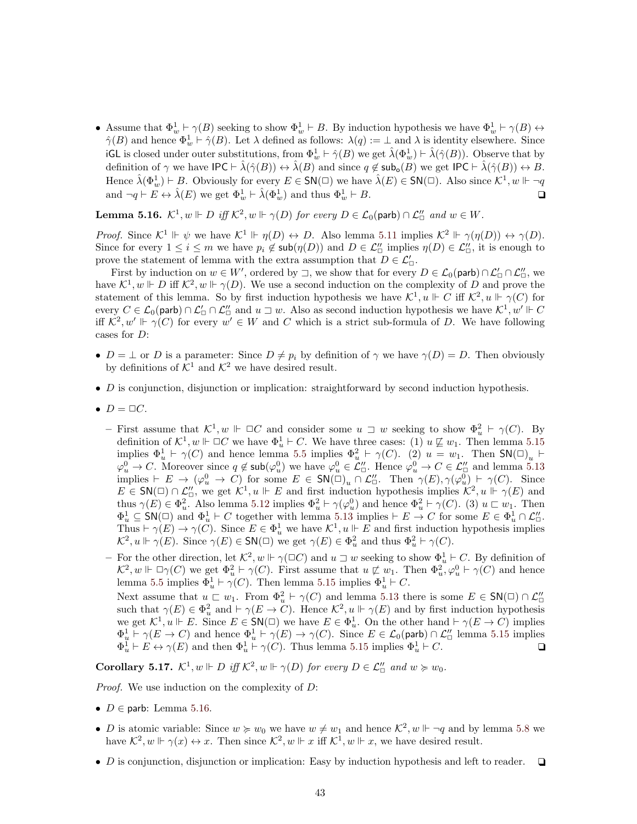• Assume that  $\Phi^1_w \vdash \gamma(B)$  seeking to show  $\Phi^1_w \vdash B$ . By induction hypothesis we have  $\Phi^1_w \vdash \gamma(B) \leftrightarrow$  $\hat{\gamma}(B)$  and hence  $\Phi_w^1 \vdash \hat{\gamma}(B)$ . Let  $\lambda$  defined as follows:  $\lambda(q) := \bot$  and  $\lambda$  is identity elsewhere. Since iGL is closed under outer substitutions, from  $\Phi_w^1 \vdash \hat{\gamma}(B)$  we get  $\hat{\lambda}(\Phi_w^1) \vdash \hat{\lambda}(\hat{\gamma}(B))$ . Observe that by definition of  $\gamma$  we have  $\mathsf{IPC} \vdash \hat{\lambda}(\hat{\gamma}(B)) \leftrightarrow \hat{\lambda}(B)$  and since  $q \notin \mathsf{sub_o}(B)$  we get  $\mathsf{IPC} \vdash \hat{\lambda}(\hat{\gamma}(B)) \leftrightarrow B$ . Hence  $\hat{\lambda}(\Phi_w^1) \vdash B$ . Obviously for every  $E \in \mathsf{SN}(\square)$  we have  $\hat{\lambda}(E) \in \mathsf{SN}(\square)$ . Also since  $\mathcal{K}^1, w \Vdash \neg q$ and  $\neg q \vdash E \leftrightarrow \hat{\lambda}(E)$  we get  $\Phi_w^1 \vdash \hat{\lambda}(\Phi_w^1)$  and thus  $\Phi_w^1 \vdash B$ .

<span id="page-42-1"></span>**Lemma 5.16.**  $\mathcal{K}^1, w \Vdash D$  iff  $\mathcal{K}^2, w \Vdash \gamma(D)$  for every  $D \in \mathcal{L}_0(\text{parb}) \cap \mathcal{L}_{\Box}'$  and  $w \in W$ .

*Proof.* Since  $\mathcal{K}^1 \Vdash \psi$  we have  $\mathcal{K}^1 \Vdash \eta(D) \leftrightarrow D$ . Also lemma [5.11](#page-40-2) implies  $\mathcal{K}^2 \Vdash \gamma(\eta(D)) \leftrightarrow \gamma(D)$ . Since for every  $1 \leq i \leq m$  we have  $p_i \notin \mathsf{sub}(\eta(D))$  and  $D \in \mathcal{L}''_{\Box}$  implies  $\eta(D) \in \mathcal{L}''_{\Box}$ , it is enough to prove the statement of lemma with the extra assumption that  $D \in \mathcal{L}'_\Box$ 

First by induction on  $w \in W'$ , ordered by  $\Box$ , we show that for every  $D \in \mathcal{L}_0(\text{parb}) \cap \mathcal{L}'_{\Box} \cap \mathcal{L}''_{\Box}$ , we have  $\mathcal{K}^1, w \Vdash D$  iff  $\mathcal{K}^2, w \Vdash \gamma(D)$ . We use a second induction on the complexity of D and prove the statement of this lemma. So by first induction hypothesis we have  $\mathcal{K}^1, u \Vdash C$  iff  $\mathcal{K}^2, u \Vdash \gamma(C)$  for every  $C \in \mathcal{L}_0(\text{parb}) \cap \mathcal{L}'_0 \cap \mathcal{L}''_0$  and  $u \sqsupset w$ . Also as second induction hypothesis we have  $\mathcal{K}^1, w' \Vdash C$ iff  $\mathcal{K}^2, w' \Vdash \gamma(C)$  for every  $w' \in W$  and C which is a strict sub-formula of D. We have following cases for D:

- $D = \perp$  or D is a parameter: Since  $D \neq p_i$  by definition of  $\gamma$  we have  $\gamma(D) = D$ . Then obviously by definitions of  $\mathcal{K}^1$  and  $\mathcal{K}^2$  we have desired result.
- $\bullet$  D is conjunction, disjunction or implication: straightforward by second induction hypothesis.
- $D = \Box C$ .
	- First assume that  $\mathcal{K}^1, w \Vdash \Box C$  and consider some  $u \Box w$  seeking to show  $\Phi_u^2 \vdash \gamma(C)$ . By definition of  $\mathcal{K}^1, w \Vdash \Box C$  we have  $\Phi_u^1 \vdash C$ . We have three cases: (1)  $u \not\sqsubseteq w_1$ . Then lemma [5.15](#page-41-1) implies  $\Phi_u^1 \vdash \gamma(C)$  and hence lemma [5.5](#page-39-1) implies  $\Phi_u^2 \vdash \gamma(C)$ . (2)  $u = w_1$ . Then  $\mathsf{SN}(\square)_u \vdash$  $\varphi_u^0 \to C$ . Moreover since  $q \notin \mathsf{sub}(\varphi_u^0)$  we have  $\varphi_u^0 \in \mathcal{L}''_{\Box}$ . Hence  $\varphi_u^0 \to C \in \mathcal{L}''_{\Box}$  and lemma [5.13](#page-40-4) implies  $\vdash E \to (\varphi_u^0 \to C)$  for some  $E \in \mathsf{SN}(\square)_u \cap \mathcal{L}''_\square$ . Then  $\gamma(E), \gamma(\varphi_u^0) \vdash \gamma(C)$ . Since  $E \in \mathsf{SN}(\square) \cap \mathcal{L}_{\square}''$ , we get  $\mathcal{K}^1, u \Vdash E$  and first induction hypothesis implies  $\mathcal{K}^2, u \Vdash \gamma(E)$  and thus  $\gamma(E) \in \Phi_u^2$ . Also lemma [5.12](#page-40-5) implies  $\Phi_u^2 \vdash \gamma(\varphi_u^0)$  and hence  $\Phi_u^2 \vdash \gamma(C)$ . (3)  $u \sqsubset w_1$ . Then  $\Phi_u^1 \subseteq \mathsf{SN}(\square)$  and  $\Phi_u^1 \vdash C$  together with lemma [5.13](#page-40-4) implies  $\vdash E \to C$  for some  $E \in \Phi_u^1 \cap \mathcal{L}_{\square}''$ . Thus  $\vdash \gamma(E) \to \gamma(\tilde{C})$ . Since  $E \in \Phi_u^1$  we have  $\mathcal{K}^1, u \Vdash E$  and first induction hypothesis implies  $\mathcal{K}^2, u \Vdash \gamma(E)$ . Since  $\gamma(E) \in \mathsf{SN}(\square)$  we get  $\gamma(E) \in \Phi_u^2$  and thus  $\Phi_u^2 \vdash \gamma(C)$ .
	- For the other direction, let  $\mathcal{K}^2$ ,  $w \Vdash \gamma(\Box C)$  and  $u \Box w$  seeking to show  $\Phi_u^1 \vdash C$ . By definition of  $\mathcal{K}^2, w \Vdash \Box \gamma(C)$  we get  $\Phi_u^2 \vdash \gamma(C)$ . First assume that  $u \not\sqsubset w_1$ . Then  $\Phi_u^2, \varphi_u^0 \vdash \gamma(C)$  and hence lemma [5.5](#page-39-1) implies  $\Phi_u^1 \vdash \gamma(C)$ . Then lemma [5.15](#page-41-1) implies  $\Phi_u^1 \vdash C$ . Next assume that  $u \sqsubset w_1$ . From  $\Phi_u^2 \vdash \gamma(C)$  and lemma [5.13](#page-40-4) there is some  $E \in SN(\square) \cap \mathcal{L}_{\square}''$ <br>such that  $\gamma(E) \in \Phi_u^2$  and  $\vdash \gamma(E \to C)$ . Hence  $\mathcal{K}^2, u \Vdash \gamma(E)$  and by first induction hypothesis we get  $\mathcal{K}^1, u \Vdash E$ . Since  $E \in \mathsf{SN}(\square)$  we have  $E \in \Phi_u^1$ . On the other hand  $\vdash \gamma(E \to C)$  implies  $\Phi_u^1 \vdash \gamma(E \to C)$  and hence  $\Phi_u^1 \vdash \gamma(E) \to \gamma(C)$ . Since  $E \in \mathcal{L}_0(\text{parb}) \cap \mathcal{L}_{\Box}''$  lemma [5.15](#page-41-1) implies  $\Phi_u^1 \vdash E \leftrightarrow \gamma(E)$  and then  $\Phi_u^1 \vdash \gamma(C)$ . Thus lemma [5.15](#page-41-1) implies  $\Phi_u^1 \vdash C$ .

<span id="page-42-0"></span>**Corollary 5.17.**  $\mathcal{K}^1, w \Vdash D$  iff  $\mathcal{K}^2, w \Vdash \gamma(D)$  for every  $D \in \mathcal{L}_{\Box}''$  and  $w \succcurlyeq w_0$ .

Proof. We use induction on the complexity of D:

- $D \in$  parb: Lemma [5.16.](#page-42-1)
- D is atomic variable: Since  $w \succcurlyeq w_0$  we have  $w \neq w_1$  and hence  $\mathcal{K}^2, w \Vdash \neg q$  and by lemma [5.8](#page-40-0) we have  $\mathcal{K}^2$ ,  $w \Vdash \gamma(x) \leftrightarrow x$ . Then since  $\mathcal{K}^2$ ,  $w \Vdash x$  iff  $\mathcal{K}^1$ ,  $w \Vdash x$ , we have desired result.
- D is conjunction, disjunction or implication: Easy by induction hypothesis and left to reader.  $\Box$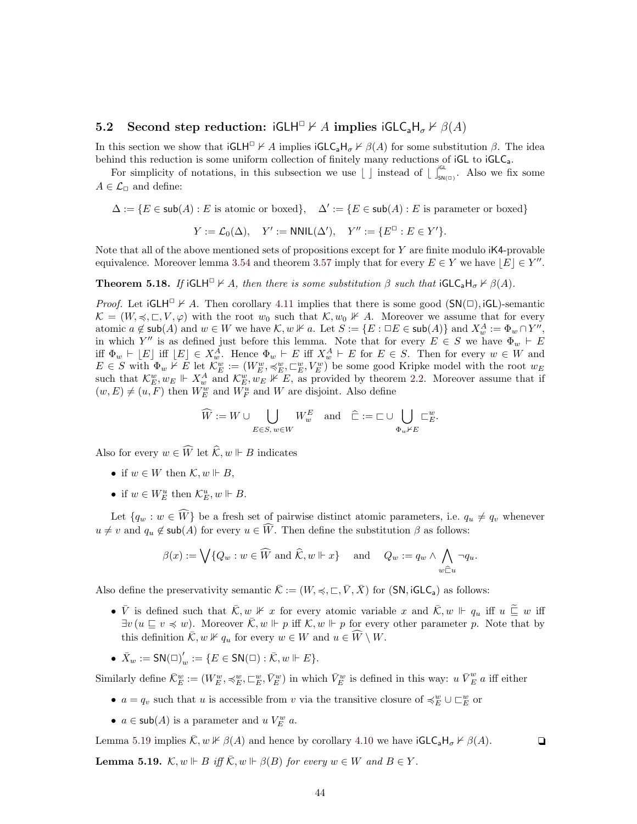# <span id="page-43-0"></span>5.2 Second step reduction: iGLH<sup> $\Box$ </sup>  $\nvdash A$  implies iGLC<sub>a</sub>H<sub> $\sigma$ </sub>  $\nvdash \beta(A)$

In this section we show that  $\mathsf{iGLH}^\square \not\vdash A$  implies  $\mathsf{iGLC}_\mathsf{a} \mathsf{H}_\sigma \not\vdash \beta(A)$  for some substitution  $\beta$ . The idea behind this reduction is some uniform collection of finitely many reductions of  $iGL$  to  $iGLC<sub>a</sub>$ .

For simplicity of notations, in this subsection we use  $\lfloor \int$  instead of  $\lfloor \int_{s_{N(\square)}}^{s_{\text{L}}}$ . Also we fix some  $A \in \mathcal{L}_{\Box}$  and define:

 $\Delta := \{ E \in \mathsf{sub}(A) : E \text{ is atomic or boxed} \}, \quad \Delta' := \{ E \in \mathsf{sub}(A) : E \text{ is parameter or boxed} \}$ 

$$
Y := \mathcal{L}_0(\Delta), \quad Y' := \mathsf{NNIL}(\Delta'), \quad Y'' := \{ E^{\square} : E \in Y' \}.
$$

Note that all of the above mentioned sets of propositions except for  $Y$  are finite modulo  $K4$ -provable equivalence. Moreover lemma [3.54](#page-28-3) and theorem [3.57](#page-29-3) imply that for every  $E \in Y$  we have  $|E| \in Y''$ .

<span id="page-43-1"></span>**Theorem 5.18.** If iGLH<sup> $\Box$ </sup>  $\forall$  A, then there is some substitution  $\beta$  such that iGLC<sub>a</sub>H<sub>σ</sub>  $\forall$   $\beta(A)$ .

*Proof.* Let  $iGLH^{\square} \nvdash A$ . Then corollary [4.11](#page-32-3) implies that there is some good  $(SN(\square), iGL)$ -semantic  $\mathcal{K} = (W, \preccurlyeq, \sqsubset, V, \varphi)$  with the root  $w_0$  such that  $\mathcal{K}, w_0 \not\vdash A$ . Moreover we assume that for every atomic  $a \notin \mathsf{sub}(A)$  and  $w \in W$  we have  $\mathcal{K}, w \nVdash a$ . Let  $S := \{E : \Box E \in \mathsf{sub}(A)\}$  and  $X_w^A := \Phi_w \cap Y'',$ in which Y'' is as defined just before this lemma. Note that for every  $E \in S$  we have  $\Phi_w \vdash E$ iff  $\Phi_w \vdash [E]$  iff  $[E] \in X_w^A$ . Hence  $\Phi_w \vdash E$  iff  $X_w^A \vdash E$  for  $E \in S$ . Then for every  $w \in W$  and  $E \in S$  with  $\Phi_w \nvdash E$  let  $\mathcal{K}_E^w := (W_E^w, \preccurlyeq_E^w, \sqsubset_E^w, V_E^w)$  be some good Kripke model with the root  $w_E$ such that  $\mathcal{K}_E^w, w_E \Vdash X_w^A$  and  $\mathcal{K}_E^w, w_E \nvDash E$ , as provided by theorem [2.2.](#page-6-0) Moreover assume that if  $(w,E) \neq (u,F)$  then  $W_E^w$  and  $W_F^u$  and  $W$  are disjoint. Also define

$$
\widehat{W}:=W\cup \bigcup_{E\in S,\, w\in W}W_w^E\quad\text{and}\quad\widehat{\sqsubset}:=\sqsubset\cup\bigcup_{\Phi_w\nvdash E}\sqsubset_E^w.
$$

Also for every  $w \in \widehat{W}$  let  $\widehat{\mathcal{K}}$ ,  $w \Vdash B$  indicates

- if  $w \in W$  then  $\mathcal{K}, w \Vdash B$ ,
- if  $w \in W_E^u$  then  $\mathcal{K}_E^u, w \Vdash B$ .

Let  $\{q_w : w \in \widehat{W}\}\)$  be a fresh set of pairwise distinct atomic parameters, i.e.  $q_u \neq q_v$  whenever  $u \neq v$  and  $q_u \notin \text{sub}(A)$  for every  $u \in \widehat{W}$ . Then define the substitution  $\beta$  as follows:

$$
\beta(x) := \bigvee \{ Q_w : w \in \widehat{W} \text{ and } \widehat{\mathcal{K}}, w \Vdash x \} \quad \text{and} \quad Q_w := q_w \wedge \bigwedge_{w \subseteq u} \neg q_u.
$$

Also define the preservativity semantic  $\overline{\mathcal{K}} := (W, \preccurlyeq, \sqsubset, \overline{V}, \overline{X})$  for  $(SN, \text{IGLC}_a)$  as follows:

- $\overline{V}$  is defined such that  $\overline{K}, w \not\Vdash x$  for every atomic variable x and  $\overline{K}, w \Vdash q_u$  iff  $u \subseteq w$  iff  $\exists v (u \sqsubseteq v \preccurlyeq w)$ . Moreover  $\overline{\mathcal{K}}, w \Vdash p$  iff  $\mathcal{K}, w \Vdash p$  for every other parameter p. Note that by this definition  $\overline{\mathcal{K}}, w \not\Vdash q_u$  for every  $w \in W$  and  $u \in \widehat{W} \setminus W$ .
- $\bar{X}_w := \mathsf{SN}(\square)'_v$  $w^{'} := \{E \in {\sf SN}(\square) : \bar{\mathcal{K}}, w \Vdash E\}.$

Similarly define  $\bar{\mathcal{K}}_E^w := (W_E^w, \preccurlyeq_E^w, \sqsubset_E^w, \bar{V}_E^w)$  in which  $\bar{V}_E^w$  is defined in this way:  $u \bar{V}_E^w$  a iff either

- $a = q_v$  such that u is accessible from v via the transitive closure of  $\preccurlyeq^w_{E} \cup \sqsubset^w_{E}$  or
- $a \in \mathsf{sub}(A)$  is a parameter and  $u V_E^w a$ .

Lemma [5.19](#page-43-2) implies  $\overline{\mathcal{K}}$ ,  $w \not\vdash \beta(A)$  and hence by corollary [4.10](#page-32-4) we have  $\mathsf{iGLC}_a\mathsf{H}_{\sigma} \not\vdash \beta(A)$ .

<span id="page-43-2"></span>**Lemma 5.19.**  $\mathcal{K}, w \Vdash B$  iff  $\overline{\mathcal{K}}, w \Vdash \beta(B)$  for every  $w \in W$  and  $B \in Y$ .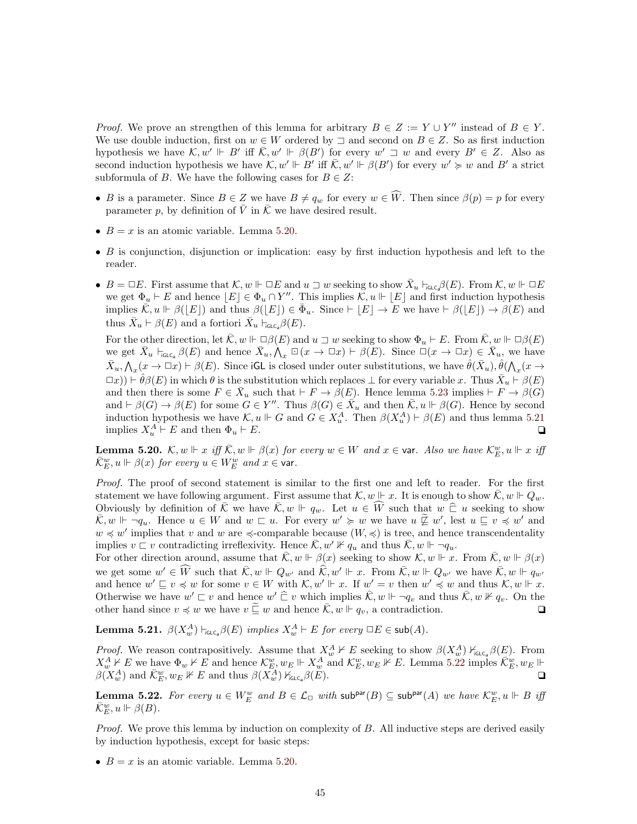*Proof.* We prove an strengthen of this lemma for arbitrary  $B \in Z := Y \cup Y''$  instead of  $B \in Y$ . We use double induction, first on  $w \in W$  ordered by  $\exists$  and second on  $B \in Z$ . So as first induction hypothesis we have  $\mathcal{K}, w' \Vdash B'$  iff  $\overline{\mathcal{K}}, w' \Vdash \beta(B')$  for every  $w' \rightrightarrows w$  and every  $B' \in Z$ . Also as second induction hypothesis we have  $\mathcal{K}, w' \Vdash B'$  iff  $\overline{\mathcal{K}}, w' \Vdash \beta(B')$  for every  $w' \geq w$  and  $B'$  a strict subformula of B. We have the following cases for  $B \in \mathbb{Z}$ :

- B is a parameter. Since  $B \in \mathbb{Z}$  we have  $B \neq q_w$  for every  $w \in W$ . Then since  $\beta(p) = p$  for every parameter p, by definition of V in  $\overline{K}$  we have desired result.
- $B = x$  is an atomic variable. Lemma [5.20.](#page-44-0)
- $\bullet$  B is conjunction, disjunction or implication: easy by first induction hypothesis and left to the reader.
- $B = \Box E$ . First assume that  $\mathcal{K}, w \Vdash \Box E$  and  $u \sqsupset w$  seeking to show  $\bar{X}_u \vdash_{\mathsf{GLC}_p} \beta(E)$ . From  $\mathcal{K}, w \Vdash \Box E$ we get  $\Phi_u \vdash E$  and hence  $\lfloor E \rfloor \in \Phi_u \cap Y''$ . This implies  $\mathcal{K}, u \Vdash \lfloor E \rfloor$  and first induction hypothesis implies  $\overline{\mathcal{K}}, u \Vdash \beta([E])$  and thus  $\beta([E]) \in \overline{\Phi}_u$ . Since  $\vdash [E] \to \overline{E}$  we have  $\vdash \beta([E]) \to \beta(E)$  and thus  $\bar{X}_u \vdash \beta(E)$  and a fortiori  $\bar{X}_u \vdash_{\mathsf{IGLC}_a} \beta(E)$ .

For the other direction, let  $\overline{\mathcal{K}}$ ,  $w \Vdash \Box \beta(E)$  and  $u \sqsupset w$  seeking to show  $\Phi_u \vdash E$ . From  $\overline{\mathcal{K}}$ ,  $w \Vdash \Box \beta(E)$ we get  $\bar{X}_u$   $\vdash_{\mathsf{GLC}_a} \beta(E)$  and hence  $\bar{X}_u, \bigwedge_x \Box(x \to \Box x) \vdash \beta(E)$ . Since  $\Box(x \to \Box x) \in \bar{X}_u$ , we have  $\bar{X}_u, \bigwedge_x (x \to \Box x) \vdash \beta(E)$ . Since iGL is closed under outer substitutions, we have  $\hat{\theta}(\bar{X}_u), \hat{\theta}(\bigwedge_x (x \to \Box x))$  $(\Box x)) \vdash \hat{\theta}\beta(E)$  in which  $\theta$  is the substitution which replaces  $\bot$  for every variable x. Thus  $\bar{X}_u \vdash \beta(E)$ and then there is some  $F \in \overline{X}_u$  such that  $\vdash F \to \beta(E)$ . Hence lemma [5.23](#page-45-11) implies  $\vdash F \to \beta(G)$ and  $\vdash \beta(G) \to \beta(E)$  for some  $G \in Y''$ . Thus  $\beta(G) \in \overline{X}_u$  and then  $\overline{K}, u \Vdash \beta(G)$ . Hence by second induction hypothesis we have  $\mathcal{K}, u \Vdash G$  and  $G \in X_u^A$ . Then  $\beta(X_u^A) \vdash \beta(E)$  and thus lemma [5.21](#page-44-1) implies  $X_u^A \vdash E$  and then  $\Phi_u \vdash E$ .

<span id="page-44-0"></span>**Lemma 5.20.**  $\mathcal{K}, w \Vdash x$  iff  $\overline{\mathcal{K}}, w \Vdash \beta(x)$  for every  $w \in W$  and  $x \in \text{var}$ . Also we have  $\mathcal{K}_E^w, u \Vdash x$  iff  $\bar{\mathcal{K}}_E^w, u \Vdash \beta(x)$  for every  $u \in W_E^w$  and  $x \in \mathsf{var}.$ 

Proof. The proof of second statement is similar to the first one and left to reader. For the first statement we have following argument. First assume that  $\mathcal{K}, w \Vdash x$ . It is enough to show  $\overline{\mathcal{K}}, w \Vdash Q_w$ . Obviously by definition of  $\overline{K}$  we have  $\overline{K}$ ,  $w \Vdash q_w$ . Let  $u \in \widehat{W}$  such that  $w \widehat{\sqsubset} u$  seeking to show  $\overline{\mathcal{K}}, w \Vdash \neg q_u$ . Hence  $u \in W$  and  $w \sqsubset u$ . For every  $w' \succcurlyeq w$  we have  $u \not\sqsubseteq w'$ , lest  $u \sqsubseteq v \preccurlyeq w'$  and  $w \preccurlyeq w'$  implies that v and w are  $\preccurlyeq$ -comparable because  $(W, \preccurlyeq)$  is tree, and hence transcendentality implies  $v \sqsubset v$  contradicting irreflexivity. Hence  $\overline{\mathcal{K}}, w' \nVdash q_u$  and thus  $\overline{\mathcal{K}}, w \Vdash \neg q_u$ .

For other direction around, assume that  $\overline{\mathcal{K}}$ ,  $w \Vdash \beta(x)$  seeking to show  $\mathcal{K}, w \Vdash x$ . From  $\overline{\mathcal{K}}$ ,  $w \Vdash \beta(x)$ we get some  $w' \in \widehat{W}$  such that  $\overline{\mathcal{K}}, w \Vdash Q_{w'}$  and  $\widehat{\mathcal{K}}, w' \Vdash x$ . From  $\overline{\mathcal{K}}, w \Vdash Q_{w'}$  we have  $\overline{\mathcal{K}}, w \Vdash q_{w'}$ and hence  $w' \sqsubseteq v \preccurlyeq w$  for some  $v \in W$  with  $\mathcal{K}, w' \Vdash x$ . If  $w' = v$  then  $w' \preccurlyeq w$  and thus  $\mathcal{K}, w \Vdash x$ . Otherwise we have  $w' \sqsubset v$  and hence  $w' \bigcap v$  which implies  $\overline{\mathcal{K}}, w \Vdash \neg q_v$  and thus  $\overline{\mathcal{K}}, w \nvDash q_v$ . On the other hand since  $v \preccurlyeq w$  we have  $v \sqsubseteq w$  and hence  $\overline{\mathcal{K}}$ ,  $w \Vdash q_v$ , a contradiction.

<span id="page-44-1"></span>**Lemma 5.21.**  $\beta(X_w^A) \vdash_{\mathsf{IGLC}_a} \beta(E)$  implies  $X_w^A \vdash E$  for every  $\Box E \in \mathsf{sub}(A)$ .

*Proof.* We reason contrapositively. Assume that  $X_w^A \nvdash E$  seeking to show  $\beta(X_w^A) \nvdash_{\text{GLC}_a} \beta(E)$ . From  $X_w^A \nvdash E$  we have  $\Phi_w \nvdash E$  and hence  $\mathcal{K}_E^w, w_E \Vdash X_w^A$  and  $\mathcal{K}_E^w, w_E \nvDash E$ . Lemma [5.22](#page-44-2) imples  $\overline{\mathcal{K}}_E^w, w_E \Vdash E$  $\beta(X_w^A)$  and  $\overline{\mathcal{K}}_E^w, w_E \nVdash E$  and thus  $\beta(X_w^A)$   $\mathcal{K}_{\text{GLC}_a}(\beta(E)).$ 

<span id="page-44-2"></span>**Lemma 5.22.** For every  $u \in W_E^w$  and  $B \in \mathcal{L}_\Box$  with  $\text{sub}^{\text{par}}(B) \subseteq \text{sub}^{\text{par}}(A)$  we have  $\mathcal{K}_E^w, u \Vdash B$  iff  $\bar{\mathcal{K}}_E^w, u \Vdash \beta(B).$ 

Proof. We prove this lemma by induction on complexity of B. All inductive steps are derived easily by induction hypothesis, except for basic steps:

•  $B = x$  is an atomic variable. Lemma [5.20.](#page-44-0)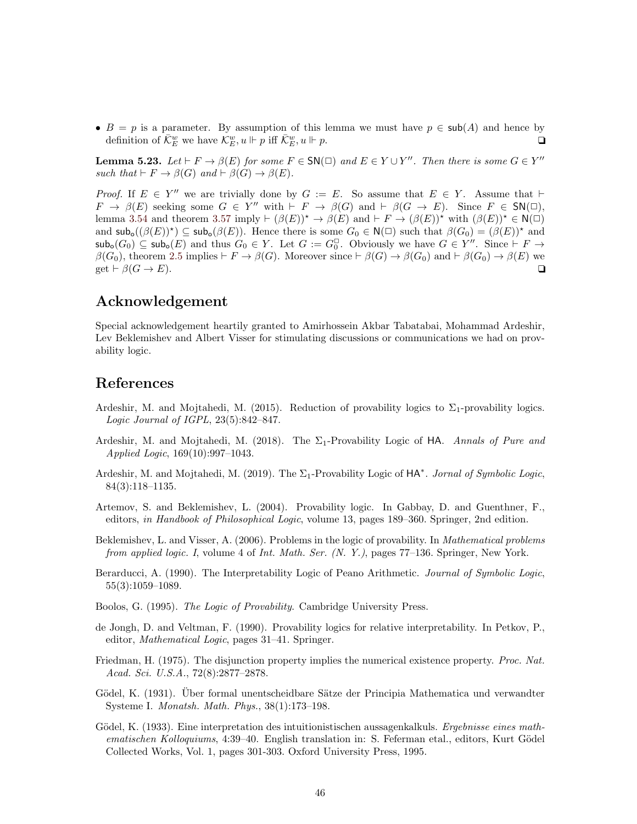•  $B = p$  is a parameter. By assumption of this lemma we must have  $p \in sub(A)$  and hence by definition of  $\overline{\mathcal{K}}_E^w$  we have  $\mathcal{K}_E^w, u \Vdash p$  iff  $\overline{\mathcal{K}}_E^w, u \Vdash p$ .

<span id="page-45-11"></span>**Lemma 5.23.** Let  $\vdash F \to \beta(E)$  for some  $F \in SN(\Box)$  and  $E \in Y \cup Y''$ . Then there is some  $G \in Y''$ such that  $\vdash F \to \beta(G)$  and  $\vdash \beta(G) \to \beta(E)$ .

*Proof.* If  $E \in Y''$  we are trivially done by  $G := E$ . So assume that  $E \in Y$ . Assume that  $\vdash$  $F \to \beta(E)$  seeking some  $G \in Y''$  with  $\vdash F \to \beta(G)$  and  $\vdash \beta(G \to E)$ . Since  $F \in SN(\square)$ , lemma [3.54](#page-28-3) and theorem [3.57](#page-29-3) imply  $\vdash (\beta(E))^* \rightarrow \beta(E)$  and  $\vdash F \rightarrow (\beta(E))^*$  with  $(\beta(E))^* \in N(\square)$ and  $\mathsf{sub}_\mathsf{o}((\beta(E))^*) \subseteq \mathsf{sub}_\mathsf{o}(\beta(E))$ . Hence there is some  $G_0 \in \mathsf{N}(\square)$  such that  $\beta(G_0) = (\beta(E))^*$  and  $\mathsf{sub}_\mathsf{o}(G_0) \subseteq \mathsf{sub}_\mathsf{o}(E)$  and thus  $G_0 \in Y$ . Let  $G := G_0^\square$ . Obviously we have  $G \in Y''$ . Since  $\vdash F \to Y''$  $\beta(G_0)$ , theorem [2.5](#page-8-2) implies  $\vdash F \to \beta(G)$ . Moreover since  $\vdash \beta(G) \to \beta(G_0)$  and  $\vdash \beta(G_0) \to \beta(E)$  we get  $\vdash \beta(G \to E)$ .

# Acknowledgement

Special acknowledgement heartily granted to Amirhossein Akbar Tabatabai, Mohammad Ardeshir, Lev Beklemishev and Albert Visser for stimulating discussions or communications we had on provability logic.

# References

- <span id="page-45-8"></span>Ardeshir, M. and Mojtahedi, M. (2015). Reduction of provability logics to  $\Sigma_1$ -provability logics. Logic Journal of IGPL, 23(5):842–847.
- <span id="page-45-6"></span>Ardeshir, M. and Mojtahedi, M. (2018). The  $\Sigma_1$ -Provability Logic of HA. Annals of Pure and Applied Logic, 169(10):997–1043.
- <span id="page-45-7"></span>Ardeshir, M. and Mojtahedi, M. (2019). The  $\Sigma_1$ -Provability Logic of HA<sup>\*</sup>. Jornal of Symbolic Logic, 84(3):118–1135.
- <span id="page-45-3"></span>Artemov, S. and Beklemishev, L. (2004). Provability logic. In Gabbay, D. and Guenthner, F., editors, in Handbook of Philosophical Logic, volume 13, pages 189–360. Springer, 2nd edition.
- <span id="page-45-2"></span>Beklemishev, L. and Visser, A. (2006). Problems in the logic of provability. In *Mathematical problems* from applied logic. I, volume 4 of Int. Math. Ser. (N. Y.), pages 77–136. Springer, New York.
- <span id="page-45-9"></span>Berarducci, A. (1990). The Interpretability Logic of Peano Arithmetic. *Journal of Symbolic Logic*, 55(3):1059–1089.
- <span id="page-45-4"></span>Boolos, G. (1995). The Logic of Provability. Cambridge University Press.
- <span id="page-45-10"></span>de Jongh, D. and Veltman, F. (1990). Provability logics for relative interpretability. In Petkov, P., editor, Mathematical Logic, pages 31–41. Springer.
- <span id="page-45-5"></span>Friedman, H. (1975). The disjunction property implies the numerical existence property. *Proc. Nat.* Acad. Sci. U.S.A., 72(8):2877–2878.
- <span id="page-45-1"></span>Gödel, K. (1931). Über formal unentscheidbare Sätze der Principia Mathematica und verwandter Systeme I. Monatsh. Math. Phys., 38(1):173–198.
- <span id="page-45-0"></span>Gödel, K. (1933). Eine interpretation des intuitionistischen aussagenkalkuls. Ergebnisse eines mathematischen Kolloquiums, 4:39–40. English translation in: S. Feferman etal., editors, Kurt Gödel Collected Works, Vol. 1, pages 301-303. Oxford University Press, 1995.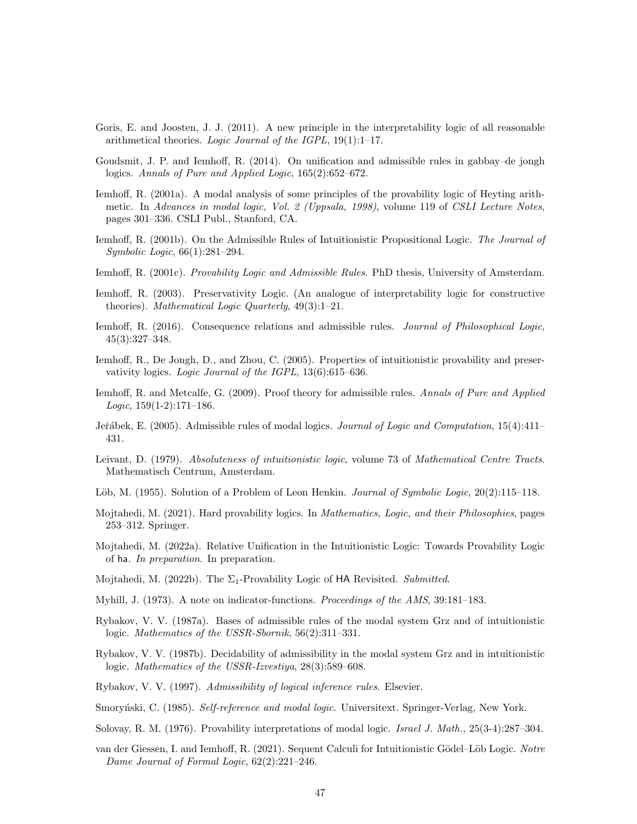- <span id="page-46-20"></span>Goris, E. and Joosten, J. J. (2011). A new principle in the interpretability logic of all reasonable arithmetical theories. Logic Journal of the IGPL, 19(1):1–17.
- <span id="page-46-18"></span>Goudsmit, J. P. and Iemhoff, R. (2014). On unification and admissible rules in gabbay–de jongh logics. Annals of Pure and Applied Logic, 165(2):652–672.
- <span id="page-46-11"></span>Iemhoff, R. (2001a). A modal analysis of some principles of the provability logic of Heyting arithmetic. In Advances in modal logic, Vol. 2 (Uppsala, 1998), volume 119 of CSLI Lecture Notes, pages 301–336. CSLI Publ., Stanford, CA.
- <span id="page-46-12"></span>Iemhoff, R. (2001b). On the Admissible Rules of Intuitionistic Propositional Logic. The Journal of Symbolic Logic, 66(1):281–294.
- <span id="page-46-6"></span>Iemhoff, R. (2001c). Provability Logic and Admissible Rules. PhD thesis, University of Amsterdam.
- <span id="page-46-5"></span>Iemhoff, R. (2003). Preservativity Logic. (An analogue of interpretability logic for constructive theories). Mathematical Logic Quarterly,  $49(3):1-21$ .
- <span id="page-46-19"></span>Iemhoff, R. (2016). Consequence relations and admissible rules. Journal of Philosophical Logic, 45(3):327–348.
- <span id="page-46-21"></span>Iemhoff, R., De Jongh, D., and Zhou, C. (2005). Properties of intuitionistic provability and preservativity logics. Logic Journal of the IGPL, 13(6):615–636.
- <span id="page-46-13"></span>Iemhoff, R. and Metcalfe, G. (2009). Proof theory for admissible rules. Annals of Pure and Applied Logic,  $159(1-2)$ :171-186.
- <span id="page-46-14"></span>Jeřábek, E. (2005). Admissible rules of modal logics. Journal of Logic and Computation, 15(4):411– 431.
- <span id="page-46-4"></span>Leivant, D. (1979). Absoluteness of intuitionistic logic, volume 73 of Mathematical Centre Tracts. Mathematisch Centrum, Amsterdam.
- <span id="page-46-1"></span>Löb, M. (1955). Solution of a Problem of Leon Henkin. Journal of Symbolic Logic, 20(2):115–118.
- <span id="page-46-8"></span>Mojtahedi, M. (2021). Hard provability logics. In Mathematics, Logic, and their Philosophies, pages 253–312. Springer.
- <span id="page-46-9"></span>Mojtahedi, M. (2022a). Relative Unification in the Intuitionistic Logic: Towards Provability Logic of ha. In preparation. In preparation.
- <span id="page-46-7"></span>Mojtahedi, M. (2022b). The  $\Sigma_1$ -Provability Logic of HA Revisited. Submitted.
- <span id="page-46-3"></span>Myhill, J. (1973). A note on indicator-functions. Proceedings of the AMS, 39:181–183.
- <span id="page-46-15"></span>Rybakov, V. V. (1987a). Bases of admissible rules of the modal system Grz and of intuitionistic logic. Mathematics of the USSR-Sbornik, 56(2):311–331.
- <span id="page-46-16"></span>Rybakov, V. V. (1987b). Decidability of admissibility in the modal system Grz and in intuitionistic logic. Mathematics of the USSR-Izvestiya, 28(3):589–608.
- <span id="page-46-17"></span>Rybakov, V. V. (1997). Admissibility of logical inference rules. Elsevier.
- <span id="page-46-2"></span>Smoryński, C. (1985). Self-reference and modal logic. Universitext. Springer-Verlag, New York.
- <span id="page-46-0"></span>Solovay, R. M. (1976). Provability interpretations of modal logic. Israel J. Math., 25(3-4):287–304.
- <span id="page-46-10"></span>van der Giessen, I. and Iemhoff, R. (2021). Sequent Calculi for Intuitionistic Gödel–Löb Logic. Notre Dame Journal of Formal Logic, 62(2):221–246.